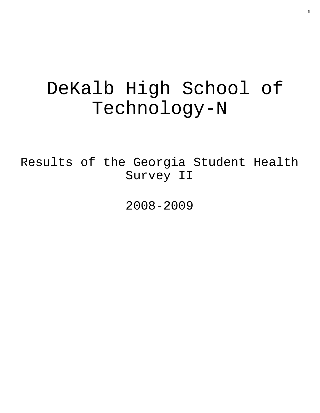# DeKalb High School of Technology-N

Results of the Georgia Student Health Survey II

2008-2009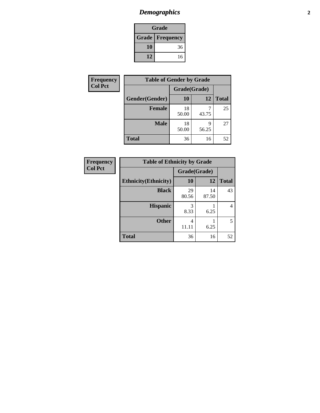## *Demographics* **2**

| Grade                    |    |  |  |  |
|--------------------------|----|--|--|--|
| <b>Grade   Frequency</b> |    |  |  |  |
| 10                       | 36 |  |  |  |
| 12                       | 16 |  |  |  |

| Frequency      | <b>Table of Gender by Grade</b> |              |            |              |  |
|----------------|---------------------------------|--------------|------------|--------------|--|
| <b>Col Pct</b> |                                 | Grade(Grade) |            |              |  |
|                | Gender(Gender)                  | 10           | 12         | <b>Total</b> |  |
|                | <b>Female</b>                   | 18<br>50.00  | 43.75      | 25           |  |
|                | <b>Male</b>                     | 18<br>50.00  | q<br>56.25 | 27           |  |
|                | <b>Total</b>                    | 36           | 16         | 52           |  |

| <b>Frequency</b><br>Col Pct |
|-----------------------------|
|-----------------------------|

| <b>Table of Ethnicity by Grade</b> |              |             |              |  |  |  |  |
|------------------------------------|--------------|-------------|--------------|--|--|--|--|
|                                    | Grade(Grade) |             |              |  |  |  |  |
| <b>Ethnicity</b> (Ethnicity)       | 10           | 12          | <b>Total</b> |  |  |  |  |
| <b>Black</b>                       | 29<br>80.56  | 14<br>87.50 | 43           |  |  |  |  |
| <b>Hispanic</b>                    | 3<br>8.33    | 6.25        |              |  |  |  |  |
| <b>Other</b>                       | 4<br>11.11   | 6.25        | 5            |  |  |  |  |
| <b>Total</b>                       | 36           | 16          | 52           |  |  |  |  |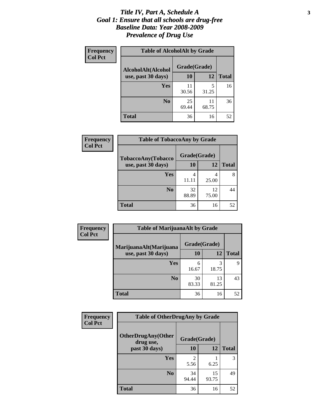#### *Title IV, Part A, Schedule A* **3** *Goal 1: Ensure that all schools are drug-free Baseline Data: Year 2008-2009 Prevalence of Drug Use*

| Frequency<br><b>Col Pct</b> | <b>Table of AlcoholAlt by Grade</b> |              |             |              |  |  |
|-----------------------------|-------------------------------------|--------------|-------------|--------------|--|--|
|                             | AlcoholAlt(Alcohol                  | Grade(Grade) |             |              |  |  |
|                             | use, past 30 days)                  | 10           | 12          | <b>Total</b> |  |  |
|                             | Yes                                 | 11<br>30.56  | 5<br>31.25  | 16           |  |  |
|                             | N <sub>0</sub>                      | 25<br>69.44  | 11<br>68.75 | 36           |  |  |
|                             | <b>Total</b>                        | 36           | 16          | 52           |  |  |

| Frequency<br><b>Col Pct</b> | <b>Table of TobaccoAny by Grade</b> |              |             |              |  |  |
|-----------------------------|-------------------------------------|--------------|-------------|--------------|--|--|
|                             | TobaccoAny(Tobacco                  | Grade(Grade) |             |              |  |  |
|                             | use, past 30 days)                  | 10           | 12          | <b>Total</b> |  |  |
|                             | Yes                                 | 4<br>11.11   | 4<br>25.00  | 8            |  |  |
|                             | N <sub>0</sub>                      | 32<br>88.89  | 12<br>75.00 | 44           |  |  |
|                             | <b>Total</b>                        | 36           | 16          | 52           |  |  |

| Frequency<br><b>Col Pct</b> | <b>Table of MarijuanaAlt by Grade</b> |              |             |              |  |
|-----------------------------|---------------------------------------|--------------|-------------|--------------|--|
|                             | MarijuanaAlt(Marijuana                | Grade(Grade) |             |              |  |
|                             | use, past 30 days)                    | 10           | 12          | <b>Total</b> |  |
|                             | Yes                                   | 6<br>16.67   | 3<br>18.75  | Q            |  |
|                             | N <sub>0</sub>                        | 30<br>83.33  | 13<br>81.25 | 43           |  |
|                             | <b>Total</b>                          | 36           | 16          | 52           |  |

| <b>Frequency</b> | <b>Table of OtherDrugAny by Grade</b>                  |             |              |    |  |
|------------------|--------------------------------------------------------|-------------|--------------|----|--|
| <b>Col Pct</b>   | <b>OtherDrugAny(Other</b><br>Grade(Grade)<br>drug use, |             |              |    |  |
| past 30 days)    | 10                                                     | <b>12</b>   | <b>Total</b> |    |  |
|                  | Yes                                                    | 5.56        | 6.25         | 3  |  |
|                  | N <sub>0</sub>                                         | 34<br>94.44 | 15<br>93.75  | 49 |  |
|                  | <b>Total</b>                                           | 36          | 16           | 52 |  |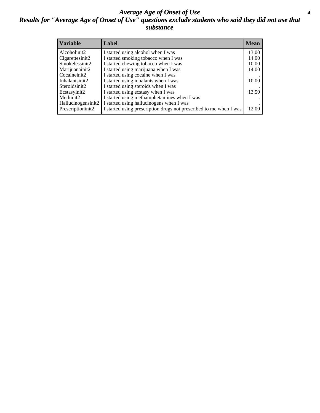#### *Average Age of Onset of Use* **4** *Results for "Average Age of Onset of Use" questions exclude students who said they did not use that substance*

| <b>Variable</b>    | Label                                                              | <b>Mean</b> |
|--------------------|--------------------------------------------------------------------|-------------|
| Alcoholinit2       | I started using alcohol when I was                                 | 13.00       |
| Cigarettesinit2    | I started smoking tobacco when I was                               | 14.00       |
| Smokelessinit2     | I started chewing tobacco when I was                               | 10.00       |
| Marijuanainit2     | I started using marijuana when I was                               | 14.00       |
| Cocaineinit2       | I started using cocaine when I was                                 |             |
| Inhalantsinit2     | I started using inhalants when I was                               | 10.00       |
| Steroidsinit2      | I started using steroids when I was                                |             |
| Ecstasyinit2       | I started using ecstasy when I was                                 | 13.50       |
| Methinit2          | I started using methamphetamines when I was                        |             |
| Hallucinogensinit2 | I started using hallucinogens when I was                           |             |
| Prescriptioninit2  | I started using prescription drugs not prescribed to me when I was | 12.00       |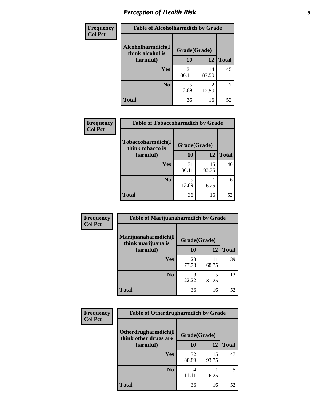## *Perception of Health Risk* **5**

| <b>Frequency</b> | <b>Table of Alcoholharmdich by Grade</b> |              |             |              |  |
|------------------|------------------------------------------|--------------|-------------|--------------|--|
| <b>Col Pct</b>   | Alcoholharmdich(I<br>think alcohol is    | Grade(Grade) |             |              |  |
|                  | harmful)                                 | 10           | 12          | <b>Total</b> |  |
|                  | Yes                                      | 31<br>86.11  | 14<br>87.50 | 45           |  |
|                  | N <sub>0</sub>                           | 5<br>13.89   | 2<br>12.50  | 7            |  |
|                  | <b>Total</b>                             | 36           | 16          | 52           |  |

| Frequency      | <b>Table of Tobaccoharmdich by Grade</b> |              |             |              |  |
|----------------|------------------------------------------|--------------|-------------|--------------|--|
| <b>Col Pct</b> | Tobaccoharmdich(I<br>think tobacco is    | Grade(Grade) |             |              |  |
|                | harmful)                                 | 10           | 12          | <b>Total</b> |  |
|                | <b>Yes</b>                               | 31<br>86.11  | 15<br>93.75 | 46           |  |
|                | N <sub>0</sub>                           | 13.89        | 6.25        | 6            |  |
|                | <b>Total</b>                             | 36           | 16          | 52           |  |

| Frequency      | <b>Table of Marijuanaharmdich by Grade</b> |              |             |              |  |  |
|----------------|--------------------------------------------|--------------|-------------|--------------|--|--|
| <b>Col Pct</b> | Marijuanaharmdich(I<br>think marijuana is  | Grade(Grade) |             |              |  |  |
|                | harmful)                                   | <b>10</b>    | 12          | <b>Total</b> |  |  |
|                | Yes                                        | 28<br>77.78  | 11<br>68.75 | 39           |  |  |
|                | N <sub>0</sub>                             | 22.22        | 5<br>31.25  | 13           |  |  |
|                | <b>Total</b>                               | 36           | 16          | 52           |  |  |

| <b>Frequency</b> | <b>Table of Otherdrugharmdich by Grade</b>           |              |             |              |  |
|------------------|------------------------------------------------------|--------------|-------------|--------------|--|
| <b>Col Pct</b>   | <b>Otherdrugharmdich(I)</b><br>think other drugs are | Grade(Grade) |             |              |  |
|                  | harmful)                                             | <b>10</b>    | 12          | <b>Total</b> |  |
|                  | Yes                                                  | 32<br>88.89  | 15<br>93.75 | 47           |  |
|                  | N <sub>0</sub>                                       | 11.11        | 6.25        | 5            |  |
|                  | <b>Total</b>                                         | 36           | 16          | 52           |  |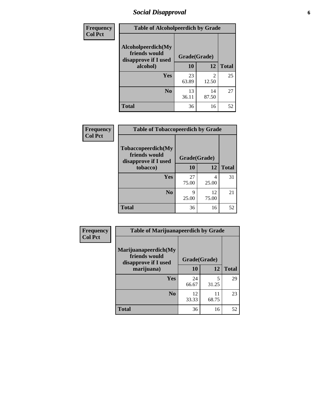### *Social Disapproval* **6**

| Frequency      | <b>Table of Alcoholpeerdich by Grade</b>                    |              |                         |              |  |
|----------------|-------------------------------------------------------------|--------------|-------------------------|--------------|--|
| <b>Col Pct</b> | Alcoholpeerdich(My<br>friends would<br>disapprove if I used | Grade(Grade) |                         |              |  |
| alcohol)       |                                                             | 10           | 12                      | <b>Total</b> |  |
|                | <b>Yes</b>                                                  | 23<br>63.89  | $\mathfrak{D}$<br>12.50 | 25           |  |
|                | N <sub>0</sub>                                              | 13<br>36.11  | 14<br>87.50             | 27           |  |
|                | <b>Total</b>                                                | 36           | 16                      | 52           |  |

| <b>Frequency</b> |
|------------------|
| <b>Col Pct</b>   |

| <b>Table of Tobaccopeerdich by Grade</b>                    |              |             |              |  |  |  |
|-------------------------------------------------------------|--------------|-------------|--------------|--|--|--|
| Tobaccopeerdich(My<br>friends would<br>disapprove if I used | Grade(Grade) |             |              |  |  |  |
| tobacco)                                                    | 10           | 12          | <b>Total</b> |  |  |  |
| Yes                                                         | 27<br>75.00  | 4<br>25.00  | 31           |  |  |  |
| N <sub>0</sub>                                              | 9<br>25.00   | 12<br>75.00 | 21           |  |  |  |
| <b>Total</b>                                                | 36           | 16          | 52           |  |  |  |

| <b>Frequency</b> | <b>Table of Marijuanapeerdich by Grade</b>                    |              |                                  |              |  |
|------------------|---------------------------------------------------------------|--------------|----------------------------------|--------------|--|
| <b>Col Pct</b>   | Marijuanapeerdich(My<br>friends would<br>disapprove if I used | Grade(Grade) |                                  |              |  |
|                  | marijuana)                                                    | 10           | 12                               | <b>Total</b> |  |
|                  | <b>Yes</b>                                                    | 24<br>66.67  | $\overline{\mathbf{5}}$<br>31.25 | 29           |  |
|                  | N <sub>0</sub>                                                | 12<br>33.33  | 11<br>68.75                      | 23           |  |
|                  | <b>Total</b>                                                  | 36           | 16                               | 52           |  |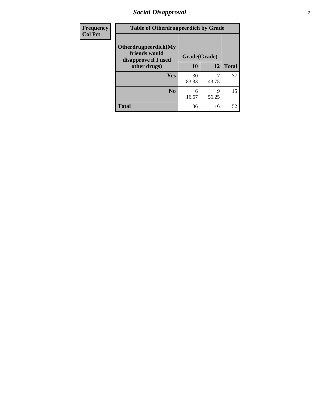### *Social Disapproval* **7**

| Frequency      | <b>Table of Otherdrugpeerdich by Grade</b>                    |             |              |              |  |  |
|----------------|---------------------------------------------------------------|-------------|--------------|--------------|--|--|
| <b>Col Pct</b> | Otherdrugpeerdich(My<br>friends would<br>disapprove if I used |             | Grade(Grade) |              |  |  |
|                | other drugs)                                                  | 10          | 12           | <b>Total</b> |  |  |
|                | Yes                                                           | 30<br>83.33 | 7<br>43.75   | 37           |  |  |
|                | N <sub>0</sub>                                                | 6<br>16.67  | 9<br>56.25   | 15           |  |  |
|                | <b>Total</b>                                                  | 36          | 16           | 52           |  |  |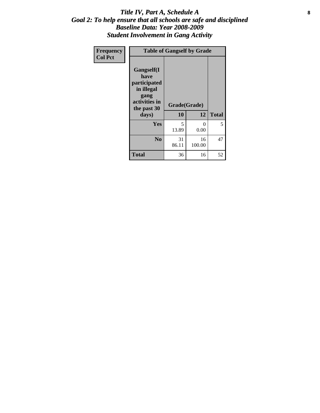#### Title IV, Part A, Schedule A **8** *Goal 2: To help ensure that all schools are safe and disciplined Baseline Data: Year 2008-2009 Student Involvement in Gang Activity*

| Frequency      | <b>Table of Gangself by Grade</b>                                                                 |                    |                  |              |
|----------------|---------------------------------------------------------------------------------------------------|--------------------|------------------|--------------|
| <b>Col Pct</b> | Gangself(I<br>have<br>participated<br>in illegal<br>gang<br>activities in<br>the past 30<br>days) | Grade(Grade)<br>10 | 12               | <b>Total</b> |
|                | Yes                                                                                               | 5<br>13.89         | $\theta$<br>0.00 | 5            |
|                | N <sub>0</sub>                                                                                    | 31<br>86.11        | 16<br>100.00     | 47           |
|                | <b>Total</b>                                                                                      | 36                 | 16               | 52           |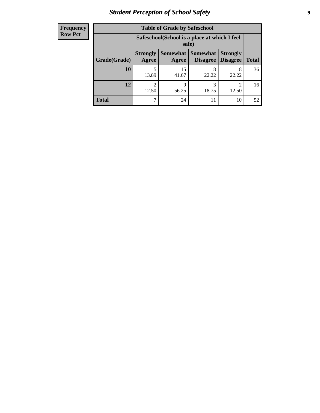## *Student Perception of School Safety* **9**

| <b>Frequency</b><br>Row Pct |
|-----------------------------|
|                             |

| <b>Table of Grade by Safeschool</b> |                          |                                                                                                          |            |            |    |  |  |
|-------------------------------------|--------------------------|----------------------------------------------------------------------------------------------------------|------------|------------|----|--|--|
|                                     |                          | Safeschool (School is a place at which I feel<br>safe)                                                   |            |            |    |  |  |
| Grade(Grade)                        | <b>Strongly</b><br>Agree | Somewhat  <br><b>Somewhat</b><br><b>Strongly</b><br><b>Disagree</b><br>Disagree<br><b>Total</b><br>Agree |            |            |    |  |  |
| 10                                  | 13.89                    | 15<br>41.67                                                                                              | 8<br>22.22 | 8<br>22.22 | 36 |  |  |
| 12                                  | 12.50                    | 9<br>56.25                                                                                               | 3<br>18.75 | 2<br>12.50 | 16 |  |  |
| <b>Total</b>                        |                          | 24                                                                                                       | 11         | 10         | 52 |  |  |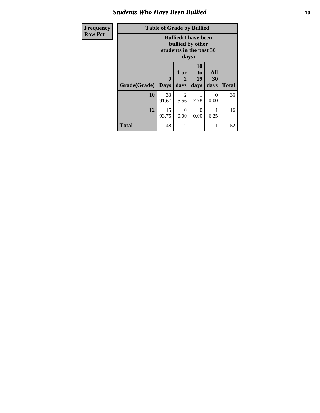### *Students Who Have Been Bullied* **10**

| <b>Frequency</b> | <b>Table of Grade by Bullied</b>                                                    |              |                              |                               |                   |              |
|------------------|-------------------------------------------------------------------------------------|--------------|------------------------------|-------------------------------|-------------------|--------------|
| <b>Row Pct</b>   | <b>Bullied</b> (I have been<br>bullied by other<br>students in the past 30<br>days) |              |                              |                               |                   |              |
|                  | Grade(Grade)   Days                                                                 | $\mathbf{0}$ | 1 or<br>$\mathbf{2}$<br>days | <b>10</b><br>to<br>19<br>days | All<br>30<br>days | <b>Total</b> |
|                  | 10                                                                                  | 33<br>91.67  | 2<br>5.56                    | 2.78                          | 0<br>0.00         | 36           |
|                  | 12                                                                                  | 15<br>93.75  | 0<br>0.00                    | $\Omega$<br>0.00              | 6.25              | 16           |
|                  | <b>Total</b>                                                                        | 48           | $\overline{2}$               | 1                             | 1                 | 52           |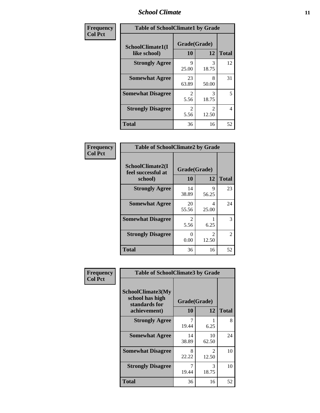#### *School Climate* **11**

| Frequency      | <b>Table of SchoolClimate1 by Grade</b> |                    |                         |              |  |  |
|----------------|-----------------------------------------|--------------------|-------------------------|--------------|--|--|
| <b>Col Pct</b> | SchoolClimate1(I<br>like school)        | Grade(Grade)<br>10 | 12                      | <b>Total</b> |  |  |
|                | <b>Strongly Agree</b>                   | 9<br>25.00         | 3<br>18.75              | 12           |  |  |
|                | <b>Somewhat Agree</b>                   | 23<br>63.89        | 8<br>50.00              | 31           |  |  |
|                | <b>Somewhat Disagree</b>                | 2<br>5.56          | 3<br>18.75              | 5            |  |  |
|                | <b>Strongly Disagree</b>                | 2<br>5.56          | $\mathfrak{D}$<br>12.50 | 4            |  |  |
|                | <b>Total</b>                            | 36                 | 16                      | 52           |  |  |

| Frequency      | <b>Table of SchoolClimate2 by Grade</b>           |                        |                                      |                |  |
|----------------|---------------------------------------------------|------------------------|--------------------------------------|----------------|--|
| <b>Col Pct</b> | SchoolClimate2(I<br>feel successful at<br>school) | Grade(Grade)<br>10     | 12                                   | <b>Total</b>   |  |
|                | <b>Strongly Agree</b>                             | 14<br>38.89            | 9<br>56.25                           | 23             |  |
|                | <b>Somewhat Agree</b>                             | 20<br>55.56            | 4<br>25.00                           | 24             |  |
|                | <b>Somewhat Disagree</b>                          | $\mathfrak{D}$<br>5.56 | 6.25                                 | 3              |  |
|                | <b>Strongly Disagree</b>                          | 0.00                   | $\mathcal{D}_{\mathcal{A}}$<br>12.50 | $\mathfrak{D}$ |  |
|                | <b>Total</b>                                      | 36                     | 16                                   | 52             |  |

| Frequency      | <b>Table of SchoolClimate3 by Grade</b>                                      |                           |                        |              |
|----------------|------------------------------------------------------------------------------|---------------------------|------------------------|--------------|
| <b>Col Pct</b> | <b>SchoolClimate3(My</b><br>school has high<br>standards for<br>achievement) | Grade(Grade)<br><b>10</b> | 12                     | <b>Total</b> |
|                | <b>Strongly Agree</b>                                                        | 19.44                     | 6.25                   | 8            |
|                | <b>Somewhat Agree</b>                                                        | 14<br>38.89               | 10<br>62.50            | 24           |
|                | <b>Somewhat Disagree</b>                                                     | 8<br>22.22                | $\mathcal{L}$<br>12.50 | 10           |
|                | <b>Strongly Disagree</b>                                                     | 19.44                     | 3<br>18.75             | 10           |
|                | Total                                                                        | 36                        | 16                     | 52           |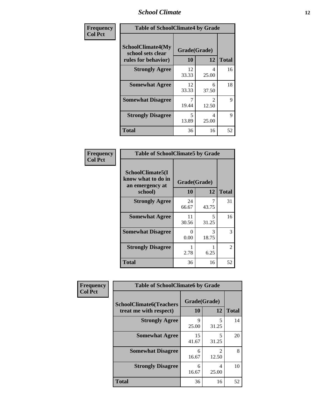### *School Climate* **12**

| Frequency      | <b>Table of SchoolClimate4 by Grade</b>                              |                    |                         |              |
|----------------|----------------------------------------------------------------------|--------------------|-------------------------|--------------|
| <b>Col Pct</b> | <b>SchoolClimate4(My</b><br>school sets clear<br>rules for behavior) | Grade(Grade)<br>10 | 12                      | <b>Total</b> |
|                | <b>Strongly Agree</b>                                                | 12<br>33.33        | 4<br>25.00              | 16           |
|                | <b>Somewhat Agree</b>                                                | 12<br>33.33        | 6<br>37.50              | 18           |
|                | <b>Somewhat Disagree</b>                                             | 7<br>19.44         | $\mathfrak{D}$<br>12.50 | 9            |
|                | <b>Strongly Disagree</b>                                             | 5<br>13.89         | 4<br>25.00              | 9            |
|                | <b>Total</b>                                                         | 36                 | 16                      | 52           |

| <b>Table of SchoolClimate5 by Grade</b>                   |                           |            |              |  |  |
|-----------------------------------------------------------|---------------------------|------------|--------------|--|--|
| SchoolClimate5(I<br>know what to do in<br>an emergency at | Grade(Grade)              |            |              |  |  |
| school)                                                   | 10                        | 12         | <b>Total</b> |  |  |
| <b>Strongly Agree</b>                                     | 24<br>66.67               | 43.75      | 31           |  |  |
| <b>Somewhat Agree</b>                                     | 11<br>30.56               | 5<br>31.25 | 16           |  |  |
| <b>Somewhat Disagree</b>                                  | $\mathbf{\Omega}$<br>0.00 | 3<br>18.75 | 3            |  |  |
| <b>Strongly Disagree</b>                                  | 2.78                      | 6.25       | 2            |  |  |
| Total                                                     | 36                        | 16         | 52           |  |  |

| Frequency      | <b>Table of SchoolClimate6 by Grade</b>                  |                    |                         |              |  |
|----------------|----------------------------------------------------------|--------------------|-------------------------|--------------|--|
| <b>Col Pct</b> | <b>SchoolClimate6(Teachers</b><br>treat me with respect) | Grade(Grade)<br>10 | 12                      | <b>Total</b> |  |
|                | <b>Strongly Agree</b>                                    | Q<br>25.00         | 5<br>31.25              | 14           |  |
|                | <b>Somewhat Agree</b>                                    | 15<br>41.67        | 5<br>31.25              | 20           |  |
|                | <b>Somewhat Disagree</b>                                 | 6<br>16.67         | $\mathfrak{D}$<br>12.50 | 8            |  |
|                | <b>Strongly Disagree</b>                                 | 6<br>16.67         | 4<br>25.00              | 10           |  |
|                | <b>Total</b>                                             | 36                 | 16                      | 52           |  |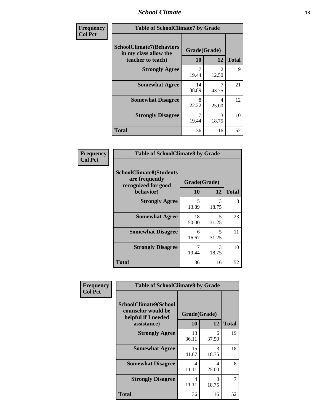### *School Climate* **13**

| Frequency      | <b>Table of SchoolClimate7 by Grade</b>                                       |                           |                         |              |
|----------------|-------------------------------------------------------------------------------|---------------------------|-------------------------|--------------|
| <b>Col Pct</b> | <b>SchoolClimate7(Behaviors</b><br>in my class allow the<br>teacher to teach) | Grade(Grade)<br><b>10</b> | 12                      | <b>Total</b> |
|                | <b>Strongly Agree</b>                                                         | 7<br>19.44                | $\overline{c}$<br>12.50 | 9            |
|                | <b>Somewhat Agree</b>                                                         | 14<br>38.89               | 7<br>43.75              | 21           |
|                | <b>Somewhat Disagree</b>                                                      | 8<br>22.22                | 4<br>25.00              | 12           |
|                | <b>Strongly Disagree</b>                                                      | $\overline{7}$<br>19.44   | $\mathcal{R}$<br>18.75  | 10           |
|                | <b>Total</b>                                                                  | 36                        | 16                      | 52           |

| Frequency      | <b>Table of SchoolClimate8 by Grade</b>                                 |                                   |            |              |
|----------------|-------------------------------------------------------------------------|-----------------------------------|------------|--------------|
| <b>Col Pct</b> | <b>SchoolClimate8(Students</b><br>are frequently<br>recognized for good | Grade(Grade)                      |            |              |
|                | behavior)                                                               | 10                                | 12         | <b>Total</b> |
|                | <b>Strongly Agree</b>                                                   | $\overline{\phantom{0}}$<br>13.89 | 3<br>18.75 | 8            |
|                | <b>Somewhat Agree</b>                                                   | 18<br>50.00                       | 5<br>31.25 | 23           |
|                | <b>Somewhat Disagree</b>                                                | 6<br>16.67                        | 5<br>31.25 | 11           |
|                | <b>Strongly Disagree</b>                                                | 19.44                             | 3<br>18.75 | 10           |
|                | <b>Total</b>                                                            | 36                                | 16         | 52           |

| Frequency      | <b>Table of SchoolClimate9 by Grade</b>                                           |                    |            |              |
|----------------|-----------------------------------------------------------------------------------|--------------------|------------|--------------|
| <b>Col Pct</b> | SchoolClimate9(School<br>counselor would be<br>helpful if I needed<br>assistance) | Grade(Grade)<br>10 | 12         | <b>Total</b> |
|                | <b>Strongly Agree</b>                                                             | 13<br>36.11        | 6<br>37.50 | 19           |
|                | <b>Somewhat Agree</b>                                                             | 15<br>41.67        | 3<br>18.75 | 18           |
|                | <b>Somewhat Disagree</b>                                                          | 4<br>11.11         | 4<br>25.00 | 8            |
|                | <b>Strongly Disagree</b>                                                          | 4<br>11.11         | 3<br>18.75 | 7            |
|                | <b>Total</b>                                                                      | 36                 | 16         | 52           |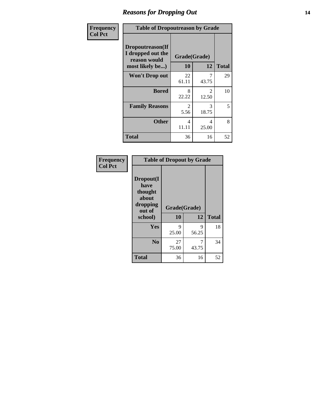### *Reasons for Dropping Out* **14**

| Frequency      | <b>Table of Dropoutreason by Grade</b>                                   |                    |                         |              |
|----------------|--------------------------------------------------------------------------|--------------------|-------------------------|--------------|
| <b>Col Pct</b> | Dropoutreason(If<br>I dropped out the<br>reason would<br>most likely be) | Grade(Grade)<br>10 | 12                      | <b>Total</b> |
|                | <b>Won't Drop out</b>                                                    | 22<br>61.11        | 7<br>43.75              | 29           |
|                | <b>Bored</b>                                                             | 8<br>22.22         | $\mathfrak{D}$<br>12.50 | 10           |
|                | <b>Family Reasons</b>                                                    | 2<br>5.56          | 3<br>18.75              | 5            |
|                | <b>Other</b>                                                             | 4<br>11.11         | 4<br>25.00              | 8            |
|                | <b>Total</b>                                                             | 36                 | 16                      | 52           |

| Frequency      | <b>Table of Dropout by Grade</b>                            |              |            |              |  |
|----------------|-------------------------------------------------------------|--------------|------------|--------------|--|
| <b>Col Pct</b> | Dropout(I<br>have<br>thought<br>about<br>dropping<br>out of | Grade(Grade) |            |              |  |
|                | school)                                                     | 10           | 12         | <b>Total</b> |  |
|                | <b>Yes</b>                                                  | 9<br>25.00   | 9<br>56.25 | 18           |  |
|                | N <sub>0</sub>                                              | 27<br>75.00  | 7<br>43.75 | 34           |  |
|                | <b>Total</b>                                                | 36           | 16         | 52           |  |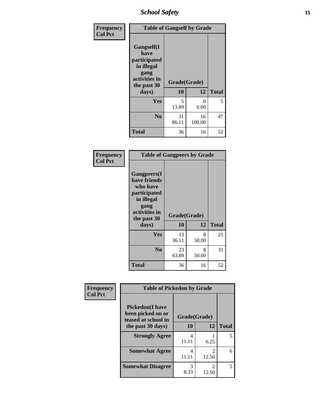*School Safety* **15**

| Frequency      | <b>Table of Gangself by Grade</b>                                                                 |                    |              |              |
|----------------|---------------------------------------------------------------------------------------------------|--------------------|--------------|--------------|
| <b>Col Pct</b> | Gangself(I<br>have<br>participated<br>in illegal<br>gang<br>activities in<br>the past 30<br>days) | Grade(Grade)<br>10 | 12           | <b>Total</b> |
|                | Yes                                                                                               | 5<br>13.89         | 0<br>0.00    | 5            |
|                | N <sub>0</sub>                                                                                    | 31<br>86.11        | 16<br>100.00 | 47           |
|                | <b>Total</b>                                                                                      | 36                 | 16           | 52           |

| Frequency<br><b>Col Pct</b> | <b>Table of Gangpeers by Grade</b>                                                                                             |                    |            |              |
|-----------------------------|--------------------------------------------------------------------------------------------------------------------------------|--------------------|------------|--------------|
|                             | <b>Gangpeers</b> (I<br>have friends<br>who have<br>participated<br>in illegal<br>gang<br>activities in<br>the past 30<br>days) | Grade(Grade)<br>10 | 12         | <b>Total</b> |
|                             | <b>Yes</b>                                                                                                                     | 13<br>36.11        | 8<br>50.00 | 21           |
|                             | N <sub>0</sub>                                                                                                                 | 23<br>63.89        | 8<br>50.00 | 31           |
|                             | <b>Total</b>                                                                                                                   | 36                 | 16         | 52           |

| Frequency      | <b>Table of Pickedon by Grade</b>                                   |              |                                      |              |
|----------------|---------------------------------------------------------------------|--------------|--------------------------------------|--------------|
| <b>Col Pct</b> | <b>Pickedon</b> (I have<br>been picked on or<br>teased at school in | Grade(Grade) |                                      |              |
|                | the past 30 days)                                                   | 10           | 12                                   | <b>Total</b> |
|                | <b>Strongly Agree</b>                                               | 4<br>11.11   | 6.25                                 | 5            |
|                | <b>Somewhat Agree</b>                                               | 4<br>11.11   | $\mathcal{D}_{\mathcal{L}}$<br>12.50 | 6            |
|                | <b>Somewhat Disagree</b>                                            | 3<br>8.33    | $\mathfrak{D}$<br>12.50              | 5            |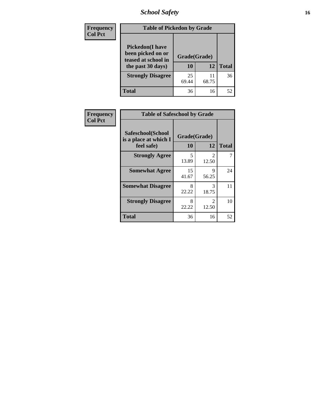*School Safety* **16**

| <b>Frequency</b> | <b>Table of Pickedon by Grade</b>                                                        |                    |             |              |  |
|------------------|------------------------------------------------------------------------------------------|--------------------|-------------|--------------|--|
| <b>Col Pct</b>   | <b>Pickedon</b> (I have<br>been picked on or<br>teased at school in<br>the past 30 days) | Grade(Grade)<br>10 | 12          | <b>Total</b> |  |
|                  | <b>Strongly Disagree</b>                                                                 | 25<br>69.44        | 11<br>68.75 | 36           |  |
|                  | Total                                                                                    | 36                 | 16          | 52           |  |

| Frequency      | <b>Table of Safeschool by Grade</b>                      |                    |                         |              |
|----------------|----------------------------------------------------------|--------------------|-------------------------|--------------|
| <b>Col Pct</b> | Safeschool(School<br>is a place at which I<br>feel safe) | Grade(Grade)<br>10 | 12                      | <b>Total</b> |
|                | <b>Strongly Agree</b>                                    | 5<br>13.89         | $\mathfrak{D}$<br>12.50 | 7            |
|                | <b>Somewhat Agree</b>                                    | 15<br>41.67        | 9<br>56.25              | 24           |
|                | <b>Somewhat Disagree</b>                                 | 8<br>22.22         | 3<br>18.75              | 11           |
|                | <b>Strongly Disagree</b>                                 | 8<br>22.22         | $\mathfrak{D}$<br>12.50 | 10           |
|                | <b>Total</b>                                             | 36                 | 16                      | 52           |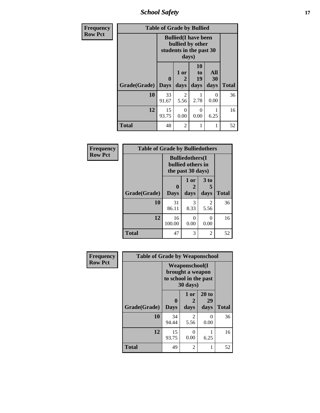*School Safety* **17**

| Frequency      | <b>Table of Grade by Bullied</b> |                  |                   |                                                                            |                          |              |  |  |
|----------------|----------------------------------|------------------|-------------------|----------------------------------------------------------------------------|--------------------------|--------------|--|--|
| <b>Row Pct</b> |                                  |                  | days)             | <b>Bullied</b> (I have been<br>bullied by other<br>students in the past 30 |                          |              |  |  |
|                | Grade(Grade)                     | 0<br><b>Days</b> | 1 or<br>2<br>days | 10<br>to<br>19<br>days                                                     | All<br><b>30</b><br>days | <b>Total</b> |  |  |
|                | 10                               | 33<br>91.67      | 2<br>5.56         | 2.78                                                                       | 0<br>0.00                | 36           |  |  |
|                | 12                               | 15<br>93.75      | $\Omega$<br>0.00  | 0<br>0.00                                                                  | 6.25                     | 16           |  |  |
|                | <b>Total</b>                     | 48               | 2                 | 1                                                                          | 1                        | 52           |  |  |

| Frequency      | <b>Table of Grade by Bulliedothers</b> |                            |                                                                   |                   |              |  |  |
|----------------|----------------------------------------|----------------------------|-------------------------------------------------------------------|-------------------|--------------|--|--|
| <b>Row Pct</b> |                                        |                            | <b>Bulliedothers</b> (I<br>bullied others in<br>the past 30 days) |                   |              |  |  |
|                | Grade(Grade)                           | $\mathbf 0$<br><b>Days</b> | 1 or<br>days                                                      | 3 to<br>5<br>days | <b>Total</b> |  |  |
|                | 10                                     | 31<br>86.11                | 3<br>8.33                                                         | 2<br>5.56         | 36           |  |  |
|                | 12                                     | 16<br>100.00               | 0<br>0.00                                                         | 0<br>0.00         | 16           |  |  |
|                | <b>Total</b>                           | 47                         | 3                                                                 | 2                 | 52           |  |  |

| Frequency      | <b>Table of Grade by Weaponschool</b> |                                                                                 |                        |                     |              |
|----------------|---------------------------------------|---------------------------------------------------------------------------------|------------------------|---------------------|--------------|
| <b>Row Pct</b> |                                       | <b>Weaponschool</b> (I<br>brought a weapon<br>to school in the past<br>30 days) |                        |                     |              |
|                | Grade(Grade)                          | $\mathbf 0$<br><b>Days</b>                                                      | 1 or<br>2<br>days      | 20 to<br>29<br>days | <b>Total</b> |
|                | 10                                    | 34<br>94.44                                                                     | $\overline{2}$<br>5.56 | 0<br>0.00           | 36           |
|                | 12                                    | 15<br>93.75                                                                     | 0<br>0.00              | 6.25                | 16           |
|                | <b>Total</b>                          | 49                                                                              | $\overline{2}$         |                     | 52           |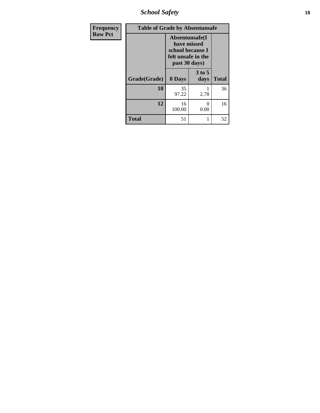*School Safety* **18**

| <b>Frequency</b> | <b>Table of Grade by Absentunsafe</b> |                                                                                           |                  |              |  |  |  |
|------------------|---------------------------------------|-------------------------------------------------------------------------------------------|------------------|--------------|--|--|--|
| <b>Row Pct</b>   |                                       | Absentunsafe(I)<br>have missed<br>school because I<br>felt unsafe in the<br>past 30 days) |                  |              |  |  |  |
|                  | Grade(Grade)                          | 0 Days                                                                                    | $3$ to 5<br>days | <b>Total</b> |  |  |  |
|                  | 10                                    | 35<br>97.22                                                                               | 2.78             | 36           |  |  |  |
|                  | 12                                    | 16<br>100.00                                                                              | 0<br>0.00        | 16           |  |  |  |
|                  | <b>Total</b>                          | 51                                                                                        | 1                | 52           |  |  |  |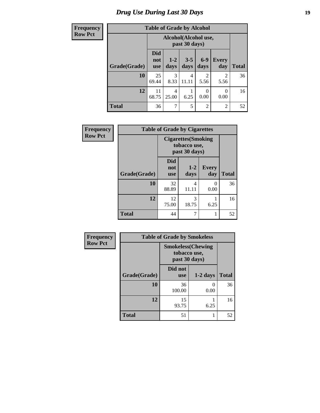### *Drug Use During Last 30 Days* **19**

| Frequency      | <b>Table of Grade by Alcohol</b> |                                 |                      |                 |                        |                        |              |
|----------------|----------------------------------|---------------------------------|----------------------|-----------------|------------------------|------------------------|--------------|
| <b>Row Pct</b> |                                  |                                 | Alcohol(Alcohol use, | past 30 days)   |                        |                        |              |
|                | Grade(Grade)                     | <b>Did</b><br>not<br><b>use</b> | $1-2$<br>days        | $3 - 5$<br>days | $6-9$<br>days          | <b>Every</b><br>day    | <b>Total</b> |
|                | 10                               | 25<br>69.44                     | 3<br>8.33            | 4<br>11.11      | $\overline{c}$<br>5.56 | $\overline{c}$<br>5.56 | 36           |
|                | 12                               | 11<br>68.75                     | 4<br>25.00           | 6.25            | 0<br>0.00              | 0<br>0.00              | 16           |
|                | <b>Total</b>                     | 36                              | 7                    | 5               | $\overline{2}$         | $\overline{2}$         | 52           |

| Frequency      | <b>Table of Grade by Cigarettes</b> |                                                             |                 |                     |              |  |  |
|----------------|-------------------------------------|-------------------------------------------------------------|-----------------|---------------------|--------------|--|--|
| <b>Row Pct</b> |                                     | <b>Cigarettes</b> (Smoking<br>tobacco use,<br>past 30 days) |                 |                     |              |  |  |
|                | Grade(Grade)                        | <b>Did</b><br>not<br><b>use</b>                             | $1 - 2$<br>days | <b>Every</b><br>day | <b>Total</b> |  |  |
|                | 10                                  | 32<br>88.89                                                 | 4<br>11.11      | 0<br>0.00           | 36           |  |  |
|                | 12                                  | 12<br>75.00                                                 | 3<br>18.75      | 6.25                | 16           |  |  |
|                | <b>Total</b>                        | 44                                                          | 7               | 1                   | 52           |  |  |

| Frequency      | <b>Table of Grade by Smokeless</b> |                                                           |                      |              |
|----------------|------------------------------------|-----------------------------------------------------------|----------------------|--------------|
| <b>Row Pct</b> |                                    | <b>Smokeless(Chewing</b><br>tobacco use,<br>past 30 days) |                      |              |
|                | Grade(Grade)                       | Did not<br><b>use</b>                                     | $1-2$ days           | <b>Total</b> |
|                | 10                                 | 36<br>100.00                                              | $\mathbf{0}$<br>0.00 | 36           |
|                | 12                                 | 15<br>93.75                                               | 6.25                 | 16           |
|                | <b>Total</b>                       | 51                                                        | 1                    | 52           |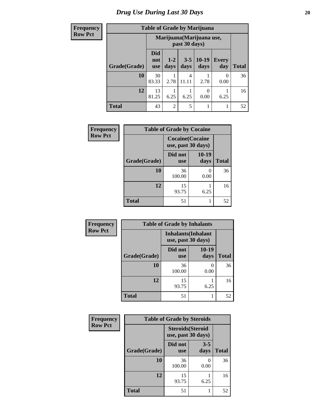### *Drug Use During Last 30 Days* 20

### **Frequency**

П

## **Table of Grade by Marijuana**

| r requency     | Table of Grade by Marijuana |                                 |                |                                            |                 |                     |              |  |
|----------------|-----------------------------|---------------------------------|----------------|--------------------------------------------|-----------------|---------------------|--------------|--|
| <b>Row Pct</b> |                             |                                 |                | Marijuana (Marijuana use,<br>past 30 days) |                 |                     |              |  |
|                | Grade(Grade)                | <b>Did</b><br>not<br><b>use</b> | $1-2$<br>days  | $3 - 5$<br>days                            | $10-19$<br>days | <b>Every</b><br>day | <b>Total</b> |  |
|                | 10                          | 30<br>83.33                     | 2.78           | 4<br>11.11                                 | 2.78            | $\Omega$<br>0.00    | 36           |  |
|                | 12                          | 13<br>81.25                     | 6.25           | 6.25                                       | 0<br>0.00       | 6.25                | 16           |  |
|                | <b>Total</b>                | 43                              | $\overline{2}$ | 5                                          |                 |                     | 52           |  |

| <b>Frequency</b> | <b>Table of Grade by Cocaine</b> |                                               |                 |              |  |  |  |  |
|------------------|----------------------------------|-----------------------------------------------|-----------------|--------------|--|--|--|--|
| <b>Row Pct</b>   |                                  | <b>Cocaine</b> (Cocaine<br>use, past 30 days) |                 |              |  |  |  |  |
|                  | Grade(Grade)                     | Did not<br><b>use</b>                         | $10-19$<br>days | <b>Total</b> |  |  |  |  |
|                  | 10                               | 36<br>100.00                                  | 0.00            | 36           |  |  |  |  |
|                  | 12                               | 15<br>93.75                                   | 6.25            | 16           |  |  |  |  |
|                  | <b>Total</b>                     | 51                                            |                 | 52           |  |  |  |  |

| Frequency      |              | <b>Table of Grade by Inhalants</b> |                            |              |
|----------------|--------------|------------------------------------|----------------------------|--------------|
| <b>Row Pct</b> |              | use, past 30 days)                 | <b>Inhalants</b> (Inhalant |              |
|                | Grade(Grade) | Did not<br><b>use</b>              | 10-19<br>days              | <b>Total</b> |
|                | 10           | 36<br>100.00                       | 0<br>0.00                  | 36           |
|                | 12           | 15<br>93.75                        | 6.25                       | 16           |
|                | <b>Total</b> | 51                                 |                            | 52           |

| Frequency      | <b>Table of Grade by Steroids</b> |                                                |                           |              |
|----------------|-----------------------------------|------------------------------------------------|---------------------------|--------------|
| <b>Row Pct</b> |                                   | <b>Steroids</b> (Steroid<br>use, past 30 days) |                           |              |
|                | Grade(Grade)                      | Did not<br><b>use</b>                          | $3 - 5$<br>days           | <b>Total</b> |
|                | 10                                | 36<br>100.00                                   | $\mathbf{\Omega}$<br>0.00 | 36           |
|                | 12                                | 15<br>93.75                                    | 6.25                      | 16           |
|                | <b>Total</b>                      | 51                                             |                           | 52           |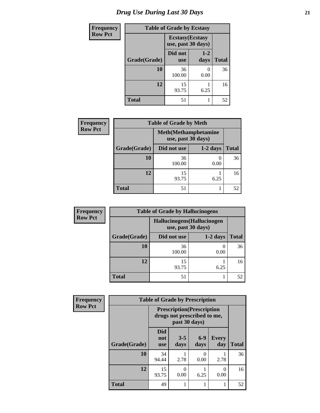## *Drug Use During Last 30 Days* **21**

| <b>Frequency</b> | <b>Table of Grade by Ecstasy</b> |                                               |                 |              |
|------------------|----------------------------------|-----------------------------------------------|-----------------|--------------|
| <b>Row Pct</b>   |                                  | <b>Ecstasy</b> (Ecstasy<br>use, past 30 days) |                 |              |
|                  | Grade(Grade)                     | Did not<br><b>use</b>                         | $1 - 2$<br>days | <b>Total</b> |
|                  | 10                               | 36<br>100.00                                  | 0.00            | 36           |
|                  | 12                               | 15<br>93.75                                   | 6.25            | 16           |
|                  | <b>Total</b>                     | 51                                            |                 | 52           |

| <b>Frequency</b> | <b>Table of Grade by Meth</b> |                                                    |            |              |
|------------------|-------------------------------|----------------------------------------------------|------------|--------------|
| <b>Row Pct</b>   |                               | <b>Meth</b> (Methamphetamine<br>use, past 30 days) |            |              |
|                  | Grade(Grade)                  | Did not use                                        | $1-2$ days | <b>Total</b> |
|                  | 10                            | 36<br>100.00                                       | 0.00       | 36           |
|                  | 12                            | 15<br>93.75                                        | 6.25       | 16           |
|                  | <b>Total</b>                  | 51                                                 |            | 52           |

| <b>Frequency</b> | <b>Table of Grade by Hallucinogens</b> |                                                   |            |              |
|------------------|----------------------------------------|---------------------------------------------------|------------|--------------|
| <b>Row Pct</b>   |                                        | Hallucinogens (Hallucinogen<br>use, past 30 days) |            |              |
|                  | Grade(Grade)                           | Did not use                                       | $1-2$ days | <b>Total</b> |
|                  | 10                                     | 36<br>100.00                                      | 0.00       | 36           |
|                  | 12                                     | 15<br>93.75                                       | 6.25       | 16           |
|                  | Total                                  | 51                                                |            | 52           |

| Frequency      | <b>Table of Grade by Prescription</b> |                                                                                   |                 |               |                     |              |
|----------------|---------------------------------------|-----------------------------------------------------------------------------------|-----------------|---------------|---------------------|--------------|
| <b>Row Pct</b> |                                       | <b>Prescription</b> (Prescription<br>drugs not prescribed to me,<br>past 30 days) |                 |               |                     |              |
|                | Grade(Grade)                          | <b>Did</b><br>not<br><b>use</b>                                                   | $3 - 5$<br>days | $6-9$<br>days | <b>Every</b><br>day | <b>Total</b> |
|                | 10                                    | 34<br>94.44                                                                       | 2.78            | 0<br>0.00     | 2.78                | 36           |
|                | 12                                    | 15<br>93.75                                                                       | 0<br>0.00       | 6.25          | 0<br>0.00           | 16           |
|                | <b>Total</b>                          | 49                                                                                |                 |               |                     | 52           |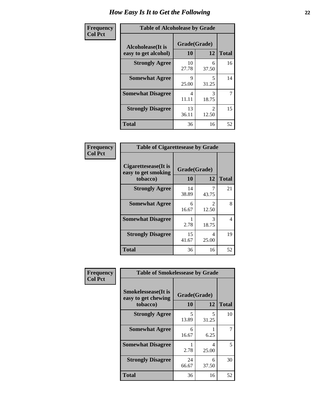| Frequency      | <b>Table of Alcoholease by Grade</b>              |                    |            |              |
|----------------|---------------------------------------------------|--------------------|------------|--------------|
| <b>Col Pct</b> | <b>Alcoholease</b> (It is<br>easy to get alcohol) | Grade(Grade)<br>10 | 12         | <b>Total</b> |
|                | <b>Strongly Agree</b>                             | 10<br>27.78        | 6<br>37.50 | 16           |
|                | <b>Somewhat Agree</b>                             | 9<br>25.00         | 5<br>31.25 | 14           |
|                | <b>Somewhat Disagree</b>                          | 4<br>11.11         | 3<br>18.75 | 7            |
|                | <b>Strongly Disagree</b>                          | 13<br>36.11        | 2<br>12.50 | 15           |
|                | <b>Total</b>                                      | 36                 | 16         | 52           |

| Frequency      | <b>Table of Cigarettesease by Grade</b>                  |                    |            |              |
|----------------|----------------------------------------------------------|--------------------|------------|--------------|
| <b>Col Pct</b> | Cigarettesease (It is<br>easy to get smoking<br>tobacco) | Grade(Grade)<br>10 | 12         | <b>Total</b> |
|                | <b>Strongly Agree</b>                                    | 14<br>38.89        | 43.75      | 21           |
|                | <b>Somewhat Agree</b>                                    | 6<br>16.67         | 2<br>12.50 | 8            |
|                | <b>Somewhat Disagree</b>                                 | 2.78               | 3<br>18.75 | 4            |
|                | <b>Strongly Disagree</b>                                 | 15<br>41.67        | 4<br>25.00 | 19           |
|                | <b>Total</b>                                             | 36                 | 16         | 52           |

| Frequency      | <b>Table of Smokelessease by Grade</b>                         |                    |            |              |  |
|----------------|----------------------------------------------------------------|--------------------|------------|--------------|--|
| <b>Col Pct</b> | <b>Smokelessease</b> (It is<br>easy to get chewing<br>tobacco) | Grade(Grade)<br>10 | 12         | <b>Total</b> |  |
|                | <b>Strongly Agree</b>                                          | 5                  | 5          | 10           |  |
|                |                                                                | 13.89              | 31.25      |              |  |
|                | <b>Somewhat Agree</b>                                          | 6<br>16.67         | 6.25       |              |  |
|                | <b>Somewhat Disagree</b>                                       | 2.78               | 4<br>25.00 | 5            |  |
|                | <b>Strongly Disagree</b>                                       | 24<br>66.67        | 6<br>37.50 | 30           |  |
|                | <b>Total</b>                                                   | 36                 | 16         | 52           |  |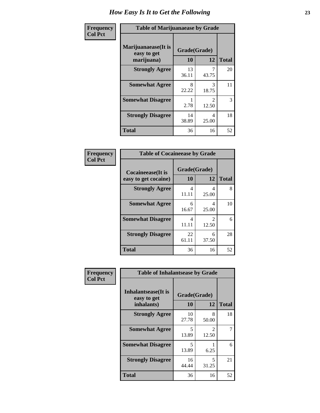| Frequency      | <b>Table of Marijuanaease by Grade</b>           |                    |                                      |              |
|----------------|--------------------------------------------------|--------------------|--------------------------------------|--------------|
| <b>Col Pct</b> | Marijuanaease(It is<br>easy to get<br>marijuana) | Grade(Grade)<br>10 | 12                                   | <b>Total</b> |
|                | <b>Strongly Agree</b>                            | 13<br>36.11        | 43.75                                | 20           |
|                | <b>Somewhat Agree</b>                            | 8<br>22.22         | 3<br>18.75                           | 11           |
|                | <b>Somewhat Disagree</b>                         | 2.78               | $\mathcal{D}_{\mathcal{L}}$<br>12.50 | 3            |
|                | <b>Strongly Disagree</b>                         | 14<br>38.89        | 4<br>25.00                           | 18           |
|                | <b>Total</b>                                     | 36                 | 16                                   | 52           |

| <b>Table of Cocaineease by Grade</b>              |                    |                                      |    |  |  |
|---------------------------------------------------|--------------------|--------------------------------------|----|--|--|
| <b>Cocaineease</b> (It is<br>easy to get cocaine) | Grade(Grade)<br>10 | <b>Total</b>                         |    |  |  |
| <b>Strongly Agree</b>                             | 4<br>11.11         | 4<br>25.00                           | 8  |  |  |
| <b>Somewhat Agree</b>                             | 6<br>16.67         | 4<br>25.00                           | 10 |  |  |
| <b>Somewhat Disagree</b>                          | 4<br>11.11         | $\mathcal{D}_{\mathcal{L}}$<br>12.50 | 6  |  |  |
| <b>Strongly Disagree</b>                          | 22<br>61.11        | 6<br>37.50                           | 28 |  |  |
| <b>Total</b>                                      | 36                 | 16                                   | 52 |  |  |

| Frequency      | <b>Table of Inhalantsease by Grade</b>                   |                                   |            |              |
|----------------|----------------------------------------------------------|-----------------------------------|------------|--------------|
| <b>Col Pct</b> | <b>Inhalantsease</b> (It is<br>easy to get<br>inhalants) | Grade(Grade)<br><b>10</b>         | 12         | <b>Total</b> |
|                | <b>Strongly Agree</b>                                    | 10<br>27.78                       | 8<br>50.00 | 18           |
|                | <b>Somewhat Agree</b>                                    | $\overline{\phantom{0}}$<br>13.89 | 2<br>12.50 | 7            |
|                | <b>Somewhat Disagree</b>                                 | 5<br>13.89                        | 6.25       | 6            |
|                | <b>Strongly Disagree</b>                                 | 16<br>44.44                       | 5<br>31.25 | 21           |
|                | <b>Total</b>                                             | 36                                | 16         | 52           |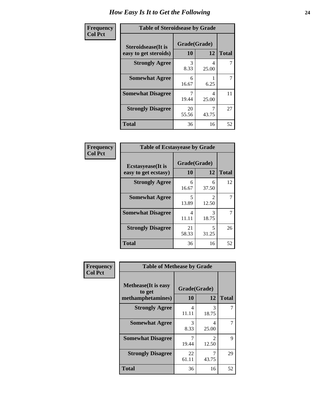| Frequency      | <b>Table of Steroidsease by Grade</b>               |                    |            |              |
|----------------|-----------------------------------------------------|--------------------|------------|--------------|
| <b>Col Pct</b> | <b>Steroidsease</b> (It is<br>easy to get steroids) | Grade(Grade)<br>10 | 12         | <b>Total</b> |
|                | <b>Strongly Agree</b>                               | 3<br>8.33          | 4<br>25.00 |              |
|                | <b>Somewhat Agree</b>                               | 6<br>16.67         | 6.25       | 7            |
|                | <b>Somewhat Disagree</b>                            | 7<br>19.44         | 4<br>25.00 | 11           |
|                | <b>Strongly Disagree</b>                            | 20<br>55.56        | 43.75      | 27           |
|                | <b>Total</b>                                        | 36                 | 16         | 52           |

| Frequency      | <b>Table of Ecstasyease by Grade</b>              |                    |                                      |    |  |  |  |  |  |
|----------------|---------------------------------------------------|--------------------|--------------------------------------|----|--|--|--|--|--|
| <b>Col Pct</b> | <b>Ecstasyease</b> (It is<br>easy to get ecstasy) | Grade(Grade)<br>10 | <b>Total</b>                         |    |  |  |  |  |  |
|                | <b>Strongly Agree</b>                             | 6<br>16.67         | 6<br>37.50                           | 12 |  |  |  |  |  |
|                | <b>Somewhat Agree</b>                             | 5<br>13.89         | $\mathcal{D}_{\mathcal{L}}$<br>12.50 | 7  |  |  |  |  |  |
|                | <b>Somewhat Disagree</b>                          | 4<br>11.11         | 3<br>18.75                           | 7  |  |  |  |  |  |
|                | <b>Strongly Disagree</b>                          | 21<br>58.33        | 5<br>31.25                           | 26 |  |  |  |  |  |
|                | <b>Total</b>                                      | 36                 | 16                                   | 52 |  |  |  |  |  |

| Frequency      | <b>Table of Methease by Grade</b>                          |                    |                         |              |
|----------------|------------------------------------------------------------|--------------------|-------------------------|--------------|
| <b>Col Pct</b> | <b>Methease</b> (It is easy<br>to get<br>methamphetamines) | Grade(Grade)<br>10 | 12                      | <b>Total</b> |
|                | <b>Strongly Agree</b>                                      | 4<br>11.11         | 3<br>18.75              |              |
|                | <b>Somewhat Agree</b>                                      | 3<br>8.33          | 4<br>25.00              |              |
|                | <b>Somewhat Disagree</b>                                   | 19.44              | $\mathfrak{D}$<br>12.50 | 9            |
|                | <b>Strongly Disagree</b>                                   | 22<br>61.11        | 7<br>43.75              | 29           |
|                | <b>Total</b>                                               | 36                 | 16                      | 52           |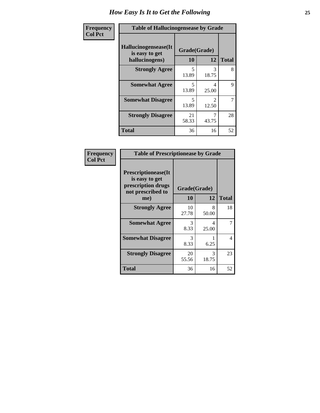| <b>Frequency</b> | <b>Table of Hallucinogensease by Grade</b>               |                                   |                                      |              |  |  |  |  |
|------------------|----------------------------------------------------------|-----------------------------------|--------------------------------------|--------------|--|--|--|--|
| <b>Col Pct</b>   | Hallucinogensease(It<br>is easy to get<br>hallucinogens) | Grade(Grade)<br>10                | 12                                   | <b>Total</b> |  |  |  |  |
|                  | <b>Strongly Agree</b>                                    | 5<br>13.89                        | 3<br>18.75                           | 8            |  |  |  |  |
|                  | <b>Somewhat Agree</b>                                    | $\overline{\phantom{0}}$<br>13.89 | 4<br>25.00                           | 9            |  |  |  |  |
|                  | <b>Somewhat Disagree</b>                                 | $\overline{\phantom{0}}$<br>13.89 | $\mathcal{D}_{\mathcal{L}}$<br>12.50 | 7            |  |  |  |  |
|                  | <b>Strongly Disagree</b>                                 | 21<br>58.33                       | 7<br>43.75                           | 28           |  |  |  |  |
|                  | <b>Total</b>                                             | 36                                | 16                                   | 52           |  |  |  |  |

| Frequency<br>Col Pct |
|----------------------|
|                      |

| <b>Table of Prescriptionease by Grade</b>                                                |             |              |              |  |  |  |  |  |
|------------------------------------------------------------------------------------------|-------------|--------------|--------------|--|--|--|--|--|
| <b>Prescriptionease</b> (It<br>is easy to get<br>prescription drugs<br>not prescribed to |             | Grade(Grade) |              |  |  |  |  |  |
| me)                                                                                      | 10          | 12           | <b>Total</b> |  |  |  |  |  |
| <b>Strongly Agree</b>                                                                    | 10<br>27.78 | 8<br>50.00   | 18           |  |  |  |  |  |
| <b>Somewhat Agree</b>                                                                    | 3<br>8.33   | Δ<br>25.00   | 7            |  |  |  |  |  |
| <b>Somewhat Disagree</b>                                                                 | 3<br>8.33   | 6.25         | 4            |  |  |  |  |  |
| <b>Strongly Disagree</b>                                                                 | 20<br>55.56 | 3<br>18.75   | 23           |  |  |  |  |  |
| <b>Total</b>                                                                             | 36          | 16           | 52           |  |  |  |  |  |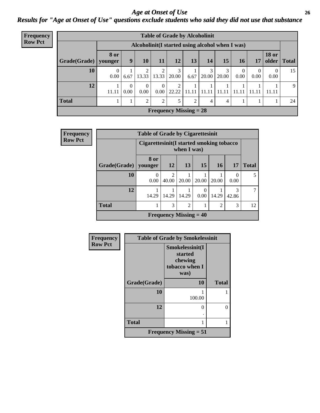*Age at Onset of Use* **26** *Results for "Age at Onset of Use" questions exclude students who said they did not use that substance*

| Frequency      | <b>Table of Grade by Alcoholinit</b> |             |                                                 |               |                  |                        |                               |            |            |                        |           |                       |              |
|----------------|--------------------------------------|-------------|-------------------------------------------------|---------------|------------------|------------------------|-------------------------------|------------|------------|------------------------|-----------|-----------------------|--------------|
| <b>Row Pct</b> |                                      |             | Alcoholinit(I started using alcohol when I was) |               |                  |                        |                               |            |            |                        |           |                       |              |
|                | Grade(Grade)   younger               | <b>8 or</b> | 9                                               | 10            | 11               | 12                     | 13                            | 14         | 15         | 16 <sub>1</sub>        | 17        | <b>18 or</b><br>older | <b>Total</b> |
|                | 10                                   | 0<br>0.00   | 6.67                                            | 13.33         | 13.33            | 3<br>20.00             | 6.67                          | 3<br>20.00 | 3<br>20.00 | $\overline{0}$<br>0.00 | 0<br>0.00 | 0.00                  | 15           |
|                | 12                                   | 11.11       | 0<br>0.00                                       | 0<br>0.00     | $\theta$<br>0.00 | $\mathcal{D}$<br>22.22 | 11.11                         | 11.11      | 11.11      | 11.11   11.11          |           | 11.11                 | 9            |
|                | <b>Total</b>                         |             |                                                 | $\mathcal{L}$ | 2                | 5                      | $\overline{2}$                | 4          | 4          |                        |           |                       | 24           |
|                |                                      |             |                                                 |               |                  |                        | <b>Frequency Missing = 28</b> |            |            |                        |           |                       |              |

| <b>Frequency</b> |              | <b>Table of Grade by Cigarettesinit</b>  |                         |                               |                  |                |                  |              |
|------------------|--------------|------------------------------------------|-------------------------|-------------------------------|------------------|----------------|------------------|--------------|
| <b>Row Pct</b>   |              | Cigarettesinit(I started smoking tobacco |                         |                               |                  |                |                  |              |
|                  | Grade(Grade) | <b>8 or</b><br>vounger                   | <b>12</b>               | 13                            | 15               | <b>16</b>      | 17               | <b>Total</b> |
|                  | 10           | $\Omega$<br>0.00                         | $\mathfrak{D}$<br>40.00 | 1<br>20.00                    | 20.00            | 20.00          | $\theta$<br>0.00 | 5            |
|                  | 12           | 14.29                                    | 1<br>14.29              | 14.29                         | $\Omega$<br>0.00 | 14.29          | 3<br>42.86       | 7            |
|                  | <b>Total</b> |                                          | 3                       | $\overline{2}$                |                  | $\overline{2}$ | 3                | 12           |
|                  |              |                                          |                         | <b>Frequency Missing = 40</b> |                  |                |                  |              |

| Frequency      | <b>Table of Grade by Smokelessinit</b> |                                                                 |              |  |  |  |  |
|----------------|----------------------------------------|-----------------------------------------------------------------|--------------|--|--|--|--|
| <b>Row Pct</b> |                                        | Smokelessinit(I<br>started<br>chewing<br>tobacco when I<br>was) |              |  |  |  |  |
|                | Grade(Grade)                           | 10                                                              | <b>Total</b> |  |  |  |  |
|                | 10                                     | 100.00                                                          |              |  |  |  |  |
|                | 12                                     | 0                                                               | 0            |  |  |  |  |
|                | <b>Total</b>                           | 1                                                               |              |  |  |  |  |
|                |                                        | Frequency Missing $= 51$                                        |              |  |  |  |  |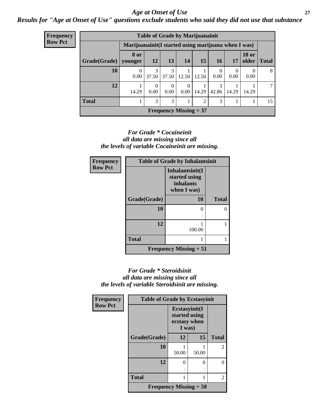#### *Age at Onset of Use* **27**

*Results for "Age at Onset of Use" questions exclude students who said they did not use that substance*

| <b>Frequency</b> | <b>Table of Grade by Marijuanainit</b>               |                               |                               |                          |                            |       |                        |           |                       |              |  |
|------------------|------------------------------------------------------|-------------------------------|-------------------------------|--------------------------|----------------------------|-------|------------------------|-----------|-----------------------|--------------|--|
| <b>Row Pct</b>   | Marijuanainit (I started using marijuana when I was) |                               |                               |                          |                            |       |                        |           |                       |              |  |
|                  | Grade(Grade)                                         | <b>8 or</b><br>younger        | <b>12</b>                     | 13                       | 14                         | 15    | 16                     | 17        | <b>18 or</b><br>older | <b>Total</b> |  |
|                  | 10                                                   | $\Omega$<br>0.00 <sub>l</sub> | 3<br>37.50                    | 3<br>37.50               | 12.50                      | 12.50 | $\left($<br>0.00       | 0<br>0.00 | 0.00                  | 8            |  |
|                  | 12                                                   | 14.29                         | $\left($<br>0.00 <sub>1</sub> | $\Omega$<br>0.00         | $\theta$<br>$0.00^{\circ}$ | 14.29 | $\mathcal{R}$<br>42.86 | 14.29     | 14.29                 |              |  |
|                  | <b>Total</b>                                         |                               | 3                             | 3                        |                            | 2     | 3                      |           |                       | 15           |  |
|                  |                                                      |                               |                               | Frequency Missing $= 37$ |                            |       |                        |           |                       |              |  |

#### *For Grade \* Cocaineinit all data are missing since all the levels of variable Cocaineinit are missing.*

| Frequency      | <b>Table of Grade by Inhalantsinit</b> |                                                                     |              |  |  |  |  |  |
|----------------|----------------------------------------|---------------------------------------------------------------------|--------------|--|--|--|--|--|
| <b>Row Pct</b> |                                        | Inhalantsinit(I<br>started using<br><i>inhalants</i><br>when I was) |              |  |  |  |  |  |
|                | Grade(Grade)                           | 10                                                                  | <b>Total</b> |  |  |  |  |  |
|                | 10                                     | 0                                                                   | ∩            |  |  |  |  |  |
|                | 12                                     | 100.00                                                              |              |  |  |  |  |  |
|                | <b>Total</b>                           |                                                                     |              |  |  |  |  |  |
|                |                                        | Frequency Missing $= 51$                                            |              |  |  |  |  |  |

#### *For Grade \* Steroidsinit all data are missing since all the levels of variable Steroidsinit are missing.*

| <b>Frequency</b> | <b>Table of Grade by Ecstasyinit</b> |                                                          |       |              |  |
|------------------|--------------------------------------|----------------------------------------------------------|-------|--------------|--|
| <b>Row Pct</b>   |                                      | Ecstasyinit(I<br>started using<br>ecstasy when<br>I was) |       |              |  |
|                  | Grade(Grade)                         | 12                                                       | 15    | <b>Total</b> |  |
|                  | 10                                   | 50.00                                                    | 50.00 | 2            |  |
|                  | 12                                   | 0                                                        | 0     | 0            |  |
|                  | <b>Total</b>                         |                                                          | 2     |              |  |
|                  | <b>Frequency Missing = 50</b>        |                                                          |       |              |  |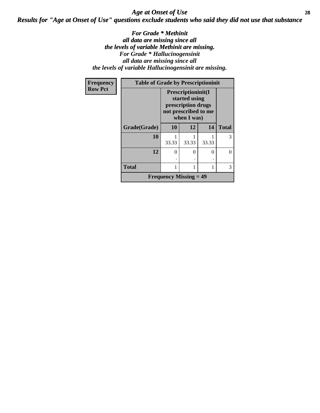### *Age at Onset of Use* **28** *Results for "Age at Onset of Use" questions exclude students who said they did not use that substance*

*For Grade \* Methinit all data are missing since all the levels of variable Methinit are missing. For Grade \* Hallucinogensinit all data are missing since all the levels of variable Hallucinogensinit are missing.*

| Frequency      | <b>Table of Grade by Prescriptioninit</b> |                                                                                                  |       |       |              |  |  |  |  |
|----------------|-------------------------------------------|--------------------------------------------------------------------------------------------------|-------|-------|--------------|--|--|--|--|
| <b>Row Pct</b> |                                           | Prescriptioninit(I<br>started using<br>prescription drugs<br>not prescribed to me<br>when I was) |       |       |              |  |  |  |  |
|                | Grade(Grade)                              | 10                                                                                               | 12    | 14    | <b>Total</b> |  |  |  |  |
|                | 10                                        | 33.33                                                                                            | 33.33 | 33.33 | 3            |  |  |  |  |
|                | 12                                        | $\Omega$                                                                                         | 0     | 0     | 0            |  |  |  |  |
|                | <b>Total</b>                              | 1                                                                                                |       |       | 3            |  |  |  |  |
|                |                                           | <b>Frequency Missing <math>= 49</math></b>                                                       |       |       |              |  |  |  |  |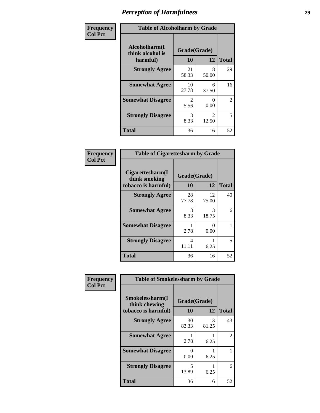| Frequency      | <b>Table of Alcoholharm by Grade</b>          |                        |                         |              |
|----------------|-----------------------------------------------|------------------------|-------------------------|--------------|
| <b>Col Pct</b> | Alcoholharm(I<br>think alcohol is<br>harmful) | Grade(Grade)<br>10     | 12                      | <b>Total</b> |
|                | <b>Strongly Agree</b>                         | 21<br>58.33            | 8<br>50.00              | 29           |
|                | <b>Somewhat Agree</b>                         | 10<br>27.78            | 6<br>37.50              | 16           |
|                | <b>Somewhat Disagree</b>                      | $\mathfrak{D}$<br>5.56 | $\Omega$<br>0.00        | 2            |
|                | <b>Strongly Disagree</b>                      | 3<br>8.33              | $\mathfrak{D}$<br>12.50 | 5            |
|                | <b>Total</b>                                  | 36                     | 16                      | 52           |

| <b>Table of Cigarettesharm by Grade</b>                  |                    |             |              |  |  |
|----------------------------------------------------------|--------------------|-------------|--------------|--|--|
| Cigarettesharm(I<br>think smoking<br>tobacco is harmful) | Grade(Grade)<br>10 | 12          | <b>Total</b> |  |  |
| <b>Strongly Agree</b>                                    | 28<br>77.78        | 12<br>75.00 | 40           |  |  |
| <b>Somewhat Agree</b>                                    | 3<br>8.33          | 3<br>18.75  | 6            |  |  |
| <b>Somewhat Disagree</b>                                 | 2.78               | 0<br>0.00   | 1            |  |  |
| <b>Strongly Disagree</b>                                 | 4<br>11.11         | 6.25        | 5            |  |  |
| <b>Total</b>                                             | 36                 | 16          | 52           |  |  |

| Frequency      | <b>Table of Smokelessharm by Grade</b>                  |                    |             |              |
|----------------|---------------------------------------------------------|--------------------|-------------|--------------|
| <b>Col Pct</b> | Smokelessharm(I<br>think chewing<br>tobacco is harmful) | Grade(Grade)<br>10 | 12          | <b>Total</b> |
|                | <b>Strongly Agree</b>                                   | 30<br>83.33        | 13<br>81.25 | 43           |
|                | <b>Somewhat Agree</b>                                   | 2.78               | 6.25        | 2            |
|                | <b>Somewhat Disagree</b>                                | 0<br>0.00          | 6.25        |              |
|                | <b>Strongly Disagree</b>                                | 5<br>13.89         | 6.25        | 6            |
|                | <b>Total</b>                                            | 36                 | 16          | 52           |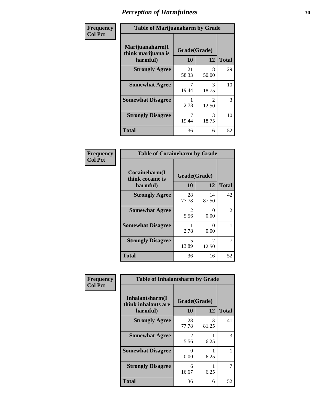| Frequency      | <b>Table of Marijuanaharm by Grade</b>            |                    |                         |              |
|----------------|---------------------------------------------------|--------------------|-------------------------|--------------|
| <b>Col Pct</b> | Marijuanaharm(I<br>think marijuana is<br>harmful) | Grade(Grade)<br>10 | 12                      | <b>Total</b> |
|                | <b>Strongly Agree</b>                             | 21<br>58.33        | 8<br>50.00              | 29           |
|                | <b>Somewhat Agree</b>                             | 7<br>19.44         | 3<br>18.75              | 10           |
|                | <b>Somewhat Disagree</b>                          | 2.78               | $\mathfrak{D}$<br>12.50 | 3            |
|                | <b>Strongly Disagree</b>                          | 7<br>19.44         | 3<br>18.75              | 10           |
|                | <b>Total</b>                                      | 36                 | 16                      | 52           |

| <b>Table of Cocaineharm by Grade</b>          |                    |                           |              |  |  |
|-----------------------------------------------|--------------------|---------------------------|--------------|--|--|
| Cocaineharm(I<br>think cocaine is<br>harmful) | Grade(Grade)<br>10 | 12                        | <b>Total</b> |  |  |
| <b>Strongly Agree</b>                         | 28<br>77.78        | 14<br>87.50               | 42           |  |  |
| <b>Somewhat Agree</b>                         | 2<br>5.56          | $\mathbf{\Omega}$<br>0.00 | 2            |  |  |
| <b>Somewhat Disagree</b>                      | 1<br>2.78          | $\mathbf{\Omega}$<br>0.00 | 1            |  |  |
| <b>Strongly Disagree</b>                      | 5<br>13.89         | $\mathfrak{D}$<br>12.50   | 7            |  |  |
| <b>Total</b>                                  | 36                 | 16                        | 52           |  |  |

| Frequency      | <b>Table of Inhalantsharm by Grade</b>             |                    |             |              |
|----------------|----------------------------------------------------|--------------------|-------------|--------------|
| <b>Col Pct</b> | Inhalantsharm(I<br>think inhalants are<br>harmful) | Grade(Grade)<br>10 | 12          | <b>Total</b> |
|                | <b>Strongly Agree</b>                              | 28<br>77.78        | 13<br>81.25 | 41           |
|                | <b>Somewhat Agree</b>                              | 2<br>5.56          | 6.25        | 3            |
|                | <b>Somewhat Disagree</b>                           | 0<br>0.00          | 6.25        |              |
|                | <b>Strongly Disagree</b>                           | 6<br>16.67         | 6.25        | 7            |
|                | <b>Total</b>                                       | 36                 | 16          | 52           |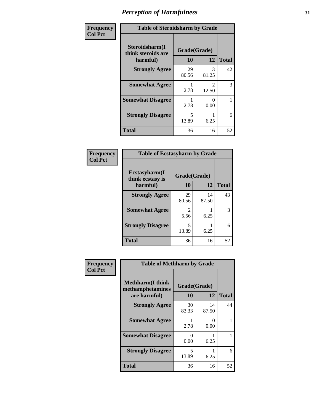| Frequency      | <b>Table of Steroidsharm by Grade</b>            |                    |                        |              |
|----------------|--------------------------------------------------|--------------------|------------------------|--------------|
| <b>Col Pct</b> | Steroidsharm(I<br>think steroids are<br>harmful) | Grade(Grade)<br>10 | 12                     | <b>Total</b> |
|                | <b>Strongly Agree</b>                            | 29<br>80.56        | 13<br>81.25            | 42           |
|                | <b>Somewhat Agree</b>                            | 2.78               | $\mathcal{L}$<br>12.50 | 3            |
|                | <b>Somewhat Disagree</b>                         | 2.78               | 0<br>0.00              |              |
|                | <b>Strongly Disagree</b>                         | 5<br>13.89         | 6.25                   | 6            |
|                | <b>Total</b>                                     | 36                 | 16                     | 52           |

| <b>Table of Ecstasyharm by Grade</b>    |              |             |              |  |  |
|-----------------------------------------|--------------|-------------|--------------|--|--|
| $E$ cstasyharm $(I$<br>think ecstasy is | Grade(Grade) |             |              |  |  |
| harmful)                                | 10           | 12          | <b>Total</b> |  |  |
| <b>Strongly Agree</b>                   | 29<br>80.56  | 14<br>87.50 | 43           |  |  |
| <b>Somewhat Agree</b>                   | 2<br>5.56    | 6.25        | 3            |  |  |
| <b>Strongly Disagree</b>                | 5<br>13.89   | 6.25        | 6            |  |  |
| <b>Total</b>                            | 36           | 16          | 52           |  |  |

| Frequency      | <b>Table of Methharm by Grade</b>                            |                    |             |              |
|----------------|--------------------------------------------------------------|--------------------|-------------|--------------|
| <b>Col Pct</b> | <b>Methharm</b> (I think<br>methamphetamines<br>are harmful) | Grade(Grade)<br>10 | 12          | <b>Total</b> |
|                | <b>Strongly Agree</b>                                        | 30<br>83.33        | 14<br>87.50 | 44           |
|                | <b>Somewhat Agree</b>                                        | 2.78               | 0<br>0.00   |              |
|                | <b>Somewhat Disagree</b>                                     | 0<br>0.00          | 6.25        |              |
|                | <b>Strongly Disagree</b>                                     | 5<br>13.89         | 6.25        | 6            |
|                | <b>Total</b>                                                 | 36                 | 16          | 52           |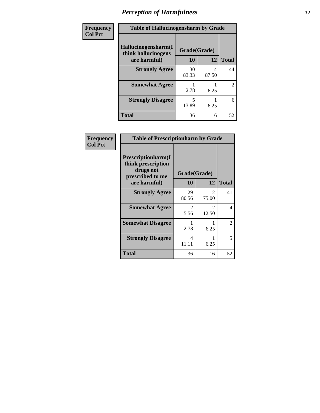| Frequency | <b>Table of Hallucinogensharm by Grade</b> |                    |             |                |
|-----------|--------------------------------------------|--------------------|-------------|----------------|
| Col Pct   | Hallucinogensharm(I<br>think hallucinogens | Grade(Grade)<br>10 | 12          | <b>Total</b>   |
|           | are harmful)                               |                    |             |                |
|           | <b>Strongly Agree</b>                      | 30<br>83.33        | 14<br>87.50 | 44             |
|           | <b>Somewhat Agree</b>                      | 2.78               | 6.25        | $\mathfrak{D}$ |
|           | <b>Strongly Disagree</b>                   | 5<br>13.89         | 6.25        | 6              |
|           | <b>Total</b>                               | 36                 | 16          | 52             |

| Frequency      | <b>Table of Prescriptionharm by Grade</b>                                 |              |                        |                |
|----------------|---------------------------------------------------------------------------|--------------|------------------------|----------------|
| <b>Col Pct</b> | Prescriptionharm(I<br>think prescription<br>drugs not<br>prescribed to me | Grade(Grade) |                        |                |
|                | are harmful)                                                              | 10           | 12                     | <b>Total</b>   |
|                | <b>Strongly Agree</b>                                                     | 29<br>80.56  | 12<br>75.00            | 41             |
|                | <b>Somewhat Agree</b>                                                     | 2<br>5.56    | $\mathcal{L}$<br>12.50 | 4              |
|                | <b>Somewhat Disagree</b>                                                  | 2.78         | 6.25                   | $\overline{2}$ |
|                | <b>Strongly Disagree</b>                                                  | 4<br>11.11   | 6.25                   | 5              |
|                | Total                                                                     | 36           | 16                     | 52             |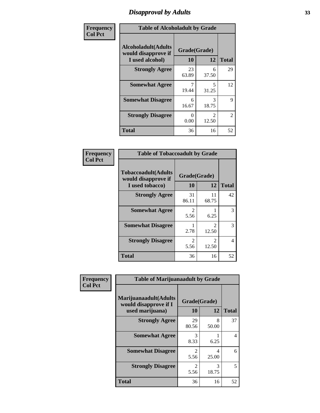### *Disapproval by Adults* **33**

| Frequency      | <b>Table of Alcoholadult by Grade</b>                                 |                    |                         |                |
|----------------|-----------------------------------------------------------------------|--------------------|-------------------------|----------------|
| <b>Col Pct</b> | <b>Alcoholadult</b> (Adults<br>would disapprove if<br>I used alcohol) | Grade(Grade)<br>10 | 12                      | <b>Total</b>   |
|                | <b>Strongly Agree</b>                                                 | 23<br>63.89        | 6<br>37.50              | 29             |
|                | <b>Somewhat Agree</b>                                                 | 7<br>19.44         | 5<br>31.25              | 12             |
|                | <b>Somewhat Disagree</b>                                              | 6<br>16.67         | 3<br>18.75              | 9              |
|                | <b>Strongly Disagree</b>                                              | 0<br>0.00          | $\mathfrak{D}$<br>12.50 | $\overline{2}$ |
|                | <b>Total</b>                                                          | 36                 | 16                      | 52             |

| <b>Table of Tobaccoadult by Grade</b>                                                            |                       |                                      |    |  |  |  |
|--------------------------------------------------------------------------------------------------|-----------------------|--------------------------------------|----|--|--|--|
| <b>Tobaccoadult(Adults</b><br>Grade(Grade)<br>would disapprove if<br>10<br>12<br>I used tobacco) |                       |                                      |    |  |  |  |
| <b>Strongly Agree</b>                                                                            | 31<br>86.11           | 11<br>68.75                          | 42 |  |  |  |
| <b>Somewhat Agree</b>                                                                            | 2<br>5.56             | 6.25                                 | 3  |  |  |  |
| <b>Somewhat Disagree</b>                                                                         | 1<br>2.78             | $\mathcal{L}$<br>12.50               | 3  |  |  |  |
| <b>Strongly Disagree</b>                                                                         | $\mathcal{L}$<br>5.56 | $\mathcal{D}_{\mathcal{L}}$<br>12.50 | 4  |  |  |  |
| <b>Total</b>                                                                                     | 36                    | 16                                   | 52 |  |  |  |

| Frequency      | <b>Table of Marijuanaadult by Grade</b>                           |                        |            |                          |
|----------------|-------------------------------------------------------------------|------------------------|------------|--------------------------|
| <b>Col Pct</b> | Marijuanaadult(Adults<br>would disapprove if I<br>used marijuana) | Grade(Grade)<br>10     | 12         | <b>Total</b>             |
|                | <b>Strongly Agree</b>                                             | 29<br>80.56            | 8<br>50.00 | 37                       |
|                | <b>Somewhat Agree</b>                                             | 3<br>8.33              | 6.25       | $\overline{\mathcal{A}}$ |
|                | <b>Somewhat Disagree</b>                                          | $\mathfrak{D}$<br>5.56 | 4<br>25.00 | 6                        |
|                | <b>Strongly Disagree</b>                                          | $\mathfrak{D}$<br>5.56 | 3<br>18.75 | 5                        |
|                | <b>Total</b>                                                      | 36                     | 16         | 52                       |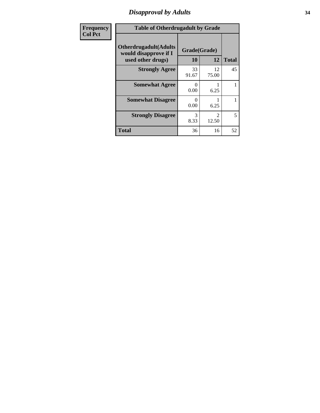## *Disapproval by Adults* **34**

| Frequency      | <b>Table of Otherdrugadult by Grade</b>                                     |                           |                         |              |
|----------------|-----------------------------------------------------------------------------|---------------------------|-------------------------|--------------|
| <b>Col Pct</b> | <b>Otherdrugadult</b> (Adults<br>would disapprove if I<br>used other drugs) | Grade(Grade)<br><b>10</b> | 12                      | <b>Total</b> |
|                | <b>Strongly Agree</b>                                                       | 33<br>91.67               | 12<br>75.00             | 45           |
|                | <b>Somewhat Agree</b>                                                       | $\Omega$<br>0.00          | 6.25                    |              |
|                | <b>Somewhat Disagree</b>                                                    | 0<br>0.00                 | 6.25                    |              |
|                | <b>Strongly Disagree</b>                                                    | 3<br>8.33                 | $\mathfrak{D}$<br>12.50 | 5            |
|                | <b>Total</b>                                                                | 36                        | 16                      | 52           |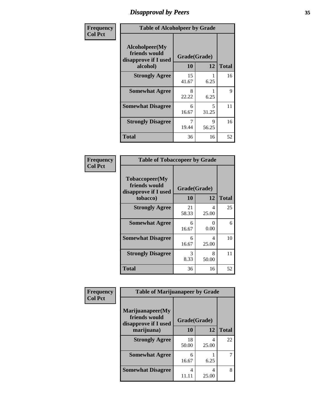### *Disapproval by Peers* **35**

| Frequency      | <b>Table of Alcoholpeer by Grade</b>                    |              |            |              |
|----------------|---------------------------------------------------------|--------------|------------|--------------|
| <b>Col Pct</b> | Alcoholpeer(My<br>friends would<br>disapprove if I used | Grade(Grade) |            |              |
|                | alcohol)                                                | 10           | 12         | <b>Total</b> |
|                | <b>Strongly Agree</b>                                   | 15<br>41.67  | 6.25       | 16           |
|                | <b>Somewhat Agree</b>                                   | 8<br>22.22   | 6.25       | 9            |
|                | <b>Somewhat Disagree</b>                                | 6<br>16.67   | 5<br>31.25 | 11           |
|                | <b>Strongly Disagree</b>                                | 7<br>19.44   | 9<br>56.25 | 16           |
|                | <b>Total</b>                                            | 36           | 16         | 52           |

| Frequency      | <b>Table of Tobaccopeer by Grade</b>                    |              |            |              |
|----------------|---------------------------------------------------------|--------------|------------|--------------|
| <b>Col Pct</b> | Tobaccopeer(My<br>friends would<br>disapprove if I used | Grade(Grade) |            |              |
|                | tobacco)                                                | 10           | 12         | <b>Total</b> |
|                | <b>Strongly Agree</b>                                   | 21<br>58.33  | 4<br>25.00 | 25           |
|                | <b>Somewhat Agree</b>                                   | 6<br>16.67   | 0<br>0.00  | 6            |
|                | <b>Somewhat Disagree</b>                                | 6<br>16.67   | 4<br>25.00 | 10           |
|                | <b>Strongly Disagree</b>                                | 3<br>8.33    | 8<br>50.00 | 11           |
|                | <b>Total</b>                                            | 36           | 16         | 52           |

| Frequency      | <b>Table of Marijuanapeer by Grade</b>                    |              |            |              |
|----------------|-----------------------------------------------------------|--------------|------------|--------------|
| <b>Col Pct</b> | Marijuanapeer(My<br>friends would<br>disapprove if I used | Grade(Grade) |            |              |
|                | marijuana)                                                | 10           | 12         | <b>Total</b> |
|                | <b>Strongly Agree</b>                                     | 18<br>50.00  | 4<br>25.00 | 22           |
|                | <b>Somewhat Agree</b>                                     | 6<br>16.67   | 6.25       | 7            |
|                | <b>Somewhat Disagree</b>                                  | 4<br>11.11   | 4<br>25.00 | 8            |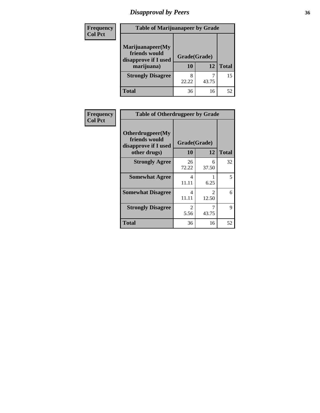## *Disapproval by Peers* **36**

| <b>Frequency</b> | <b>Table of Marijuanapeer by Grade</b>                                  |                    |       |              |
|------------------|-------------------------------------------------------------------------|--------------------|-------|--------------|
| <b>Col Pct</b>   | Marijuanapeer(My<br>friends would<br>disapprove if I used<br>marijuana) | Grade(Grade)<br>10 | 12    | <b>Total</b> |
|                  | <b>Strongly Disagree</b>                                                | 8<br>22.22         | 43.75 | 15           |
|                  | <b>Total</b>                                                            | 36                 | 16    | 52           |

| Frequency      | <b>Table of Otherdrugpeer by Grade</b>                                    |                    |                         |              |
|----------------|---------------------------------------------------------------------------|--------------------|-------------------------|--------------|
| <b>Col Pct</b> | Otherdrugpeer(My<br>friends would<br>disapprove if I used<br>other drugs) | Grade(Grade)<br>10 | 12                      | <b>Total</b> |
|                | <b>Strongly Agree</b>                                                     | 26<br>72.22        | 6<br>37.50              | 32           |
|                | <b>Somewhat Agree</b>                                                     | 4<br>11.11         | 6.25                    | 5            |
|                | <b>Somewhat Disagree</b>                                                  | 4<br>11.11         | $\mathfrak{D}$<br>12.50 | 6            |
|                | <b>Strongly Disagree</b>                                                  | 2<br>5.56          | 7<br>43.75              | 9            |
|                | <b>Total</b>                                                              | 36                 | 16                      | 52           |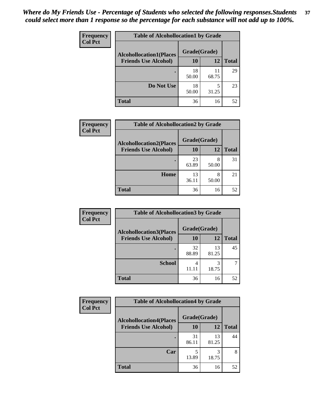| Frequency<br><b>Col Pct</b> | <b>Table of Alcohollocation1 by Grade</b> |              |             |              |  |
|-----------------------------|-------------------------------------------|--------------|-------------|--------------|--|
|                             | <b>Alcohollocation1(Places</b>            | Grade(Grade) |             |              |  |
|                             | <b>Friends Use Alcohol)</b>               | 10           | 12          | <b>Total</b> |  |
|                             |                                           | 18<br>50.00  | 11<br>68.75 | 29           |  |
|                             | Do Not Use                                | 18<br>50.00  | 5<br>31.25  | 23           |  |
|                             | <b>Total</b>                              | 36           | 16          | 52           |  |

| Frequency      | <b>Table of Alcohollocation2 by Grade</b>                     |                    |            |              |
|----------------|---------------------------------------------------------------|--------------------|------------|--------------|
| <b>Col Pct</b> | <b>Alcohollocation2(Places</b><br><b>Friends Use Alcohol)</b> | Grade(Grade)<br>10 | <b>12</b>  | <b>Total</b> |
|                |                                                               | 23<br>63.89        | 8<br>50.00 | 31           |
|                | Home                                                          | 13<br>36.11        | 8<br>50.00 | 21           |
|                | <b>Total</b>                                                  | 36                 | 16         | 52           |

| Frequency<br><b>Col Pct</b> | <b>Table of Alcohollocation 3 by Grade</b>                    |                    |             |              |  |
|-----------------------------|---------------------------------------------------------------|--------------------|-------------|--------------|--|
|                             | <b>Alcohollocation3(Places</b><br><b>Friends Use Alcohol)</b> | Grade(Grade)<br>10 | 12          | <b>Total</b> |  |
|                             |                                                               |                    |             |              |  |
|                             |                                                               | 32<br>88.89        | 13<br>81.25 | 45           |  |
|                             | <b>School</b>                                                 | 4<br>11.11         | 3<br>18.75  |              |  |
|                             | <b>Total</b>                                                  | 36                 | 16          | 52           |  |

| <b>Frequency</b> | <b>Table of Alcohollocation4 by Grade</b> |              |             |              |  |
|------------------|-------------------------------------------|--------------|-------------|--------------|--|
| <b>Col Pct</b>   | <b>Alcohollocation4(Places</b>            | Grade(Grade) |             |              |  |
|                  | <b>Friends Use Alcohol)</b>               | 10           | 12          | <b>Total</b> |  |
|                  |                                           | 31<br>86.11  | 13<br>81.25 | 44           |  |
|                  | Car                                       | 5<br>13.89   | 3<br>18.75  | 8            |  |
|                  | Total                                     | 36           | 16          | 52           |  |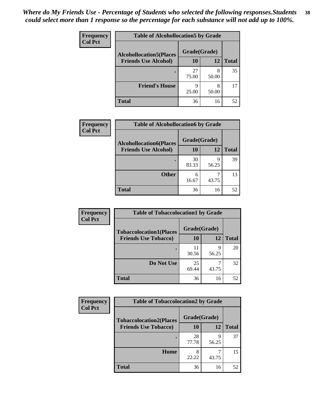| Frequency<br><b>Col Pct</b> | <b>Table of Alcohollocation5 by Grade</b>      |             |            |              |  |
|-----------------------------|------------------------------------------------|-------------|------------|--------------|--|
|                             | Grade(Grade)<br><b>Alcohollocation5(Places</b> |             |            |              |  |
|                             | <b>Friends Use Alcohol)</b>                    | 10          | 12         | <b>Total</b> |  |
|                             |                                                | 27<br>75.00 | 8<br>50.00 | 35           |  |
|                             | <b>Friend's House</b>                          | Q<br>25.00  | 8<br>50.00 | 17           |  |
|                             | <b>Total</b>                                   | 36          | 16         | 52           |  |

| <b>Frequency</b> | <b>Table of Alcohollocation6 by Grade</b>                     |                    |            |              |
|------------------|---------------------------------------------------------------|--------------------|------------|--------------|
| <b>Col Pct</b>   | <b>Alcohollocation6(Places</b><br><b>Friends Use Alcohol)</b> | Grade(Grade)<br>10 | 12         | <b>Total</b> |
|                  |                                                               |                    |            |              |
|                  |                                                               | 30<br>83.33        | q<br>56.25 | 39           |
|                  | <b>Other</b>                                                  | 6<br>16.67         | 43.75      | 13           |
|                  | <b>Total</b>                                                  | 36                 | 16         | 52           |

| Frequency      | <b>Table of Tobaccolocation1 by Grade</b> |              |            |              |
|----------------|-------------------------------------------|--------------|------------|--------------|
| <b>Col Pct</b> | <b>Tobaccolocation1(Places</b>            | Grade(Grade) |            |              |
|                | <b>Friends Use Tobacco)</b>               | 10           | <b>12</b>  | <b>Total</b> |
|                |                                           | 11<br>30.56  | q<br>56.25 | 20           |
|                | Do Not Use                                | 25<br>69.44  | 43.75      | 32           |
|                | <b>Total</b>                              | 36           | 16         | 52           |

| <b>Frequency</b> | <b>Table of Tobaccolocation2 by Grade</b> |              |            |              |  |
|------------------|-------------------------------------------|--------------|------------|--------------|--|
| <b>Col Pct</b>   | <b>Tobaccolocation2(Places</b>            | Grade(Grade) |            |              |  |
|                  | <b>Friends Use Tobacco)</b>               | 10           | 12         | <b>Total</b> |  |
|                  |                                           | 28<br>77.78  | q<br>56.25 | 37           |  |
|                  | Home                                      | 22.22        | 43.75      | 15           |  |
|                  | <b>Total</b>                              | 36           | 16         | 52           |  |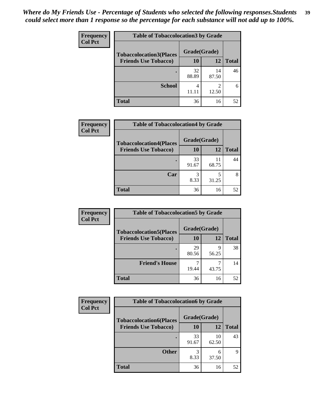| Frequency      | <b>Table of Tobaccolocation3 by Grade</b> |             |                        |              |  |
|----------------|-------------------------------------------|-------------|------------------------|--------------|--|
| <b>Col Pct</b> | <b>Tobaccolocation3(Places</b>            |             | Grade(Grade)           |              |  |
|                | <b>Friends Use Tobacco)</b>               | 10          | <b>12</b>              | <b>Total</b> |  |
|                |                                           | 32<br>88.89 | 14<br>87.50            | 46           |  |
|                | <b>School</b>                             | 4<br>11.11  | $\mathcal{D}$<br>12.50 | 6            |  |
|                | <b>Total</b>                              | 36          | 16                     | 52           |  |

| Frequency      | <b>Table of Tobaccolocation4 by Grade</b>                     |                           |             |              |
|----------------|---------------------------------------------------------------|---------------------------|-------------|--------------|
| <b>Col Pct</b> | <b>Tobaccolocation4(Places</b><br><b>Friends Use Tobacco)</b> | Grade(Grade)<br><b>10</b> | 12          | <b>Total</b> |
|                |                                                               | 33<br>91.67               | 11<br>68.75 | 44           |
|                | Car                                                           | 8.33                      | 31.25       | 8            |
|                | <b>Total</b>                                                  | 36                        | 16          | 52           |

| Frequency      |                                                               | <b>Table of Tobaccolocation5 by Grade</b> |       |              |  |
|----------------|---------------------------------------------------------------|-------------------------------------------|-------|--------------|--|
| <b>Col Pct</b> | <b>Tobaccolocation5(Places</b><br><b>Friends Use Tobacco)</b> | Grade(Grade)<br>10                        | 12    | <b>Total</b> |  |
|                |                                                               | 29<br>80.56                               | 56.25 | 38           |  |
|                | <b>Friend's House</b>                                         | 19.44                                     | 43.75 | 14           |  |
|                | <b>Total</b>                                                  | 36                                        | 16    | 52           |  |

| Frequency      | <b>Table of Tobaccolocation6 by Grade</b> |              |             |              |  |
|----------------|-------------------------------------------|--------------|-------------|--------------|--|
| <b>Col Pct</b> | <b>Tobaccolocation6(Places</b>            | Grade(Grade) |             |              |  |
|                | <b>Friends Use Tobacco)</b>               | 10           | 12          | <b>Total</b> |  |
|                |                                           | 33<br>91.67  | 10<br>62.50 | 43           |  |
|                | <b>Other</b>                              | 8.33         | 6<br>37.50  | 9            |  |
|                | <b>Total</b>                              | 36           | 16          | 52           |  |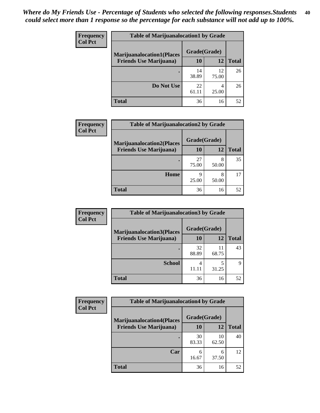| <b>Frequency</b> | <b>Table of Marijuanalocation1 by Grade</b> |             |              |              |
|------------------|---------------------------------------------|-------------|--------------|--------------|
| <b>Col Pct</b>   | <b>Marijuanalocation1(Places</b>            |             | Grade(Grade) |              |
|                  | <b>Friends Use Marijuana</b> )              | 10          | 12           | <b>Total</b> |
|                  |                                             | 14<br>38.89 | 12<br>75.00  | 26           |
|                  | Do Not Use                                  | 22<br>61.11 | 25.00        | 26           |
|                  | Total                                       | 36          | 16           | 52           |

| <b>Frequency</b> | <b>Table of Marijuanalocation2 by Grade</b>                        |                    |            |              |
|------------------|--------------------------------------------------------------------|--------------------|------------|--------------|
| <b>Col Pct</b>   | <b>Marijuanalocation2(Places</b><br><b>Friends Use Marijuana</b> ) | Grade(Grade)<br>10 | 12         | <b>Total</b> |
|                  |                                                                    | 27<br>75.00        | 8<br>50.00 | 35           |
|                  | Home                                                               | q<br>25.00         | 8<br>50.00 | 17           |
|                  | <b>Total</b>                                                       | 36                 | 16         | 52           |

| <b>Frequency</b><br><b>Col Pct</b> | <b>Table of Marijuanalocation3 by Grade</b> |              |             |              |
|------------------------------------|---------------------------------------------|--------------|-------------|--------------|
|                                    | <b>Marijuanalocation3(Places</b>            | Grade(Grade) |             |              |
|                                    | <b>Friends Use Marijuana</b> )              | <b>10</b>    | 12          | <b>Total</b> |
|                                    |                                             | 32<br>88.89  | 11<br>68.75 | 43           |
|                                    | <b>School</b>                               | 4<br>11.11   | 31.25       | Q            |
|                                    | <b>Total</b>                                | 36           | 16          | 52           |

| <b>Frequency</b> | <b>Table of Marijuanalocation4 by Grade</b> |              |             |              |  |
|------------------|---------------------------------------------|--------------|-------------|--------------|--|
| <b>Col Pct</b>   | <b>Marijuanalocation4(Places</b>            | Grade(Grade) |             |              |  |
|                  | <b>Friends Use Marijuana</b> )              | <b>10</b>    | 12          | <b>Total</b> |  |
|                  |                                             | 30<br>83.33  | 10<br>62.50 | 40           |  |
|                  | Car                                         | 6<br>16.67   | 6<br>37.50  | 12           |  |
|                  | <b>Total</b>                                | 36           | 16          | 52           |  |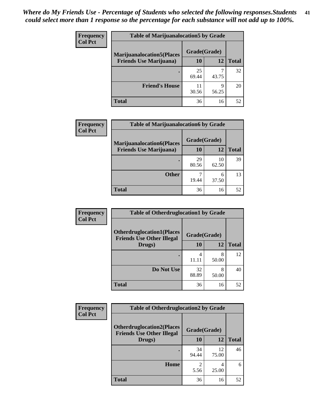| <b>Frequency</b> | <b>Table of Marijuanalocation5 by Grade</b> |              |            |              |
|------------------|---------------------------------------------|--------------|------------|--------------|
| <b>Col Pct</b>   | <b>Marijuanalocation5</b> (Places           | Grade(Grade) |            |              |
|                  | <b>Friends Use Marijuana</b> )              | 10           | 12         | <b>Total</b> |
|                  |                                             | 25<br>69.44  | 43.75      | 32           |
|                  | <b>Friend's House</b>                       | 30.56        | Ω<br>56.25 | 20           |
|                  | <b>Total</b>                                | 36           | 16         | 52           |

| <b>Frequency</b> | <b>Table of Marijuanalocation6 by Grade</b>                        |                           |             |              |
|------------------|--------------------------------------------------------------------|---------------------------|-------------|--------------|
| <b>Col Pct</b>   | <b>Marijuanalocation6(Places</b><br><b>Friends Use Marijuana</b> ) | Grade(Grade)<br><b>10</b> | 12          | <b>Total</b> |
|                  |                                                                    | 29<br>80.56               | 10<br>62.50 | 39           |
|                  | <b>Other</b>                                                       | 19.44                     | 6<br>37.50  | 13           |
|                  | <b>Total</b>                                                       | 36                        | 16          | 52           |

| <b>Frequency</b> | <b>Table of Otherdruglocation1 by Grade</b>                          |              |            |              |
|------------------|----------------------------------------------------------------------|--------------|------------|--------------|
| <b>Col Pct</b>   | <b>Otherdruglocation1(Places</b><br><b>Friends Use Other Illegal</b> | Grade(Grade) |            |              |
|                  | Drugs)                                                               | 10           | 12         | <b>Total</b> |
|                  |                                                                      | 4<br>11.11   | 8<br>50.00 | 12           |
|                  | Do Not Use                                                           | 32<br>88.89  | 8<br>50.00 | 40           |
|                  | <b>Total</b>                                                         | 36           | 16         | 52           |

| <b>Frequency</b> | <b>Table of Otherdruglocation2 by Grade</b>                          |              |             |              |
|------------------|----------------------------------------------------------------------|--------------|-------------|--------------|
| <b>Col Pct</b>   | <b>Otherdruglocation2(Places</b><br><b>Friends Use Other Illegal</b> | Grade(Grade) |             |              |
|                  | Drugs)                                                               | 10           | 12          | <b>Total</b> |
|                  |                                                                      | 34<br>94.44  | 12<br>75.00 | 46           |
|                  | Home                                                                 | 2<br>5.56    | 4<br>25.00  | 6            |
|                  | <b>Total</b>                                                         | 36           | 16          | 52           |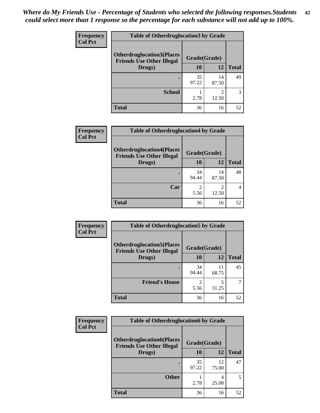| <b>Frequency</b> | <b>Table of Otherdruglocation 3 by Grade</b>                          |              |             |              |
|------------------|-----------------------------------------------------------------------|--------------|-------------|--------------|
| <b>Col Pct</b>   | <b>Otherdruglocation3(Places)</b><br><b>Friends Use Other Illegal</b> | Grade(Grade) |             |              |
|                  | Drugs)                                                                | 10           | 12          | <b>Total</b> |
|                  |                                                                       | 35<br>97.22  | 14<br>87.50 | 49           |
|                  | <b>School</b>                                                         | 2.78         | ◠<br>12.50  | 3            |
|                  | <b>Total</b>                                                          | 36           | 16          | 52           |

| <b>Frequency</b> | <b>Table of Otherdruglocation4 by Grade</b>                          |              |             |              |
|------------------|----------------------------------------------------------------------|--------------|-------------|--------------|
| <b>Col Pct</b>   | <b>Otherdruglocation4(Places</b><br><b>Friends Use Other Illegal</b> | Grade(Grade) |             |              |
|                  | Drugs)                                                               | 10           | 12          | <b>Total</b> |
|                  |                                                                      | 34<br>94.44  | 14<br>87.50 | 48           |
|                  | Car                                                                  | 5.56         | 12.50       | 4            |
|                  | <b>Total</b>                                                         | 36           | 16          | 52           |

| <b>Frequency</b> | <b>Table of Otherdruglocation5 by Grade</b>                          |              |             |              |
|------------------|----------------------------------------------------------------------|--------------|-------------|--------------|
| <b>Col Pct</b>   | <b>Otherdruglocation5(Places</b><br><b>Friends Use Other Illegal</b> | Grade(Grade) |             |              |
|                  | Drugs)                                                               | <b>10</b>    | 12          | <b>Total</b> |
|                  |                                                                      | 34<br>94.44  | 11<br>68.75 | 45           |
|                  | <b>Friend's House</b>                                                | 5.56         | 31.25       |              |
|                  | <b>Total</b>                                                         | 36           | 16          | 52           |

| <b>Frequency</b> | <b>Table of Otherdruglocation6 by Grade</b>                          |              |             |              |
|------------------|----------------------------------------------------------------------|--------------|-------------|--------------|
| <b>Col Pct</b>   | <b>Otherdruglocation6(Places</b><br><b>Friends Use Other Illegal</b> | Grade(Grade) |             |              |
|                  | Drugs)                                                               | <b>10</b>    | 12          | <b>Total</b> |
|                  |                                                                      | 35<br>97.22  | 12<br>75.00 | 47           |
|                  | <b>Other</b>                                                         | 2.78         | 25.00       | 5            |
|                  | <b>Total</b>                                                         | 36           | 16          | 52           |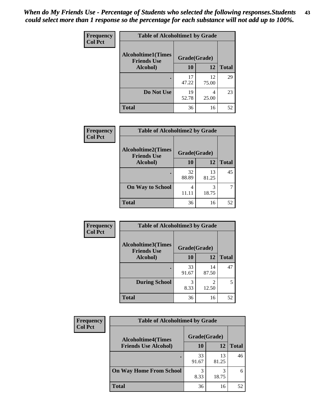| Frequency      | <b>Table of Alcoholtime1 by Grade</b>           |              |             |              |
|----------------|-------------------------------------------------|--------------|-------------|--------------|
| <b>Col Pct</b> | <b>Alcoholtime1(Times</b><br><b>Friends Use</b> | Grade(Grade) |             |              |
|                | Alcohol)                                        | 10           | 12          | <b>Total</b> |
|                |                                                 | 17<br>47.22  | 12<br>75.00 | 29           |
|                | Do Not Use                                      | 19<br>52.78  | 4<br>25.00  | 23           |
|                | <b>Total</b>                                    | 36           | 16          | 52           |

| Frequency      | <b>Table of Alcoholtime2 by Grade</b>           |              |             |              |
|----------------|-------------------------------------------------|--------------|-------------|--------------|
| <b>Col Pct</b> | <b>Alcoholtime2(Times</b><br><b>Friends Use</b> | Grade(Grade) |             |              |
|                | Alcohol)                                        | 10           | 12          | <b>Total</b> |
|                |                                                 | 32<br>88.89  | 13<br>81.25 | 45           |
|                | <b>On Way to School</b>                         | 4<br>11.11   | 3<br>18.75  |              |
|                | <b>Total</b>                                    | 36           | 16          | 52           |

| Frequency<br><b>Col Pct</b> | <b>Table of Alcoholtime3 by Grade</b>           |              |             |              |
|-----------------------------|-------------------------------------------------|--------------|-------------|--------------|
|                             | <b>Alcoholtime3(Times</b><br><b>Friends Use</b> | Grade(Grade) |             |              |
|                             | Alcohol)                                        | 10           | 12          | <b>Total</b> |
|                             |                                                 | 33<br>91.67  | 14<br>87.50 | 47           |
|                             | <b>During School</b>                            | 3<br>8.33    | 2<br>12.50  | 5            |
|                             | <b>Total</b>                                    | 36           | 16          | 52           |

| Frequency<br><b>Col Pct</b> | <b>Table of Alcoholtime4 by Grade</b> |              |             |              |
|-----------------------------|---------------------------------------|--------------|-------------|--------------|
|                             | <b>Alcoholtime4(Times</b>             | Grade(Grade) |             |              |
|                             | <b>Friends Use Alcohol)</b>           | 10           | 12          | <b>Total</b> |
|                             |                                       | 33<br>91.67  | 13<br>81.25 | 46           |
|                             | <b>On Way Home From School</b>        | 3<br>8.33    | 3<br>18.75  | 6            |
|                             | <b>Total</b>                          | 36           | 16          | 52           |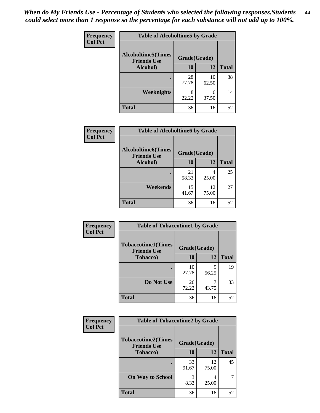*When do My Friends Use - Percentage of Students who selected the following responses.Students could select more than 1 response so the percentage for each substance will not add up to 100%.* **44**

| Frequency      | <b>Table of Alcoholtime5 by Grade</b>           |              |             |              |
|----------------|-------------------------------------------------|--------------|-------------|--------------|
| <b>Col Pct</b> | <b>Alcoholtime5(Times</b><br><b>Friends Use</b> | Grade(Grade) |             |              |
|                | Alcohol)                                        | 10           | 12          | <b>Total</b> |
|                |                                                 | 28<br>77.78  | 10<br>62.50 | 38           |
|                | <b>Weeknights</b>                               | 8<br>22.22   | 6<br>37.50  | 14           |
|                | <b>Total</b>                                    | 36           | 16          | 52           |

| Frequency      | <b>Table of Alcoholtime6 by Grade</b>           |              |             |              |
|----------------|-------------------------------------------------|--------------|-------------|--------------|
| <b>Col Pct</b> | <b>Alcoholtime6(Times</b><br><b>Friends Use</b> | Grade(Grade) |             |              |
|                | Alcohol)                                        | 10           | 12          | <b>Total</b> |
|                |                                                 | 21<br>58.33  | 4<br>25.00  | 25           |
|                | Weekends                                        | 15<br>41.67  | 12<br>75.00 | 27           |
|                | <b>Total</b>                                    | 36           | 16          | 52           |

| <b>Frequency</b> | <b>Table of Tobaccotime1 by Grade</b>           |              |            |              |
|------------------|-------------------------------------------------|--------------|------------|--------------|
| <b>Col Pct</b>   | <b>Tobaccotime1(Times</b><br><b>Friends Use</b> | Grade(Grade) |            |              |
|                  | <b>Tobacco</b> )                                | 10           | 12         | <b>Total</b> |
|                  | $\bullet$                                       | 10<br>27.78  | 9<br>56.25 | 19           |
|                  | Do Not Use                                      | 26<br>72.22  | 43.75      | 33           |
|                  | <b>Total</b>                                    | 36           | 16         | 52           |

| <b>Frequency</b> | <b>Table of Tobaccotime2 by Grade</b>           |              |             |              |
|------------------|-------------------------------------------------|--------------|-------------|--------------|
| <b>Col Pct</b>   | <b>Tobaccotime2(Times</b><br><b>Friends Use</b> | Grade(Grade) |             |              |
|                  | <b>Tobacco</b> )                                | 10           | 12          | <b>Total</b> |
|                  | ٠                                               | 33<br>91.67  | 12<br>75.00 | 45           |
|                  | <b>On Way to School</b>                         | 3<br>8.33    | 4<br>25.00  |              |
|                  | <b>Total</b>                                    | 36           | 16          | 52           |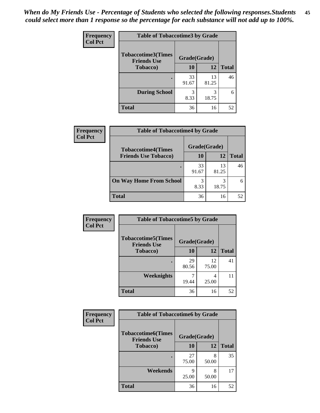| <b>Frequency</b> | <b>Table of Tobaccotime3 by Grade</b>           |              |             |              |
|------------------|-------------------------------------------------|--------------|-------------|--------------|
| <b>Col Pct</b>   | <b>Tobaccotime3(Times</b><br><b>Friends Use</b> | Grade(Grade) |             |              |
|                  | <b>Tobacco</b> )                                | 10           | 12          | <b>Total</b> |
|                  | ٠                                               | 33<br>91.67  | 13<br>81.25 | 46           |
|                  | <b>During School</b>                            | 3<br>8.33    | 3<br>18.75  | 6            |
|                  | <b>Total</b>                                    | 36           | 16          | 52           |

| Frequency<br><b>Col Pct</b> | <b>Table of Tobaccotime4 by Grade</b> |              |             |              |
|-----------------------------|---------------------------------------|--------------|-------------|--------------|
|                             | <b>Tobaccotime4(Times</b>             | Grade(Grade) |             |              |
|                             | <b>Friends Use Tobacco)</b>           | 10           | 12          | <b>Total</b> |
|                             |                                       | 33<br>91.67  | 13<br>81.25 | 46           |
|                             | <b>On Way Home From School</b>        | 3<br>8.33    | 18.75       |              |
|                             | <b>Total</b>                          | 36           | 16          | 52           |

| Frequency      | <b>Table of Tobaccotime5 by Grade</b>            |              |             |              |
|----------------|--------------------------------------------------|--------------|-------------|--------------|
| <b>Col Pct</b> | <b>Tobaccotime5</b> (Times<br><b>Friends Use</b> | Grade(Grade) |             |              |
|                | Tobacco)                                         | 10           | 12          | <b>Total</b> |
|                |                                                  | 29<br>80.56  | 12<br>75.00 | 41           |
|                | <b>Weeknights</b>                                | 19.44        | 4<br>25.00  | 11           |
|                | <b>Total</b>                                     | 36           | 16          | 52           |

| Frequency<br><b>Col Pct</b> | <b>Table of Tobaccotime6 by Grade</b>                           |             |            |              |
|-----------------------------|-----------------------------------------------------------------|-------------|------------|--------------|
|                             | <b>Tobaccotime6(Times</b><br>Grade(Grade)<br><b>Friends Use</b> |             |            |              |
|                             | <b>Tobacco</b> )                                                | 10          | 12         | <b>Total</b> |
|                             |                                                                 | 27<br>75.00 | 8<br>50.00 | 35           |
|                             | Weekends                                                        | q<br>25.00  | 8<br>50.00 | 17           |
|                             | <b>Total</b>                                                    | 36          | 16         | 52           |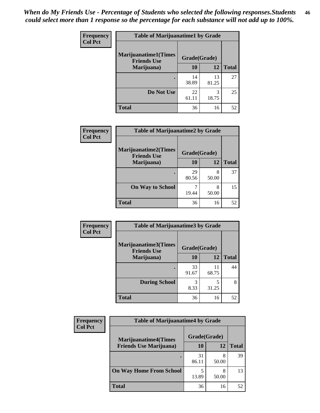| Frequency<br><b>Col Pct</b> | <b>Table of Marijuanatime1 by Grade</b>           |              |             |              |
|-----------------------------|---------------------------------------------------|--------------|-------------|--------------|
|                             | <b>Marijuanatime1(Times</b><br><b>Friends Use</b> | Grade(Grade) |             |              |
|                             | Marijuana)                                        | 10           | 12          | <b>Total</b> |
|                             |                                                   | 14<br>38.89  | 13<br>81.25 | 27           |
|                             | Do Not Use                                        | 22<br>61.11  | 3<br>18.75  | 25           |
|                             | <b>Total</b>                                      | 36           | 16          | 52           |

| <b>Frequency</b> | <b>Table of Marijuanatime2 by Grade</b>           |              |            |              |
|------------------|---------------------------------------------------|--------------|------------|--------------|
| <b>Col Pct</b>   | <b>Marijuanatime2(Times</b><br><b>Friends Use</b> | Grade(Grade) |            |              |
|                  | Marijuana)                                        | 10           | 12         | <b>Total</b> |
|                  |                                                   | 29<br>80.56  | 8<br>50.00 | 37           |
|                  | <b>On Way to School</b>                           | 19.44        | 8<br>50.00 | 15           |
|                  | <b>Total</b>                                      | 36           | 16         | 52           |

| Frequency      | <b>Table of Marijuanatime3 by Grade</b>    |              |             |              |
|----------------|--------------------------------------------|--------------|-------------|--------------|
| <b>Col Pct</b> | Marijuanatime3(Times<br><b>Friends Use</b> | Grade(Grade) |             |              |
|                | Marijuana)                                 | 10           | 12          | <b>Total</b> |
|                |                                            | 33<br>91.67  | 11<br>68.75 | 44           |
|                | <b>During School</b>                       | 3<br>8.33    | 5<br>31.25  | 8            |
|                | <b>Total</b>                               | 36           | 16          | 52           |

| Frequency<br><b>Col Pct</b> | <b>Table of Marijuanatime4 by Grade</b> |              |            |              |
|-----------------------------|-----------------------------------------|--------------|------------|--------------|
|                             | <b>Marijuanatime4</b> (Times            | Grade(Grade) |            |              |
|                             | <b>Friends Use Marijuana</b> )          | 10           | 12         | <b>Total</b> |
|                             |                                         | 31<br>86.11  | 8<br>50.00 | 39           |
|                             | <b>On Way Home From School</b>          | 5<br>13.89   | 8<br>50.00 | 13           |
|                             | <b>Total</b>                            | 36           | 16         | 52           |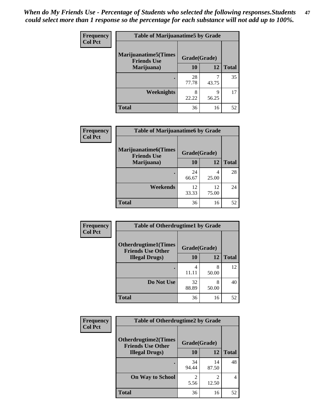| <b>Frequency</b> | <b>Table of Marijuanatime5 by Grade</b>            |              |            |              |
|------------------|----------------------------------------------------|--------------|------------|--------------|
| <b>Col Pct</b>   | <b>Marijuanatime5</b> (Times<br><b>Friends Use</b> | Grade(Grade) |            |              |
|                  | Marijuana)                                         | 10           | 12         | <b>Total</b> |
|                  |                                                    | 28<br>77.78  | ℸ<br>43.75 | 35           |
|                  | Weeknights                                         | 8<br>22.22   | q<br>56.25 | 17           |
|                  | <b>Total</b>                                       | 36           | 16         | 52           |

| <b>Frequency</b> | <b>Table of Marijuanatime6 by Grade</b>            |              |             |              |
|------------------|----------------------------------------------------|--------------|-------------|--------------|
| <b>Col Pct</b>   | <b>Marijuanatime6</b> (Times<br><b>Friends Use</b> | Grade(Grade) |             |              |
|                  | Marijuana)                                         | 10           | 12          | <b>Total</b> |
|                  |                                                    | 24<br>66.67  | 4<br>25.00  | 28           |
|                  | Weekends                                           | 12<br>33.33  | 12<br>75.00 | 24           |
|                  | <b>Total</b>                                       | 36           | 16          | 52           |

| <b>Frequency</b> | <b>Table of Otherdrugtime1 by Grade</b>                  |              |            |              |
|------------------|----------------------------------------------------------|--------------|------------|--------------|
| <b>Col Pct</b>   | <b>Otherdrugtime1</b> (Times<br><b>Friends Use Other</b> | Grade(Grade) |            |              |
|                  | <b>Illegal Drugs</b> )                                   | 10           | 12         | <b>Total</b> |
|                  |                                                          | 4<br>11.11   | 8<br>50.00 | 12           |
|                  | Do Not Use                                               | 32<br>88.89  | 8<br>50.00 | 40           |
|                  | <b>Total</b>                                             | 36           | 16         | 52           |

| Frequency      | <b>Table of Otherdrugtime2 by Grade</b>                 |                                     |                         |                |
|----------------|---------------------------------------------------------|-------------------------------------|-------------------------|----------------|
| <b>Col Pct</b> | <b>Otherdrugtime2(Times</b><br><b>Friends Use Other</b> | Grade(Grade)                        |                         |                |
|                | <b>Illegal Drugs</b> )                                  | 10                                  | 12                      | <b>Total</b>   |
|                |                                                         | 34<br>94.44                         | 14<br>87.50             | 48             |
|                | <b>On Way to School</b>                                 | $\mathcal{D}_{\mathcal{A}}$<br>5.56 | $\mathfrak{D}$<br>12.50 | $\overline{4}$ |
|                | <b>Total</b>                                            | 36                                  | 16                      | 52             |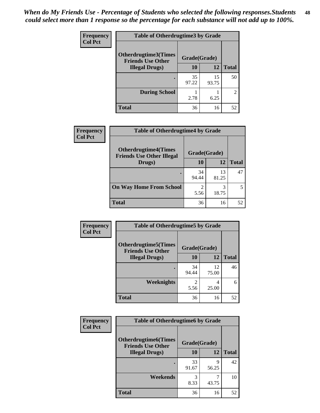| <b>Frequency</b> | <b>Table of Otherdrugtime3 by Grade</b>          |              |             |                |
|------------------|--------------------------------------------------|--------------|-------------|----------------|
| <b>Col Pct</b>   | Otherdrugtime3(Times<br><b>Friends Use Other</b> | Grade(Grade) |             |                |
|                  | <b>Illegal Drugs</b> )                           | 10           | 12          | <b>Total</b>   |
|                  |                                                  | 35<br>97.22  | 15<br>93.75 | 50             |
|                  | <b>During School</b>                             | 2.78         | 6.25        | $\mathfrak{D}$ |
|                  | <b>Total</b>                                     | 36           | 16          | 52             |

| Frequency      | <b>Table of Otherdrugtime4 by Grade</b>    |              |             |              |
|----------------|--------------------------------------------|--------------|-------------|--------------|
| <b>Col Pct</b> | <b>Otherdrugtime4(Times</b>                | Grade(Grade) |             |              |
|                | <b>Friends Use Other Illegal</b><br>Drugs) | 10           | 12          | <b>Total</b> |
|                | ٠                                          | 34<br>94.44  | 13<br>81.25 | 47           |
|                | <b>On Way Home From School</b>             | 2<br>5.56    | 3<br>18.75  |              |
|                | <b>Total</b>                               | 36           | 16          | 52           |

| Frequency      | <b>Table of Otherdrugtime5 by Grade</b>                  |              |             |              |
|----------------|----------------------------------------------------------|--------------|-------------|--------------|
| <b>Col Pct</b> | <b>Otherdrugtime5</b> (Times<br><b>Friends Use Other</b> | Grade(Grade) |             |              |
|                | <b>Illegal Drugs</b> )                                   | 10           | 12          | <b>Total</b> |
|                |                                                          | 34<br>94.44  | 12<br>75.00 | 46           |
|                | Weeknights                                               | 2<br>5.56    | 4<br>25.00  | 6            |
|                | <b>Total</b>                                             | 36           | 16          | 52           |

| <b>Frequency</b> | <b>Table of Otherdrugtime6 by Grade</b>                 |              |            |              |
|------------------|---------------------------------------------------------|--------------|------------|--------------|
| <b>Col Pct</b>   | <b>Otherdrugtime6(Times</b><br><b>Friends Use Other</b> | Grade(Grade) |            |              |
|                  | <b>Illegal Drugs</b> )                                  | 10           | 12         | <b>Total</b> |
|                  |                                                         | 33<br>91.67  | 9<br>56.25 | 42           |
|                  | Weekends                                                | 3<br>8.33    | 43.75      | 10           |
|                  | <b>Total</b>                                            | 36           | 16         | 52           |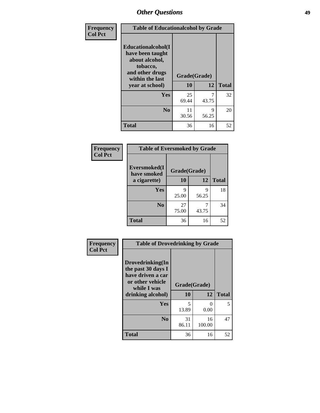| Frequency      | <b>Table of Educationalcohol by Grade</b>                                                                  |              |            |              |  |
|----------------|------------------------------------------------------------------------------------------------------------|--------------|------------|--------------|--|
| <b>Col Pct</b> | Educationalcohol(I<br>have been taught<br>about alcohol,<br>tobacco,<br>and other drugs<br>within the last | Grade(Grade) |            |              |  |
|                | year at school)                                                                                            | 10           | 12         | <b>Total</b> |  |
|                | <b>Yes</b>                                                                                                 | 25<br>69.44  | 7<br>43.75 | 32           |  |
|                | N <sub>0</sub>                                                                                             | 11<br>30.56  | 9<br>56.25 | 20           |  |
|                | <b>Total</b>                                                                                               | 36           | 16         | 52           |  |

| Frequency      | <b>Table of Eversmoked by Grade</b> |              |            |              |  |  |
|----------------|-------------------------------------|--------------|------------|--------------|--|--|
| <b>Col Pct</b> | Eversmoked(I<br>have smoked         | Grade(Grade) |            |              |  |  |
|                | a cigarette)                        | 10           | 12         | <b>Total</b> |  |  |
|                | Yes                                 | 9<br>25.00   | 9<br>56.25 | 18           |  |  |
|                | N <sub>0</sub>                      | 27<br>75.00  | 43.75      | 34           |  |  |
|                | <b>Total</b>                        | 36           | 16         | 52           |  |  |

| Frequency      | <b>Table of Drovedrinking by Grade</b>                                                                              |                    |                  |              |  |  |
|----------------|---------------------------------------------------------------------------------------------------------------------|--------------------|------------------|--------------|--|--|
| <b>Col Pct</b> | Drovedrinking(In<br>the past 30 days I<br>have driven a car<br>or other vehicle<br>while I was<br>drinking alcohol) | Grade(Grade)<br>10 | 12               | <b>Total</b> |  |  |
|                | <b>Yes</b>                                                                                                          | 5<br>13.89         | $\Omega$<br>0.00 | 5            |  |  |
|                | N <sub>0</sub>                                                                                                      | 31<br>86.11        | 16<br>100.00     | 47           |  |  |
|                | <b>Total</b>                                                                                                        | 36                 | 16               | 52           |  |  |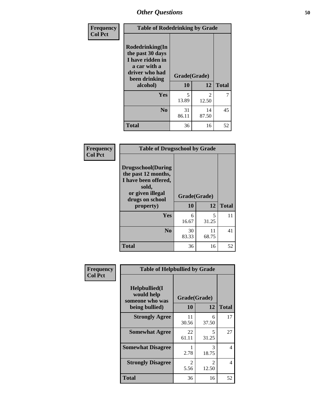| Frequency<br><b>Col Pct</b> | <b>Table of Rodedrinking by Grade</b>                                                                      |              |                         |              |  |  |
|-----------------------------|------------------------------------------------------------------------------------------------------------|--------------|-------------------------|--------------|--|--|
|                             | Rodedrinking(In<br>the past 30 days<br>I have ridden in<br>a car with a<br>driver who had<br>been drinking | Grade(Grade) |                         |              |  |  |
|                             | alcohol)                                                                                                   | 10           | 12                      | <b>Total</b> |  |  |
|                             | <b>Yes</b>                                                                                                 | 5<br>13.89   | $\mathfrak{D}$<br>12.50 | 7            |  |  |
|                             | N <sub>0</sub>                                                                                             | 31<br>86.11  | 14<br>87.50             | 45           |  |  |
|                             | <b>Total</b>                                                                                               | 36           | 16                      | 52           |  |  |

#### **Frequency Col Pct**

| <b>Table of Drugsschool by Grade</b>                                                                                      |              |             |              |  |  |
|---------------------------------------------------------------------------------------------------------------------------|--------------|-------------|--------------|--|--|
| <b>Drugsschool</b> (During<br>the past 12 months,<br>I have been offered,<br>sold,<br>or given illegal<br>drugs on school | Grade(Grade) |             |              |  |  |
| property)                                                                                                                 | 10           | 12          | <b>Total</b> |  |  |
| Yes                                                                                                                       | 6<br>16.67   | 5<br>31.25  | 11           |  |  |
| N <sub>0</sub>                                                                                                            | 30<br>83.33  | 11<br>68.75 | 41           |  |  |
| <b>Total</b>                                                                                                              | 36           | 16          | 52           |  |  |

| Frequency      | <b>Table of Helpbullied by Grade</b>                                   |                    |            |              |  |  |
|----------------|------------------------------------------------------------------------|--------------------|------------|--------------|--|--|
| <b>Col Pct</b> | $Helpb$ ullied $(I$<br>would help<br>someone who was<br>being bullied) | Grade(Grade)<br>10 | 12         | <b>Total</b> |  |  |
|                |                                                                        |                    |            |              |  |  |
|                | <b>Strongly Agree</b>                                                  | 11<br>30.56        | 6<br>37.50 | 17           |  |  |
|                | <b>Somewhat Agree</b>                                                  | 22<br>61.11        | 5<br>31.25 | 27           |  |  |
|                | <b>Somewhat Disagree</b>                                               | 2.78               | 3<br>18.75 | 4            |  |  |
|                | <b>Strongly Disagree</b>                                               | 2<br>5.56          | 2<br>12.50 | 4            |  |  |
|                | Total                                                                  | 36                 | 16         | 52           |  |  |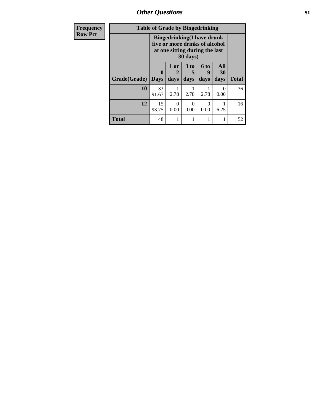*Other Questions* **51**

| Frequency      | <b>Table of Grade by Bingedrinking</b>                                                                            |                         |                                |                   |                              |                   |              |
|----------------|-------------------------------------------------------------------------------------------------------------------|-------------------------|--------------------------------|-------------------|------------------------------|-------------------|--------------|
| <b>Row Pct</b> | <b>Bingedrinking(I have drunk</b><br>five or more drinks of alcohol<br>at one sitting during the last<br>30 days) |                         |                                |                   |                              |                   |              |
|                | Grade(Grade)                                                                                                      | $\bf{0}$<br><b>Days</b> | 1 or<br>$\overline{2}$<br>days | 3 to<br>5<br>days | 6 <sub>to</sub><br>9<br>days | All<br>30<br>days | <b>Total</b> |
|                | 10                                                                                                                | 33<br>91.67             | 2.78                           | 2.78              | 2.78                         | $\Omega$<br>0.00  | 36           |
|                | 12                                                                                                                | 15<br>93.75             | $\theta$<br>0.00               | $\Omega$<br>0.00  | 0<br>0.00                    | 6.25              | 16           |
|                | <b>Total</b>                                                                                                      | 48                      |                                |                   |                              |                   | 52           |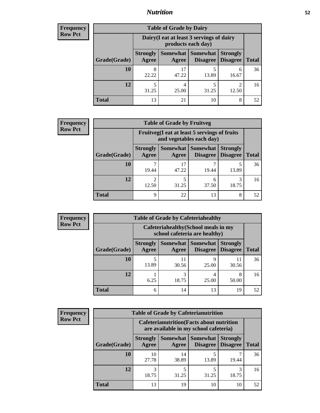### *Nutrition* **52**

| Frequency |
|-----------|
| Row Pct   |

| <b>Table of Grade by Dairy</b> |                                                                                                                                 |                                                                 |            |            |    |  |  |
|--------------------------------|---------------------------------------------------------------------------------------------------------------------------------|-----------------------------------------------------------------|------------|------------|----|--|--|
|                                |                                                                                                                                 | Dairy (I eat at least 3 servings of dairy<br>products each day) |            |            |    |  |  |
| Grade(Grade)                   | Somewhat Somewhat<br><b>Strongly</b><br><b>Strongly</b><br><b>Disagree</b><br><b>Total</b><br>Agree<br><b>Disagree</b><br>Agree |                                                                 |            |            |    |  |  |
| 10                             | 8<br>22.22                                                                                                                      | 17<br>47.22                                                     | 5<br>13.89 | 6<br>16.67 | 36 |  |  |
| 12                             | 5<br>31.25                                                                                                                      | 4<br>25.00                                                      | 5<br>31.25 | ി<br>12.50 | 16 |  |  |
| <b>Total</b>                   | 13                                                                                                                              | 21                                                              | 10         | 8          | 52 |  |  |

| <b>Frequency</b> |
|------------------|
| <b>Row Pct</b>   |

| $\overline{\textbf{c}\textbf{v}}$ | <b>Table of Grade by Fruitveg</b> |                                                                                                                            |                                                                          |       |            |    |  |  |
|-----------------------------------|-----------------------------------|----------------------------------------------------------------------------------------------------------------------------|--------------------------------------------------------------------------|-------|------------|----|--|--|
| J.                                |                                   |                                                                                                                            | Fruitveg(I eat at least 5 servings of fruits<br>and vegetables each day) |       |            |    |  |  |
|                                   | Grade(Grade)                      | Somewhat   Somewhat<br><b>Strongly</b><br><b>Strongly</b><br>Agree<br>Disagree<br><b>Disagree</b><br><b>Total</b><br>Agree |                                                                          |       |            |    |  |  |
|                                   | 10                                | 19.44                                                                                                                      | 17<br>47.22                                                              | 19.44 | 13.89      | 36 |  |  |
|                                   | 12                                | $\overline{2}$<br>12.50                                                                                                    | 31.25                                                                    | 37.50 | 3<br>18.75 | 16 |  |  |
|                                   | <b>Total</b>                      | 9                                                                                                                          | 22                                                                       | 13    | 8          | 52 |  |  |

**Frequency Row Pct**

| <b>Table of Grade by Cafeteriahealthy</b> |                          |                                                                                           |            |             |    |  |  |  |
|-------------------------------------------|--------------------------|-------------------------------------------------------------------------------------------|------------|-------------|----|--|--|--|
|                                           |                          | Cafeteriahealthy (School meals in my<br>school cafeteria are healthy)                     |            |             |    |  |  |  |
| Grade(Grade)                              | <b>Strongly</b><br>Agree | Somewhat  <br>Somewhat<br><b>Strongly</b><br>Disagree   Disagree<br><b>Total</b><br>Agree |            |             |    |  |  |  |
| 10                                        | 5<br>13.89               | 11<br>30.56                                                                               | q<br>25.00 | 11<br>30.56 | 36 |  |  |  |
| 12                                        | 6.25                     | 18.75                                                                                     | 4<br>25.00 | 8<br>50.00  | 16 |  |  |  |
| <b>Total</b>                              | 6                        | 14                                                                                        | 13         | 19          | 52 |  |  |  |

**Frequency Row Pct**

| <b>Table of Grade by Cafeterianutrition</b> |                                                                                                                              |             |            |       |    |  |
|---------------------------------------------|------------------------------------------------------------------------------------------------------------------------------|-------------|------------|-------|----|--|
|                                             | <b>Cafeterianutrition</b> (Facts about nutrition<br>are available in my school cafeteria)                                    |             |            |       |    |  |
| Grade(Grade)                                | Somewhat   Somewhat  <br><b>Strongly</b><br><b>Strongly</b><br><b>Disagree</b><br>Agree<br><b>Total</b><br>Disagree<br>Agree |             |            |       |    |  |
| 10                                          | 10<br>27.78                                                                                                                  | 14<br>38.89 | 5<br>13.89 | 19.44 | 36 |  |
| 12                                          | 3<br>18.75                                                                                                                   | 31.25       | 5<br>31.25 | 18.75 | 16 |  |
| <b>Total</b>                                | 13                                                                                                                           | 19          | 10         | 10    | 52 |  |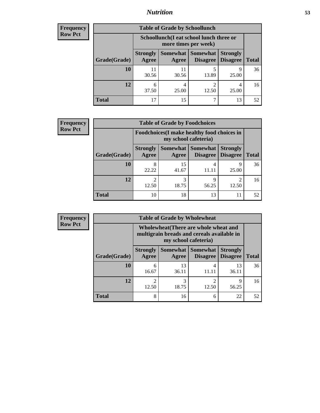### *Nutrition* **53**

| Frequency |  |
|-----------|--|
| Row Pct   |  |

| <b>Table of Grade by Schoollunch</b> |                                                                                                                          |                                                                 |                         |            |    |  |
|--------------------------------------|--------------------------------------------------------------------------------------------------------------------------|-----------------------------------------------------------------|-------------------------|------------|----|--|
|                                      |                                                                                                                          | Schoollunch(I eat school lunch three or<br>more times per week) |                         |            |    |  |
| Grade(Grade)                         | Somewhat Somewhat<br><b>Strongly</b><br><b>Strongly</b><br><b>Disagree</b><br><b>Total</b><br>Agree<br>Disagree<br>Agree |                                                                 |                         |            |    |  |
| 10                                   | 11<br>30.56                                                                                                              | 11<br>30.56                                                     | 5<br>13.89              | Q<br>25.00 | 36 |  |
| 12                                   | 6<br>37.50                                                                                                               | 25.00                                                           | $\overline{2}$<br>12.50 | 25.00      | 16 |  |
| <b>Total</b>                         | 17                                                                                                                       | 15                                                              | ┑                       | 13         | 52 |  |

| <b>Frequency</b> |  |
|------------------|--|
| <b>Row Pct</b>   |  |

| $\mathbf{y}$ | <b>Table of Grade by Foodchoices</b> |                                                                     |                     |                                 |                 |              |  |
|--------------|--------------------------------------|---------------------------------------------------------------------|---------------------|---------------------------------|-----------------|--------------|--|
|              |                                      | Foodchoices (I make healthy food choices in<br>my school cafeteria) |                     |                                 |                 |              |  |
|              | Grade(Grade)                         | <b>Strongly</b><br>Agree                                            | Somewhat  <br>Agree | Somewhat<br>Disagree   Disagree | <b>Strongly</b> | <b>Total</b> |  |
|              | 10                                   | 8<br>22.22                                                          | 15<br>41.67         | 11.11                           | Q<br>25.00      | 36           |  |
|              | 12                                   | $\mathfrak{D}$<br>12.50                                             | 3<br>18.75          | 56.25                           | 12.50           | 16           |  |
|              | <b>Total</b>                         | 10                                                                  | 18                  | 13                              | 11              | 52           |  |

| Frequency      | <b>Table of Grade by Wholewheat</b> |                                                                                                             |             |                                        |                                    |              |  |
|----------------|-------------------------------------|-------------------------------------------------------------------------------------------------------------|-------------|----------------------------------------|------------------------------------|--------------|--|
| <b>Row Pct</b> |                                     | Wholewheat (There are whole wheat and<br>multigrain breads and cereals available in<br>my school cafeteria) |             |                                        |                                    |              |  |
|                | Grade(Grade)                        | <b>Strongly</b><br>Agree                                                                                    | Agree       | Somewhat   Somewhat<br><b>Disagree</b> | <b>Strongly</b><br><b>Disagree</b> | <b>Total</b> |  |
|                | 10                                  | 6<br>16.67                                                                                                  | 13<br>36.11 | 4<br>11.11                             | 13<br>36.11                        | 36           |  |
|                | 12                                  | $\mathfrak{D}$<br>12.50                                                                                     | 3<br>18.75  | ↑<br>12.50                             | 9<br>56.25                         | 16           |  |
|                | <b>Total</b>                        | 8                                                                                                           | 16          | 6                                      | 22                                 | 52           |  |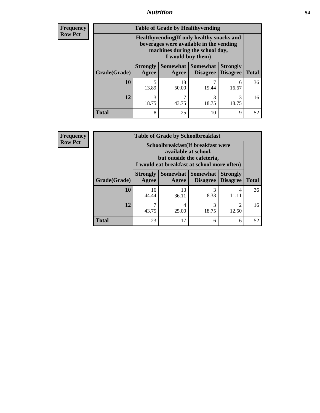### *Nutrition* **54**

**Frequency Row Pct**

| <b>Table of Grade by Healthyvending</b> |                                                                                                                                               |                          |                                    |                                    |              |  |
|-----------------------------------------|-----------------------------------------------------------------------------------------------------------------------------------------------|--------------------------|------------------------------------|------------------------------------|--------------|--|
|                                         | Healthyvending (If only healthy snacks and<br>beverages were available in the vending<br>machines during the school day,<br>I would buy them) |                          |                                    |                                    |              |  |
| Grade(Grade)                            | <b>Strongly</b><br>Agree                                                                                                                      | <b>Somewhat</b><br>Agree | <b>Somewhat</b><br><b>Disagree</b> | <b>Strongly</b><br><b>Disagree</b> | <b>Total</b> |  |
| 10                                      | 5<br>13.89                                                                                                                                    | 18<br>50.00              | 19.44                              | 6<br>16.67                         | 36           |  |
| 12                                      | 3<br>18.75                                                                                                                                    | 43.75                    | 3<br>18.75                         | 3<br>18.75                         | 16           |  |
| <b>Total</b>                            | 8                                                                                                                                             | 25                       | 10                                 | 9                                  | 52           |  |

**Frequency Row Pct**

| <b>Table of Grade by Schoolbreakfast</b> |                                                                                                                                         |             |                                 |                                    |              |  |
|------------------------------------------|-----------------------------------------------------------------------------------------------------------------------------------------|-------------|---------------------------------|------------------------------------|--------------|--|
|                                          | Schoolbreakfast (If breakfast were<br>available at school,<br>but outside the cafeteria,<br>I would eat breakfast at school more often) |             |                                 |                                    |              |  |
| Grade(Grade)                             | <b>Strongly</b><br>Agree                                                                                                                | Agree       | Somewhat   Somewhat<br>Disagree | <b>Strongly</b><br><b>Disagree</b> | <b>Total</b> |  |
| 10                                       | 16<br>44.44                                                                                                                             | 13<br>36.11 | 3<br>8.33                       | 4<br>11.11                         | 36           |  |
| 12                                       | 7<br>43.75                                                                                                                              | 4<br>25.00  | 3<br>18.75                      | $\mathcal{D}$<br>12.50             | 16           |  |
| <b>Total</b>                             | 23                                                                                                                                      | 17          | 6                               | 6                                  | 52           |  |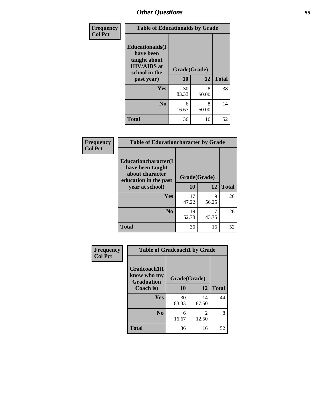| Frequency<br><b>Col Pct</b> | <b>Table of Educationaids by Grade</b>                                                                    |                    |              |    |  |
|-----------------------------|-----------------------------------------------------------------------------------------------------------|--------------------|--------------|----|--|
|                             | <b>Educationaids</b> (I<br>have been<br>taught about<br><b>HIV/AIDS</b> at<br>school in the<br>past year) | Grade(Grade)<br>10 | <b>Total</b> |    |  |
|                             | Yes                                                                                                       | 30<br>83.33        | 8<br>50.00   | 38 |  |
|                             | N <sub>0</sub>                                                                                            | 6<br>16.67         | 8<br>50.00   | 14 |  |
|                             | <b>Total</b>                                                                                              | 36                 | 16           | 52 |  |

| Frequency      | <b>Table of Educationcharacter by Grade</b>                         |              |            |              |  |  |
|----------------|---------------------------------------------------------------------|--------------|------------|--------------|--|--|
| <b>Col Pct</b> | <b>Educationcharacter(I)</b><br>have been taught<br>about character | Grade(Grade) |            |              |  |  |
|                | education in the past<br>year at school)                            | 10           | 12         | <b>Total</b> |  |  |
|                | Yes                                                                 | 17<br>47.22  | 9<br>56.25 | 26           |  |  |
|                | N <sub>0</sub>                                                      | 19<br>52.78  | 7<br>43.75 | 26           |  |  |
|                | <b>Total</b>                                                        | 36           | 16         | 52           |  |  |

| <b>Frequency</b> | <b>Table of Gradcoach1 by Grade</b> |              |             |              |
|------------------|-------------------------------------|--------------|-------------|--------------|
| <b>Col Pct</b>   | Gradcoach1(I                        |              |             |              |
|                  | know who my<br><b>Graduation</b>    | Grade(Grade) |             |              |
|                  | Coach is)                           | 10           | 12          | <b>Total</b> |
|                  | <b>Yes</b>                          | 30<br>83.33  | 14<br>87.50 | 44           |
|                  | N <sub>0</sub>                      | 6<br>16.67   | 2<br>12.50  | 8            |
|                  | <b>Total</b>                        | 36           | 16          | 52           |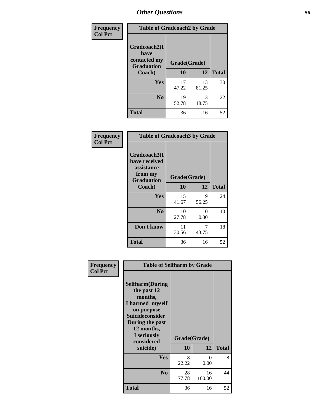| Frequency      | <b>Table of Gradcoach2 by Grade</b> |             |              |              |  |
|----------------|-------------------------------------|-------------|--------------|--------------|--|
| <b>Col Pct</b> | Gradcoach2(I<br>have                |             |              |              |  |
|                | contacted my<br><b>Graduation</b>   |             | Grade(Grade) |              |  |
|                | Coach)                              | 10          | 12           | <b>Total</b> |  |
|                | Yes                                 | 17<br>47.22 | 13<br>81.25  | 30           |  |
|                | N <sub>0</sub>                      | 19<br>52.78 | 3<br>18.75   | 22           |  |
|                | <b>Total</b>                        | 36          | 16           | 52           |  |

| Frequency<br><b>Col Pct</b> | <b>Table of Gradcoach3 by Grade</b>                                         |              |            |              |  |
|-----------------------------|-----------------------------------------------------------------------------|--------------|------------|--------------|--|
|                             | Gradcoach3(I<br>have received<br>assistance<br>from my<br><b>Graduation</b> | Grade(Grade) |            |              |  |
|                             | Coach)                                                                      | 10           | 12         | <b>Total</b> |  |
|                             | Yes                                                                         | 15<br>41.67  | 9<br>56.25 | 24           |  |
|                             | N <sub>0</sub>                                                              | 10<br>27.78  | 0<br>0.00  | 10           |  |
|                             | Don't know                                                                  | 11<br>30.56  | 7<br>43.75 | 18           |  |
|                             | <b>Total</b>                                                                | 36           | 16         | 52           |  |

| Frequency      | <b>Table of Selfharm by Grade</b>                                                                                                                                                      |                    |                  |              |
|----------------|----------------------------------------------------------------------------------------------------------------------------------------------------------------------------------------|--------------------|------------------|--------------|
| <b>Col Pct</b> | <b>Selfharm</b> (During<br>the past 12<br>months,<br>I harmed myself<br>on purpose<br><b>Suicideconsider</b><br>During the past<br>12 months,<br>I seriously<br>considered<br>suicide) | Grade(Grade)<br>10 | 12               | <b>Total</b> |
|                | Yes                                                                                                                                                                                    | 8<br>22.22         | $\Omega$<br>0.00 | 8            |
|                | N <sub>0</sub>                                                                                                                                                                         | 28<br>77.78        | 16<br>100.00     | 44           |
|                | Total                                                                                                                                                                                  | 36                 | 16               | 52           |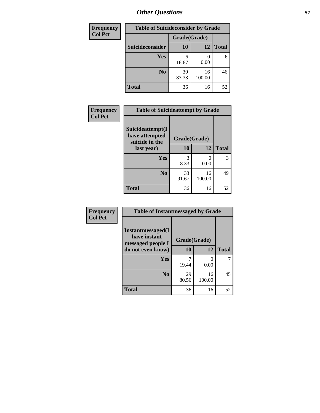| <b>Frequency</b> |                        | <b>Table of Suicideconsider by Grade</b> |              |              |  |  |
|------------------|------------------------|------------------------------------------|--------------|--------------|--|--|
| <b>Col Pct</b>   |                        | Grade(Grade)                             |              |              |  |  |
|                  | <b>Suicideconsider</b> | <b>10</b>                                | 12           | <b>Total</b> |  |  |
|                  | <b>Yes</b>             | 6<br>16.67                               | 0.00         | 6            |  |  |
|                  | N <sub>0</sub>         | 30<br>83.33                              | 16<br>100.00 | 46           |  |  |
|                  | <b>Total</b>           | 36                                       | 16           | 52           |  |  |

| Frequency      | <b>Table of Suicideattempt by Grade</b>              |              |              |              |  |
|----------------|------------------------------------------------------|--------------|--------------|--------------|--|
| <b>Col Pct</b> | Suicideattempt(I<br>have attempted<br>suicide in the | Grade(Grade) |              |              |  |
|                | last year)                                           | 10           | 12           | <b>Total</b> |  |
|                | Yes                                                  | 3<br>8.33    | 0.00         | 3            |  |
|                | $\bf No$                                             | 33<br>91.67  | 16<br>100.00 | 49           |  |
|                | <b>Total</b>                                         | 36           | 16           | 52           |  |

| Frequency      | <b>Table of Instantmessaged by Grade</b>               |              |              |              |
|----------------|--------------------------------------------------------|--------------|--------------|--------------|
| <b>Col Pct</b> | Instantmessaged(I<br>have instant<br>messaged people I | Grade(Grade) |              |              |
|                | do not even know)                                      | 10           | 12           | <b>Total</b> |
|                | Yes                                                    | 19.44        | 0<br>0.00    |              |
|                | N <sub>0</sub>                                         | 29<br>80.56  | 16<br>100.00 | 45           |
|                | <b>Total</b>                                           | 36           | 16           | 52           |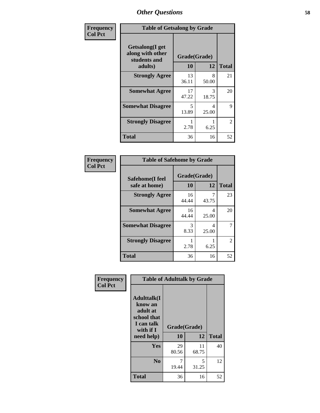| Frequency      | <b>Table of Getsalong by Grade</b>                          |              |            |              |  |
|----------------|-------------------------------------------------------------|--------------|------------|--------------|--|
| <b>Col Pct</b> | <b>Getsalong</b> (I get<br>along with other<br>students and | Grade(Grade) |            |              |  |
|                | adults)                                                     | 10           | 12         | <b>Total</b> |  |
|                | <b>Strongly Agree</b>                                       | 13<br>36.11  | 8<br>50.00 | 21           |  |
|                | <b>Somewhat Agree</b>                                       | 17<br>47.22  | 3<br>18.75 | 20           |  |
|                | <b>Somewhat Disagree</b>                                    | 5<br>13.89   | 4<br>25.00 | 9            |  |
|                | <b>Strongly Disagree</b>                                    | 2.78         | 6.25       | 2            |  |
|                | <b>Total</b>                                                | 36           | 16         | 52           |  |

| Frequency      |                                  | <b>Table of Safehome by Grade</b> |            |              |  |  |  |
|----------------|----------------------------------|-----------------------------------|------------|--------------|--|--|--|
| <b>Col Pct</b> | Safehome(I feel<br>safe at home) | Grade(Grade)<br>10                | 12         | <b>Total</b> |  |  |  |
|                | <b>Strongly Agree</b>            | 16<br>44.44                       | 43.75      | 23           |  |  |  |
|                | <b>Somewhat Agree</b>            | 16<br>44.44                       | 4<br>25.00 | 20           |  |  |  |
|                | <b>Somewhat Disagree</b>         | 3<br>8.33                         | 4<br>25.00 | 7            |  |  |  |
|                | <b>Strongly Disagree</b>         | 2.78                              | 6.25       | 2            |  |  |  |
|                | <b>Total</b>                     | 36                                | 16         | 52           |  |  |  |

| Frequency      | <b>Table of Adulttalk by Grade</b>                                                                |                    |             |              |
|----------------|---------------------------------------------------------------------------------------------------|--------------------|-------------|--------------|
| <b>Col Pct</b> | <b>Adulttalk(I</b><br>know an<br>adult at<br>school that<br>I can talk<br>with if I<br>need help) | Grade(Grade)<br>10 | 12          | <b>Total</b> |
|                |                                                                                                   |                    |             |              |
|                | <b>Yes</b>                                                                                        | 29<br>80.56        | 11<br>68.75 | 40           |
|                | N <sub>0</sub>                                                                                    | 19.44              | 5<br>31.25  | 12           |
|                | <b>Total</b>                                                                                      | 36                 | 16          | 52           |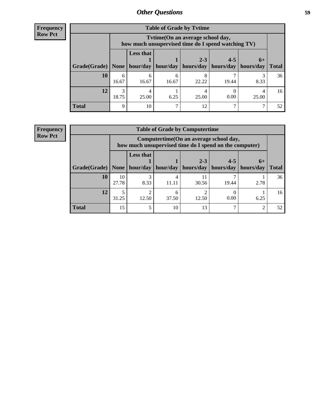| <b>Frequency</b> |
|------------------|
| <b>Row Pct</b>   |

| <b>Table of Grade by Tytime</b>           |            |                                                                                        |            |                      |                      |                   |                 |
|-------------------------------------------|------------|----------------------------------------------------------------------------------------|------------|----------------------|----------------------|-------------------|-----------------|
|                                           |            | Tvtime(On an average school day,<br>how much unsupervised time do I spend watching TV) |            |                      |                      |                   |                 |
| Grade(Grade)   None   hour/day   hour/day |            | <b>Less that</b>                                                                       |            | $2 - 3$<br>hours/day | $4 - 5$<br>hours/day | $6+$<br>hours/day | <b>Total</b>    |
| 10                                        | 6<br>16.67 | 16.67                                                                                  | h<br>16.67 | 8<br>22.22           | 19.44                | 8.33              | 36              |
| 12                                        | 3<br>18.75 | 25.00                                                                                  | 6.25       | 25.00                | 0.00                 | 25.00             | 16 <sup>1</sup> |
| <b>Total</b>                              | 9          | 10                                                                                     | ⇁          | 12                   |                      |                   | 52              |

#### **Frequency Row Pct**

| <b>Table of Grade by Computertime</b> |             |                                                                                                   |          |                      |                      |                   |              |
|---------------------------------------|-------------|---------------------------------------------------------------------------------------------------|----------|----------------------|----------------------|-------------------|--------------|
|                                       |             | Computertime (On an average school day,<br>how much unsupervised time do I spend on the computer) |          |                      |                      |                   |              |
| Grade(Grade)                          | None        | <b>Less that</b><br>hour/day                                                                      | hour/day | $2 - 3$<br>hours/day | $4 - 5$<br>hours/day | $6+$<br>hours/day | <b>Total</b> |
| 10                                    | 10<br>27.78 | 3<br>8.33                                                                                         | 11.11    | 11<br>30.56          | 19.44                | 2.78              | 36           |
| 12                                    | 31.25       | ↑<br>12.50                                                                                        | 37.50    | 12.50                | 0.00                 | 6.25              | 16           |
| <b>Total</b>                          | 15          | 5                                                                                                 | 10       | 13                   |                      | ◠                 | 52           |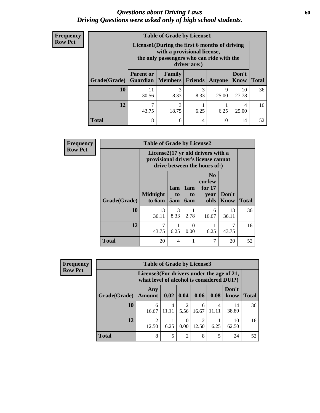### *Questions about Driving Laws* **60** *Driving Questions were asked only of high school students.*

| <b>Frequency</b> |
|------------------|
| <b>Row Pct</b>   |

| <b>Table of Grade by License1</b> |                                                                                                                                           |                                     |                |            |               |              |  |  |
|-----------------------------------|-------------------------------------------------------------------------------------------------------------------------------------------|-------------------------------------|----------------|------------|---------------|--------------|--|--|
|                                   | License1(During the first 6 months of driving<br>with a provisional license,<br>the only passengers who can ride with the<br>driver are:) |                                     |                |            |               |              |  |  |
| Grade(Grade)                      | <b>Parent or</b>                                                                                                                          | Family<br><b>Guardian</b>   Members | <b>Friends</b> | Anyone     | Don't<br>Know | <b>Total</b> |  |  |
| <b>10</b>                         | 11<br>30.56                                                                                                                               | 3<br>8.33                           | 3<br>8.33      | 9<br>25.00 | 10<br>27.78   | 36           |  |  |
| 12                                | 43.75                                                                                                                                     | 3<br>18.75                          | 6.25           | 6.25       | 4<br>25.00    | 16           |  |  |
| <b>Total</b>                      | 18                                                                                                                                        | 6                                   | 4              | 10         | 14            | 52           |  |  |

| <b>Frequency</b> |              | <b>Table of Grade by License2</b>                                                                                    |                              |                                     |                                                      |                      |              |  |
|------------------|--------------|----------------------------------------------------------------------------------------------------------------------|------------------------------|-------------------------------------|------------------------------------------------------|----------------------|--------------|--|
| <b>Row Pct</b>   |              | License $2(17 \text{ yr})$ old drivers with a<br>provisional driver's license cannot<br>drive between the hours of:) |                              |                                     |                                                      |                      |              |  |
|                  | Grade(Grade) | <b>Midnight</b><br>to 6am                                                                                            | 1am<br>t <sub>0</sub><br>5am | 1am<br>t <sub>0</sub><br><b>6am</b> | N <sub>0</sub><br>curfew<br>for $17$<br>vear<br>olds | Don't<br><b>Know</b> | <b>Total</b> |  |
|                  | 10           | 13<br>36.11                                                                                                          | 3<br>8.33                    | 2.78                                | 6<br>16.67                                           | 13<br>36.11          | 36           |  |
|                  | 12           | 7<br>43.75                                                                                                           | 6.25                         | 0<br>0.00                           | 6.25                                                 | 7<br>43.75           | 16           |  |
|                  | <b>Total</b> | 20                                                                                                                   | $\overline{4}$               | 1                                   | 7                                                    | 20                   | 52           |  |

| <b>Frequency</b> |              | <b>Table of Grade by License3</b> |                                                                                        |                          |                                      |            |               |              |  |
|------------------|--------------|-----------------------------------|----------------------------------------------------------------------------------------|--------------------------|--------------------------------------|------------|---------------|--------------|--|
| <b>Row Pct</b>   |              |                                   | License3(For drivers under the age of 21,<br>what level of alcohol is considered DUI?) |                          |                                      |            |               |              |  |
|                  | Grade(Grade) | Any<br><b>Amount</b>              | 0.02                                                                                   | 0.04                     | 0.06                                 | 0.08       | Don't<br>know | <b>Total</b> |  |
|                  | 10           | 6<br>16.67                        | 4<br>11.11                                                                             | $\mathfrak{D}$<br>5.56   | 6<br>16.67                           | 4<br>11.11 | 14<br>38.89   | 36           |  |
|                  | 12           | $\mathfrak{D}$<br>12.50           | 6.25                                                                                   | $\left( \right)$<br>0.00 | $\mathcal{D}_{\mathcal{L}}$<br>12.50 | 6.25       | 10<br>62.50   | 16           |  |
|                  | <b>Total</b> | 8                                 | 5                                                                                      | 2                        | 8                                    | 5          | 24            | 52           |  |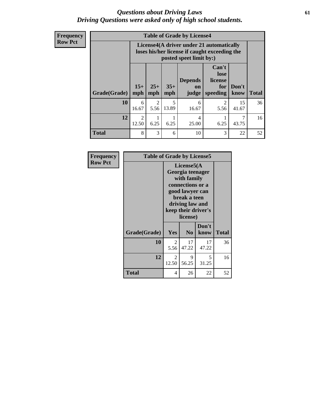### *Questions about Driving Laws* **61** *Driving Questions were asked only of high school students.*

**Frequency Row Pct**

| <b>Table of Grade by License4</b> |              |                                                                                                                      |              |                                          |                                             |               |              |  |
|-----------------------------------|--------------|----------------------------------------------------------------------------------------------------------------------|--------------|------------------------------------------|---------------------------------------------|---------------|--------------|--|
|                                   |              | License4(A driver under 21 automatically<br>loses his/her license if caught exceeding the<br>posted speet limit by:) |              |                                          |                                             |               |              |  |
| Grade(Grade)                      | $15+$<br>mph | $25+$<br>mph                                                                                                         | $35+$<br>mph | <b>Depends</b><br>$\mathbf{on}$<br>judge | Can't<br>lose<br>license<br>for<br>speeding | Don't<br>know | <b>Total</b> |  |
| 10                                | 6<br>16.67   | $\overline{2}$<br>5.56                                                                                               | 5<br>13.89   | 6<br>16.67                               | 5.56                                        | 15<br>41.67   | 36           |  |
| 12                                | 2<br>12.50   | 6.25                                                                                                                 | 6.25         | $\overline{4}$<br>25.00                  | 6.25                                        | 43.75         | 16           |  |
| <b>Total</b>                      | 8            | 3                                                                                                                    | 6            | 10                                       | 3                                           | 22            | 52           |  |

| Frequency      | <b>Table of Grade by License5</b> |            |                                                                                                                                                             |               |              |  |
|----------------|-----------------------------------|------------|-------------------------------------------------------------------------------------------------------------------------------------------------------------|---------------|--------------|--|
| <b>Row Pct</b> |                                   |            | License5(A)<br>Georgia teenager<br>with family<br>connections or a<br>good lawyer can<br>break a teen<br>driving law and<br>keep their driver's<br>license) |               |              |  |
|                | Grade(Grade)                      | Yes        | N <sub>0</sub>                                                                                                                                              | Don't<br>know | <b>Total</b> |  |
|                | 10                                | 2<br>5.56  | 17<br>47.22                                                                                                                                                 | 17<br>47.22   | 36           |  |
|                | 12                                | 2<br>12.50 | 9<br>56.25                                                                                                                                                  | 5<br>31.25    | 16           |  |
|                | <b>Total</b>                      | 4          | 26                                                                                                                                                          | 22            | 52           |  |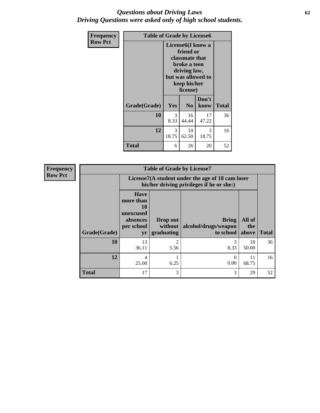### *Questions about Driving Laws* **62** *Driving Questions were asked only of high school students.*

| <b>Frequency</b> |              | <b>Table of Grade by License6</b> |                                                                                                                                                 |               |       |  |  |
|------------------|--------------|-----------------------------------|-------------------------------------------------------------------------------------------------------------------------------------------------|---------------|-------|--|--|
| <b>Row Pct</b>   |              |                                   | License <sub>6</sub> (I know a<br>friend or<br>classmate that<br>broke a teen<br>driving law,<br>but was allowed to<br>keep his/her<br>license) |               |       |  |  |
|                  | Grade(Grade) | Yes                               | N <sub>0</sub>                                                                                                                                  | Don't<br>know | Total |  |  |
|                  | 10           | 3<br>8.33                         | 16<br>44.44                                                                                                                                     | 17<br>47.22   | 36    |  |  |
|                  | 12           | 3<br>18.75                        | 10<br>62.50                                                                                                                                     | 3<br>18.75    | 16    |  |  |
|                  | <b>Total</b> | 6                                 | 26                                                                                                                                              | 20            | 52    |  |  |

| <b>Frequency</b> |              | <b>Table of Grade by License7</b>                                                             |                                   |                                            |                        |              |  |  |  |
|------------------|--------------|-----------------------------------------------------------------------------------------------|-----------------------------------|--------------------------------------------|------------------------|--------------|--|--|--|
| <b>Row Pct</b>   |              | License7(A student under the age of 18 cam loser<br>his/her driving privileges if he or she:) |                                   |                                            |                        |              |  |  |  |
|                  | Grade(Grade) | <b>Have</b><br>more than<br>10<br>unexcused<br>absences<br>per school<br>yr                   | Drop out<br>without<br>graduating | Bring<br>alcohol/drugs/weapon<br>to school | All of<br>the<br>above | <b>Total</b> |  |  |  |
|                  | 10           | 13<br>36.11                                                                                   | 2<br>5.56                         | 8.33                                       | 18<br>50.00            | 36           |  |  |  |
|                  | 12           | 4<br>25.00                                                                                    | 6.25                              | 0<br>0.00                                  | 11<br>68.75            | 16           |  |  |  |
|                  | <b>Total</b> | 17                                                                                            | 3                                 | 3                                          | 29                     | 52           |  |  |  |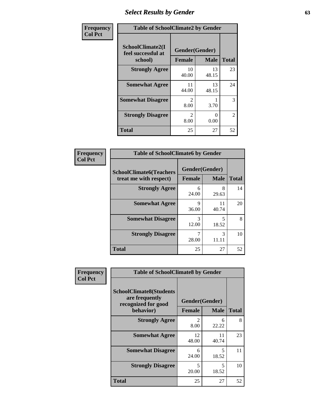# *Select Results by Gender* **63**

| Frequency      |                                                   | <b>Table of SchoolClimate2 by Gender</b> |                  |                |  |  |  |
|----------------|---------------------------------------------------|------------------------------------------|------------------|----------------|--|--|--|
| <b>Col Pct</b> | SchoolClimate2(I<br>feel successful at<br>school) | Gender(Gender)<br><b>Female</b>          | <b>Male</b>      | <b>Total</b>   |  |  |  |
|                | <b>Strongly Agree</b>                             | 10<br>40.00                              | 13<br>48.15      | 23             |  |  |  |
|                | <b>Somewhat Agree</b>                             | 11<br>44.00                              | 13<br>48.15      | 24             |  |  |  |
|                | <b>Somewhat Disagree</b>                          | $\mathcal{D}_{\mathcal{L}}$<br>8.00      | 3.70             | 3              |  |  |  |
|                | <b>Strongly Disagree</b>                          | $\mathcal{D}_{\mathcal{L}}$<br>8.00      | $\Omega$<br>0.00 | $\overline{2}$ |  |  |  |
|                | <b>Total</b>                                      | 25                                       | 27               | 52             |  |  |  |

| Frequency      | <b>Table of SchoolClimate6 by Gender</b>                 |               |                               |              |  |  |
|----------------|----------------------------------------------------------|---------------|-------------------------------|--------------|--|--|
| <b>Col Pct</b> | <b>SchoolClimate6(Teachers</b><br>treat me with respect) | <b>Female</b> | Gender(Gender)<br><b>Male</b> | <b>Total</b> |  |  |
|                | <b>Strongly Agree</b>                                    | 6<br>24.00    | 8<br>29.63                    | 14           |  |  |
|                | <b>Somewhat Agree</b>                                    | 9<br>36.00    | 11<br>40.74                   | 20           |  |  |
|                | <b>Somewhat Disagree</b>                                 | 3<br>12.00    | 5<br>18.52                    | 8            |  |  |
|                | <b>Strongly Disagree</b>                                 | 7<br>28.00    | 3<br>11.11                    | 10           |  |  |
|                | <b>Total</b>                                             | 25            | 27                            | 52           |  |  |

| <b>Frequency</b> | <b>Table of SchoolClimate8 by Gender</b>                                             |                                 |              |    |
|------------------|--------------------------------------------------------------------------------------|---------------------------------|--------------|----|
| <b>Col Pct</b>   | <b>SchoolClimate8(Students</b><br>are frequently<br>recognized for good<br>behavior) | Gender(Gender)<br><b>Female</b> | <b>Total</b> |    |
|                  | <b>Strongly Agree</b>                                                                | $\mathfrak{D}$<br>8.00          | 6<br>22.22   | 8  |
|                  | <b>Somewhat Agree</b>                                                                | 12<br>48.00                     | 11<br>40.74  | 23 |
|                  | <b>Somewhat Disagree</b>                                                             | 6<br>24.00                      | 5<br>18.52   | 11 |
|                  | <b>Strongly Disagree</b>                                                             | 5<br>20.00                      | 5<br>18.52   | 10 |
|                  | Total                                                                                | 25                              | 27           | 52 |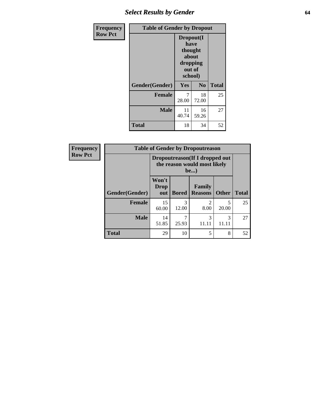# *Select Results by Gender* **64**

| Frequency      |                | <b>Table of Gender by Dropout</b>                                      |                |              |  |
|----------------|----------------|------------------------------------------------------------------------|----------------|--------------|--|
| <b>Row Pct</b> |                | Dropout(I<br>have<br>thought<br>about<br>dropping<br>out of<br>school) |                |              |  |
|                | Gender(Gender) | Yes                                                                    | N <sub>0</sub> | <b>Total</b> |  |
|                | <b>Female</b>  | 7<br>28.00                                                             | 18<br>72.00    | 25           |  |
|                | <b>Male</b>    | 11<br>40.74                                                            | 16<br>59.26    | 27           |  |
|                | <b>Total</b>   | 18                                                                     | 34             | 52           |  |

| Frequency      | <b>Table of Gender by Dropoutreason</b> |                                                                 |              |                          |              |              |  |
|----------------|-----------------------------------------|-----------------------------------------------------------------|--------------|--------------------------|--------------|--------------|--|
| <b>Row Pct</b> |                                         | Dropoutreason (If I dropped out<br>the reason would most likely |              |                          |              |              |  |
|                | Gender(Gender)                          | Won't<br><b>Drop</b><br>out                                     | <b>Bored</b> | Family<br><b>Reasons</b> | <b>Other</b> | <b>Total</b> |  |
|                | <b>Female</b>                           | 15<br>60.00                                                     | 3<br>12.00   | 8.00                     | 5<br>20.00   | 25           |  |
|                | <b>Male</b>                             | 14<br>51.85                                                     | 25.93        | 3<br>11.11               | 3<br>11.11   | 27           |  |
|                | <b>Total</b>                            | 29                                                              | 10           | 5                        | 8            | 52           |  |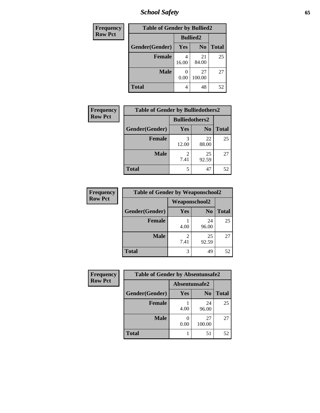# *School Safety* **65**

| Frequency      | <b>Table of Gender by Bullied2</b> |       |                 |              |
|----------------|------------------------------------|-------|-----------------|--------------|
| <b>Row Pct</b> |                                    |       | <b>Bullied2</b> |              |
|                | Gender(Gender)                     | Yes   | N <sub>0</sub>  | <b>Total</b> |
|                | <b>Female</b>                      | 16.00 | 21<br>84.00     | 25           |
|                | <b>Male</b>                        | 0.00  | 27<br>100.00    | 27           |
|                | <b>Total</b>                       | 4     | 48              | 52           |

| <b>Frequency</b> | <b>Table of Gender by Bulliedothers2</b> |                       |                |              |
|------------------|------------------------------------------|-----------------------|----------------|--------------|
| <b>Row Pct</b>   |                                          | <b>Bulliedothers2</b> |                |              |
|                  | Gender(Gender)                           | <b>Yes</b>            | N <sub>0</sub> | <b>Total</b> |
|                  | <b>Female</b>                            | 3<br>12.00            | 22<br>88.00    | 25           |
|                  | <b>Male</b>                              | 7.41                  | 25<br>92.59    | 27           |
|                  | <b>Total</b>                             | 5                     | 47             | 52           |

| Frequency      | <b>Table of Gender by Weaponschool2</b> |                        |                |              |
|----------------|-----------------------------------------|------------------------|----------------|--------------|
| <b>Row Pct</b> |                                         | <b>Weaponschool2</b>   |                |              |
|                | Gender(Gender)                          | Yes                    | N <sub>0</sub> | <b>Total</b> |
|                | <b>Female</b>                           | 4.00                   | 24<br>96.00    | 25           |
|                | <b>Male</b>                             | $\mathfrak{D}$<br>7.41 | 25<br>92.59    | 27           |
|                | <b>Total</b>                            | 3                      | 49             | 52           |

| Frequency      | <b>Table of Gender by Absentunsafe2</b> |               |                |              |
|----------------|-----------------------------------------|---------------|----------------|--------------|
| <b>Row Pct</b> |                                         | Absentunsafe2 |                |              |
|                | Gender(Gender)                          | Yes           | N <sub>0</sub> | <b>Total</b> |
|                | <b>Female</b>                           | 4.00          | 24<br>96.00    | 25           |
|                | <b>Male</b>                             | 0.00          | 27<br>100.00   | 27           |
|                | <b>Total</b>                            |               | 51             | 52           |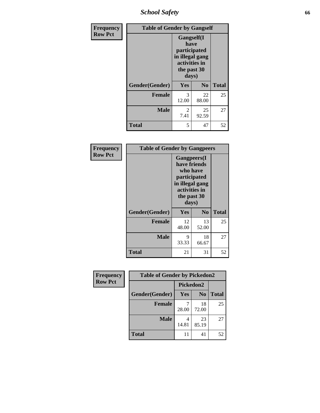*School Safety* **66**

| Frequency      | <b>Table of Gender by Gangself</b> |                                                                                                |                |              |
|----------------|------------------------------------|------------------------------------------------------------------------------------------------|----------------|--------------|
| <b>Row Pct</b> |                                    | Gangself(I<br>have<br>participated<br>in illegal gang<br>activities in<br>the past 30<br>days) |                |              |
|                | Gender(Gender)                     | Yes                                                                                            | N <sub>0</sub> | <b>Total</b> |
|                | <b>Female</b>                      | 3<br>12.00                                                                                     | 22<br>88.00    | 25           |
|                | <b>Male</b>                        | $\mathfrak{D}$<br>7.41                                                                         | 25<br>92.59    | 27           |
|                | <b>Total</b>                       | 5                                                                                              | 47             | 52           |

| Frequency      | <b>Table of Gender by Gangpeers</b> |                                                                                                                             |                |              |
|----------------|-------------------------------------|-----------------------------------------------------------------------------------------------------------------------------|----------------|--------------|
| <b>Row Pct</b> |                                     | <b>Gangpeers</b> (I<br>have friends<br>who have<br>participated<br>in illegal gang<br>activities in<br>the past 30<br>days) |                |              |
|                | Gender(Gender)                      | Yes                                                                                                                         | N <sub>0</sub> | <b>Total</b> |
|                | <b>Female</b>                       | 12<br>48.00                                                                                                                 | 13<br>52.00    | 25           |
|                | <b>Male</b>                         | 9<br>33.33                                                                                                                  | 18<br>66.67    | 27           |
|                | <b>Total</b>                        | 21                                                                                                                          | 31             | 52           |

| Frequency      | <b>Table of Gender by Pickedon2</b> |            |                |              |
|----------------|-------------------------------------|------------|----------------|--------------|
| <b>Row Pct</b> |                                     | Pickedon2  |                |              |
|                | Gender(Gender)                      | <b>Yes</b> | N <sub>0</sub> | <b>Total</b> |
|                | <b>Female</b>                       | 28.00      | 18<br>72.00    | 25           |
|                | <b>Male</b>                         | 14.81      | 23<br>85.19    | 27           |
|                | <b>Total</b>                        | 11         | 41             | 52           |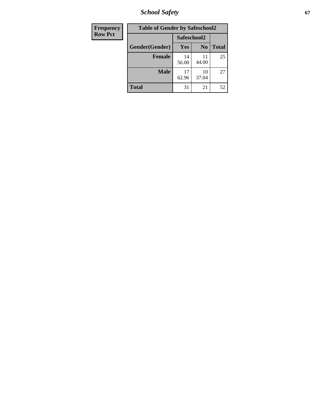*School Safety* **67**

| Frequency      | <b>Table of Gender by Safeschool2</b> |             |                |              |
|----------------|---------------------------------------|-------------|----------------|--------------|
| <b>Row Pct</b> |                                       | Safeschool2 |                |              |
|                | Gender(Gender)                        | Yes         | N <sub>0</sub> | <b>Total</b> |
|                | <b>Female</b>                         | 14<br>56.00 | 11<br>44.00    | 25           |
|                | <b>Male</b>                           | 17<br>62.96 | 10<br>37.04    | 27           |
|                | <b>Total</b>                          | 31          | 21             | 52           |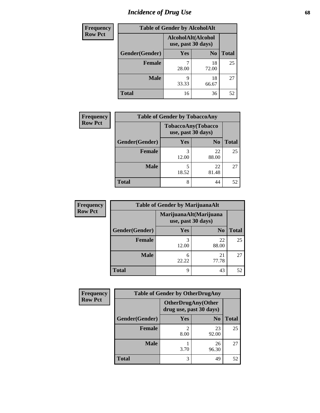# *Incidence of Drug Use* 68

| <b>Frequency</b> | <b>Table of Gender by AlcoholAlt</b> |                                          |                |              |
|------------------|--------------------------------------|------------------------------------------|----------------|--------------|
| <b>Row Pct</b>   |                                      | AlcoholAlt(Alcohol<br>use, past 30 days) |                |              |
|                  | Gender(Gender)                       | <b>Yes</b>                               | N <sub>0</sub> | <b>Total</b> |
|                  | <b>Female</b>                        | 28.00                                    | 18<br>72.00    | 25           |
|                  | <b>Male</b>                          | Q<br>33.33                               | 18<br>66.67    | 27           |
|                  | <b>Total</b>                         | 16                                       | 36             | 52           |

| <b>Frequency</b> |                | <b>Table of Gender by TobaccoAny</b>     |                |              |
|------------------|----------------|------------------------------------------|----------------|--------------|
| <b>Row Pct</b>   |                | TobaccoAny(Tobacco<br>use, past 30 days) |                |              |
|                  | Gender(Gender) | Yes                                      | N <sub>0</sub> | <b>Total</b> |
|                  | <b>Female</b>  | 3<br>12.00                               | 22<br>88.00    | 25           |
|                  | <b>Male</b>    | 5<br>18.52                               | 22<br>81.48    | 27           |
|                  | <b>Total</b>   | 8                                        | 44             | 52           |

| <b>Frequency</b> | <b>Table of Gender by MarijuanaAlt</b> |            |                                              |       |
|------------------|----------------------------------------|------------|----------------------------------------------|-------|
| <b>Row Pct</b>   |                                        |            | MarijuanaAlt(Marijuana<br>use, past 30 days) |       |
|                  | Gender(Gender)                         | Yes        | N <sub>0</sub>                               | Total |
|                  | Female                                 | 3<br>12.00 | 22<br>88.00                                  | 25    |
|                  | <b>Male</b>                            | 6<br>22.22 | 21<br>77.78                                  | 27    |
|                  | <b>Total</b>                           | 9          | 43                                           | 52    |

| <b>Frequency</b> | <b>Table of Gender by OtherDrugAny</b> |                                                      |                |              |
|------------------|----------------------------------------|------------------------------------------------------|----------------|--------------|
| <b>Row Pct</b>   |                                        | <b>OtherDrugAny(Other</b><br>drug use, past 30 days) |                |              |
|                  | Gender(Gender)                         | <b>Yes</b>                                           | N <sub>0</sub> | <b>Total</b> |
|                  | <b>Female</b>                          | $\mathfrak{D}$<br>8.00                               | 23<br>92.00    | 25           |
|                  | <b>Male</b>                            | 3.70                                                 | 26<br>96.30    | 27           |
|                  | <b>Total</b>                           | 3                                                    | 49             | 52           |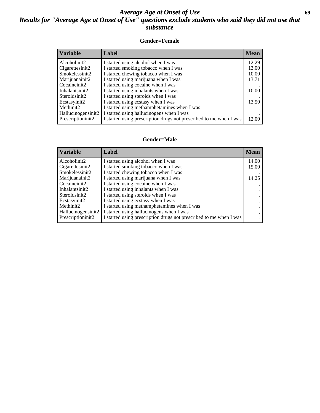### *Average Age at Onset of Use* **69** *Results for "Average Age at Onset of Use" questions exclude students who said they did not use that substance*

### **Gender=Female**

| <b>Variable</b>    | <b>Label</b>                                                       | <b>Mean</b> |
|--------------------|--------------------------------------------------------------------|-------------|
| Alcoholinit2       | I started using alcohol when I was                                 | 12.29       |
| Cigarettesinit2    | I started smoking tobacco when I was                               | 13.00       |
| Smokelessinit2     | I started chewing tobacco when I was                               | 10.00       |
| Marijuanainit2     | I started using marijuana when I was                               | 13.71       |
| Cocaineinit2       | I started using cocaine when I was                                 |             |
| Inhalantsinit2     | I started using inhalants when I was                               | 10.00       |
| Steroidsinit2      | I started using steroids when I was                                |             |
| Ecstasyinit2       | I started using ecstasy when I was                                 | 13.50       |
| Methinit2          | I started using methamphetamines when I was                        |             |
| Hallucinogensinit2 | I started using hallucinogens when I was                           |             |
| Prescription in t2 | I started using prescription drugs not prescribed to me when I was | 12.00       |

#### **Gender=Male**

| <b>Variable</b>                 | Label                                                              | <b>Mean</b> |
|---------------------------------|--------------------------------------------------------------------|-------------|
| Alcoholinit2                    | I started using alcohol when I was                                 | 14.00       |
| Cigarettesinit2                 | I started smoking tobacco when I was                               | 15.00       |
| Smokelessinit2                  | I started chewing tobacco when I was                               |             |
| Marijuanainit2                  | I started using marijuana when I was                               | 14.25       |
| Cocaineinit2                    | I started using cocaine when I was                                 |             |
| Inhalantsinit2                  | I started using inhalants when I was                               |             |
| Steroidsinit2                   | I started using steroids when I was                                |             |
| Ecstasyinit2                    | I started using ecstasy when I was                                 |             |
| Methinit2                       | I started using methamphetamines when I was                        |             |
| Hallucinogensinit2              | I started using hallucinogens when I was                           |             |
| Prescription in it <sub>2</sub> | I started using prescription drugs not prescribed to me when I was |             |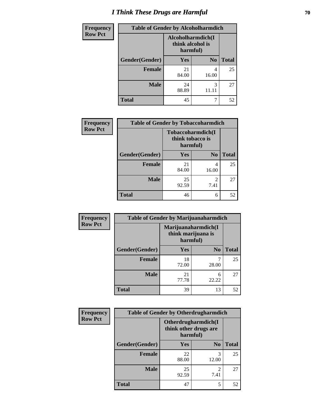# *I Think These Drugs are Harmful* **70**

| Frequency      | <b>Table of Gender by Alcoholharmdich</b> |                                                   |                |              |
|----------------|-------------------------------------------|---------------------------------------------------|----------------|--------------|
| <b>Row Pct</b> |                                           | Alcoholharmdich(I<br>think alcohol is<br>harmful) |                |              |
|                | Gender(Gender)                            | <b>Yes</b>                                        | N <sub>0</sub> | <b>Total</b> |
|                | <b>Female</b>                             | 21<br>84.00                                       | 4<br>16.00     | 25           |
|                | <b>Male</b>                               | 24<br>88.89                                       | 3<br>11.11     | 27           |
|                | <b>Total</b>                              | 45                                                |                | 52           |

| Frequency      | <b>Table of Gender by Tobaccoharmdich</b> |                              |                        |              |
|----------------|-------------------------------------------|------------------------------|------------------------|--------------|
| <b>Row Pct</b> |                                           | think tobacco is<br>harmful) | Tobaccoharmdich(I      |              |
|                | Gender(Gender)                            | Yes                          | N <sub>0</sub>         | <b>Total</b> |
|                | <b>Female</b>                             | 21<br>84.00                  | 4<br>16.00             | 25           |
|                | <b>Male</b>                               | 25<br>92.59                  | $\mathfrak{D}$<br>7.41 | 27           |
|                | <b>Total</b>                              | 46                           | 6                      | 52           |

| Frequency      | <b>Table of Gender by Marijuanaharmdich</b> |                                |                     |              |  |
|----------------|---------------------------------------------|--------------------------------|---------------------|--------------|--|
| <b>Row Pct</b> |                                             | think marijuana is<br>harmful) | Marijuanaharmdich(I |              |  |
|                | Gender(Gender)                              | <b>Yes</b>                     | N <sub>0</sub>      | <b>Total</b> |  |
|                | <b>Female</b>                               | 18<br>72.00                    | 28.00               | 25           |  |
|                | <b>Male</b>                                 | 21<br>77.78                    | 6<br>22.22          | 27           |  |
|                | <b>Total</b>                                | 39                             | 13                  | 52           |  |

| <b>Frequency</b> | <b>Table of Gender by Otherdrugharmdich</b> |                                                          |                        |              |
|------------------|---------------------------------------------|----------------------------------------------------------|------------------------|--------------|
| <b>Row Pct</b>   |                                             | Otherdrugharmdich(I<br>think other drugs are<br>harmful) |                        |              |
|                  | Gender(Gender)                              | <b>Yes</b>                                               | N <sub>0</sub>         | <b>Total</b> |
|                  | <b>Female</b>                               | 22<br>88.00                                              | 3<br>12.00             | 25           |
|                  | <b>Male</b>                                 | 25<br>92.59                                              | $\overline{c}$<br>7.41 | 27           |
|                  | <b>Total</b>                                | 47                                                       | 5                      | 52           |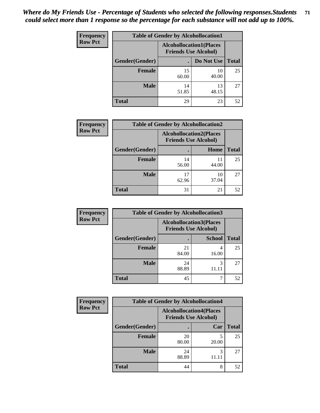| <b>Frequency</b> | <b>Table of Gender by Alcohollocation1</b> |                                                               |             |              |
|------------------|--------------------------------------------|---------------------------------------------------------------|-------------|--------------|
| <b>Row Pct</b>   |                                            | <b>Alcohollocation1(Places</b><br><b>Friends Use Alcohol)</b> |             |              |
|                  | Gender(Gender)                             |                                                               | Do Not Use  | <b>Total</b> |
|                  | <b>Female</b>                              | 15<br>60.00                                                   | 10<br>40.00 | 25           |
|                  | <b>Male</b>                                | 14<br>51.85                                                   | 13<br>48.15 | 27           |
|                  | <b>Total</b>                               | 29                                                            | 23          | 52           |

| <b>Frequency</b> | <b>Table of Gender by Alcohollocation2</b> |                                                               |             |              |
|------------------|--------------------------------------------|---------------------------------------------------------------|-------------|--------------|
| <b>Row Pct</b>   |                                            | <b>Alcohollocation2(Places</b><br><b>Friends Use Alcohol)</b> |             |              |
|                  | Gender(Gender)                             |                                                               | Home        | <b>Total</b> |
|                  | <b>Female</b>                              | 14<br>56.00                                                   | 11<br>44.00 | 25           |
|                  | <b>Male</b>                                | 17<br>62.96                                                   | 10<br>37.04 | 27           |
|                  | <b>Total</b>                               | 31                                                            | 21          | 52           |

| Frequency      | <b>Table of Gender by Alcohollocation3</b> |                                                               |               |              |
|----------------|--------------------------------------------|---------------------------------------------------------------|---------------|--------------|
| <b>Row Pct</b> |                                            | <b>Alcohollocation3(Places</b><br><b>Friends Use Alcohol)</b> |               |              |
|                | Gender(Gender)                             |                                                               | <b>School</b> | <b>Total</b> |
|                | <b>Female</b>                              | 21<br>84.00                                                   | 16.00         | 25           |
|                | <b>Male</b>                                | 24<br>88.89                                                   | 3<br>11.11    | 27           |
|                | <b>Total</b>                               | 45                                                            |               | 52           |

| Frequency      | <b>Table of Gender by Alcohollocation4</b> |             |                                                               |              |
|----------------|--------------------------------------------|-------------|---------------------------------------------------------------|--------------|
| <b>Row Pct</b> |                                            |             | <b>Alcohollocation4(Places</b><br><b>Friends Use Alcohol)</b> |              |
|                | Gender(Gender)                             |             | Car                                                           | <b>Total</b> |
|                | <b>Female</b>                              | 20<br>80.00 | 20.00                                                         | 25           |
|                | <b>Male</b>                                | 24<br>88.89 | 3                                                             | 27           |
|                | <b>Total</b>                               | 44          | 8                                                             | 52           |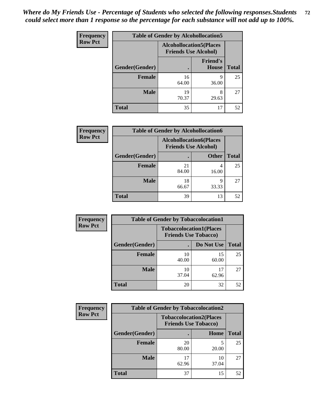| <b>Frequency</b> | <b>Table of Gender by Alcohollocation5</b> |             |                                                                |              |
|------------------|--------------------------------------------|-------------|----------------------------------------------------------------|--------------|
| <b>Row Pct</b>   |                                            |             | <b>Alcohollocation5</b> (Places<br><b>Friends Use Alcohol)</b> |              |
|                  | Gender(Gender)                             | $\bullet$   | <b>Friend's</b><br>House                                       | <b>Total</b> |
|                  | <b>Female</b>                              | 16<br>64.00 | 9<br>36.00                                                     | 25           |
|                  | <b>Male</b>                                | 19<br>70.37 | 8<br>29.63                                                     | 27           |
|                  | <b>Total</b>                               | 35          | 17                                                             | 52           |

| <b>Frequency</b> | <b>Table of Gender by Alcohollocation6</b> |                                                               |              |              |
|------------------|--------------------------------------------|---------------------------------------------------------------|--------------|--------------|
| <b>Row Pct</b>   |                                            | <b>Alcohollocation6(Places</b><br><b>Friends Use Alcohol)</b> |              |              |
|                  | Gender(Gender)                             |                                                               | <b>Other</b> | <b>Total</b> |
|                  | <b>Female</b>                              | 21<br>84.00                                                   | 16.00        | 25           |
|                  | <b>Male</b>                                | 18<br>66.67                                                   | q<br>33.33   | 27           |
|                  | <b>Total</b>                               | 39                                                            | 13           | 52           |

| Frequency      | <b>Table of Gender by Tobaccolocation1</b> |                                                               |             |              |  |
|----------------|--------------------------------------------|---------------------------------------------------------------|-------------|--------------|--|
| <b>Row Pct</b> |                                            | <b>Tobaccolocation1(Places</b><br><b>Friends Use Tobacco)</b> |             |              |  |
|                | Gender(Gender)                             |                                                               | Do Not Use  | <b>Total</b> |  |
|                | Female                                     | 10<br>40.00                                                   | 15<br>60.00 | 25           |  |
|                | <b>Male</b>                                | 10<br>37.04                                                   | 17<br>62.96 | 27           |  |
|                | <b>Total</b>                               | 20                                                            | 32          | 52           |  |

| <b>Frequency</b> | <b>Table of Gender by Tobaccolocation2</b> |                                                               |             |              |
|------------------|--------------------------------------------|---------------------------------------------------------------|-------------|--------------|
| <b>Row Pct</b>   |                                            | <b>Tobaccolocation2(Places</b><br><b>Friends Use Tobacco)</b> |             |              |
|                  | <b>Gender</b> (Gender)                     |                                                               | Home        | <b>Total</b> |
|                  | Female                                     | 20<br>80.00                                                   | 20.00       | 25           |
|                  | <b>Male</b>                                | 62.96                                                         | 10<br>37.04 | 27           |
|                  | <b>Total</b>                               | 37                                                            | 15          | 52           |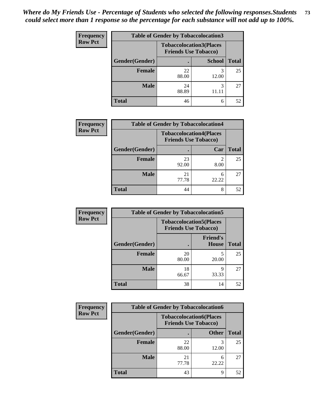| <b>Frequency</b> | <b>Table of Gender by Tobaccolocation3</b> |                                                               |               |              |
|------------------|--------------------------------------------|---------------------------------------------------------------|---------------|--------------|
| <b>Row Pct</b>   |                                            | <b>Tobaccolocation3(Places</b><br><b>Friends Use Tobacco)</b> |               |              |
|                  | Gender(Gender)                             |                                                               | <b>School</b> | <b>Total</b> |
|                  | <b>Female</b>                              | 22<br>88.00                                                   | 12.00         | 25           |
|                  | <b>Male</b>                                | 24<br>88.89                                                   | 3<br>11.11    | 27           |
|                  | <b>Total</b>                               | 46                                                            | 6             | 52           |

| <b>Frequency</b> | <b>Table of Gender by Tobaccolocation4</b> |                                                               |            |              |
|------------------|--------------------------------------------|---------------------------------------------------------------|------------|--------------|
| <b>Row Pct</b>   |                                            | <b>Tobaccolocation4(Places</b><br><b>Friends Use Tobacco)</b> |            |              |
|                  | Gender(Gender)                             |                                                               | Car        | <b>Total</b> |
|                  | <b>Female</b>                              | 23<br>92.00                                                   | ◠<br>8.00  | 25           |
|                  | <b>Male</b>                                | 21<br>77.78                                                   | 6<br>22.22 | 27           |
|                  | <b>Total</b>                               | 44                                                            | 8          | 52           |

| <b>Frequency</b> | <b>Table of Gender by Tobaccolocation5</b> |                                                               |                          |              |  |
|------------------|--------------------------------------------|---------------------------------------------------------------|--------------------------|--------------|--|
| <b>Row Pct</b>   |                                            | <b>Tobaccolocation5(Places</b><br><b>Friends Use Tobacco)</b> |                          |              |  |
|                  | Gender(Gender)                             |                                                               | <b>Friend's</b><br>House | <b>Total</b> |  |
|                  | Female                                     | 20<br>80.00                                                   | 20.00                    | 25           |  |
|                  | <b>Male</b>                                | 18<br>66.67                                                   | Q<br>33.33               | 27           |  |
|                  | <b>Total</b>                               | 38                                                            | 14                       | 52           |  |

| <b>Frequency</b> | <b>Table of Gender by Tobaccolocation6</b> |                                                               |              |              |
|------------------|--------------------------------------------|---------------------------------------------------------------|--------------|--------------|
| <b>Row Pct</b>   |                                            | <b>Tobaccolocation6(Places</b><br><b>Friends Use Tobacco)</b> |              |              |
|                  | <b>Gender</b> (Gender)                     |                                                               | <b>Other</b> | <b>Total</b> |
|                  | Female                                     | 22<br>88.00                                                   | 12.00        | 25           |
|                  | <b>Male</b>                                | 21<br>77.78                                                   | 22.22        | 27           |
|                  | <b>Total</b>                               | 43                                                            | 9            | 52           |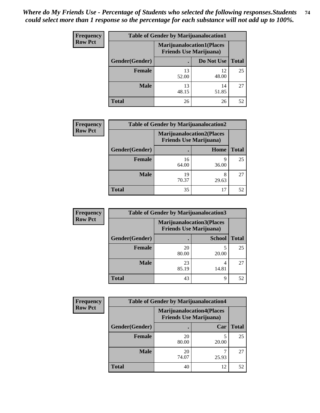| <b>Frequency</b> | <b>Table of Gender by Marijuanalocation1</b> |                                                                    |             |              |
|------------------|----------------------------------------------|--------------------------------------------------------------------|-------------|--------------|
| <b>Row Pct</b>   |                                              | <b>Marijuanalocation1(Places</b><br><b>Friends Use Marijuana</b> ) |             |              |
|                  | Gender(Gender)                               |                                                                    | Do Not Use  | <b>Total</b> |
|                  | <b>Female</b>                                | 13<br>52.00                                                        | 12<br>48.00 | 25           |
|                  | <b>Male</b>                                  | 13<br>48.15                                                        | 14<br>51.85 | 27           |
|                  | <b>Total</b>                                 | 26                                                                 | 26          | 52           |

| <b>Frequency</b> | <b>Table of Gender by Marijuanalocation2</b> |                                                                    |            |              |
|------------------|----------------------------------------------|--------------------------------------------------------------------|------------|--------------|
| <b>Row Pct</b>   |                                              | <b>Marijuanalocation2(Places</b><br><b>Friends Use Marijuana</b> ) |            |              |
|                  | Gender(Gender)                               |                                                                    | Home       | <b>Total</b> |
|                  | Female                                       | 16<br>64.00                                                        | 9<br>36.00 | 25           |
|                  | <b>Male</b>                                  | 19<br>70.37                                                        | 29.63      | 27           |
|                  | <b>Total</b>                                 | 35                                                                 | 17         | 52           |

| Frequency      |                | <b>Table of Gender by Marijuanalocation3</b>                       |               |              |  |
|----------------|----------------|--------------------------------------------------------------------|---------------|--------------|--|
| <b>Row Pct</b> |                | <b>Marijuanalocation3(Places</b><br><b>Friends Use Marijuana</b> ) |               |              |  |
|                | Gender(Gender) |                                                                    | <b>School</b> | <b>Total</b> |  |
|                | Female         | 20<br>80.00                                                        | 20.00         | 25           |  |
|                | <b>Male</b>    | 23<br>85.19                                                        | 14.81         | 27           |  |
|                | <b>Total</b>   | 43                                                                 | Q             | 52           |  |

| <b>Frequency</b> | <b>Table of Gender by Marijuanalocation4</b> |             |                                                                    |              |
|------------------|----------------------------------------------|-------------|--------------------------------------------------------------------|--------------|
| <b>Row Pct</b>   |                                              |             | <b>Marijuanalocation4(Places</b><br><b>Friends Use Marijuana</b> ) |              |
|                  | Gender(Gender)                               |             | Car                                                                | <b>Total</b> |
|                  | Female                                       | 20<br>80.00 | 20.00                                                              | 25           |
|                  | <b>Male</b>                                  | 20<br>74.07 | 25.93                                                              | 27           |
|                  | <b>Total</b>                                 | 40          | 12                                                                 | 52           |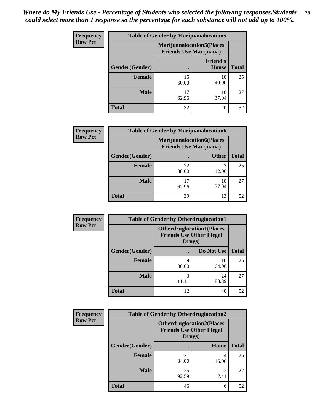| <b>Frequency</b> |                | <b>Table of Gender by Marijuanalocation5</b>                        |                          |              |  |
|------------------|----------------|---------------------------------------------------------------------|--------------------------|--------------|--|
| <b>Row Pct</b>   |                | <b>Marijuanalocation5</b> (Places<br><b>Friends Use Marijuana</b> ) |                          |              |  |
|                  | Gender(Gender) |                                                                     | <b>Friend's</b><br>House | <b>Total</b> |  |
|                  | Female         | 15<br>60.00                                                         | 10<br>40.00              | 25           |  |
|                  | <b>Male</b>    | 17<br>62.96                                                         | 10<br>37.04              | 27           |  |
|                  | <b>Total</b>   | 32                                                                  | 20                       | 52           |  |

| <b>Frequency</b> |                | <b>Table of Gender by Marijuanalocation6</b>                       |              |              |
|------------------|----------------|--------------------------------------------------------------------|--------------|--------------|
| <b>Row Pct</b>   |                | <b>Marijuanalocation6(Places</b><br><b>Friends Use Marijuana</b> ) |              |              |
|                  | Gender(Gender) |                                                                    | <b>Other</b> | <b>Total</b> |
|                  | <b>Female</b>  | 22<br>88.00                                                        | 12.00        | 25           |
|                  | <b>Male</b>    | 62.96                                                              | 10<br>37.04  | 27           |
|                  | <b>Total</b>   | 39                                                                 | 13           | 52           |

| Frequency      | <b>Table of Gender by Otherdruglocation1</b> |                                                                                |             |              |
|----------------|----------------------------------------------|--------------------------------------------------------------------------------|-------------|--------------|
| <b>Row Pct</b> |                                              | <b>Otherdruglocation1(Places</b><br><b>Friends Use Other Illegal</b><br>Drugs) |             |              |
|                | Gender(Gender)                               |                                                                                | Do Not Use  | <b>Total</b> |
|                | Female                                       | 9<br>36.00                                                                     | 16<br>64.00 | 25           |
|                | <b>Male</b>                                  | 3<br>11.11                                                                     | 24<br>88.89 | 27           |
|                | <b>Total</b>                                 | 12                                                                             | 40          | 52           |

| Frequency      | <b>Table of Gender by Otherdruglocation2</b> |                                                                                |           |              |
|----------------|----------------------------------------------|--------------------------------------------------------------------------------|-----------|--------------|
| <b>Row Pct</b> |                                              | <b>Otherdruglocation2(Places</b><br><b>Friends Use Other Illegal</b><br>Drugs) |           |              |
|                | Gender(Gender)                               |                                                                                | Home      | <b>Total</b> |
|                | Female                                       | 21<br>84.00                                                                    | 16.00     | 25           |
|                | <b>Male</b>                                  | 25<br>92.59                                                                    | ∍<br>7.41 | 27           |
|                | <b>Total</b>                                 | 46                                                                             | 6         | 52           |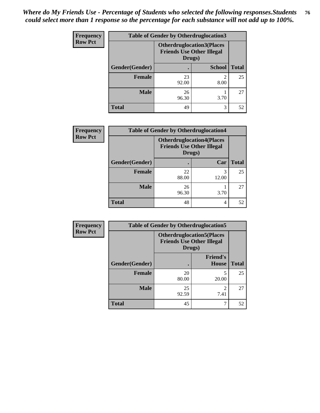| Frequency      | <b>Table of Gender by Otherdruglocation3</b> |                                                                                |               |              |
|----------------|----------------------------------------------|--------------------------------------------------------------------------------|---------------|--------------|
| <b>Row Pct</b> |                                              | <b>Otherdruglocation3(Places</b><br><b>Friends Use Other Illegal</b><br>Drugs) |               |              |
|                | Gender(Gender)                               |                                                                                | <b>School</b> | <b>Total</b> |
|                | <b>Female</b>                                | 23<br>92.00                                                                    | っ<br>8.00     | 25           |
|                | <b>Male</b>                                  | 26<br>96.30                                                                    | 3.70          | 27           |
|                | <b>Total</b>                                 | 49                                                                             | 3             | 52           |

| Frequency      | <b>Table of Gender by Otherdruglocation4</b> |                                            |                                  |              |
|----------------|----------------------------------------------|--------------------------------------------|----------------------------------|--------------|
| <b>Row Pct</b> |                                              | <b>Friends Use Other Illegal</b><br>Drugs) | <b>Otherdruglocation4(Places</b> |              |
|                | Gender(Gender)                               |                                            | Car                              | <b>Total</b> |
|                | Female                                       | 22<br>88.00                                | 3<br>12.00                       | 25           |
|                | <b>Male</b>                                  | 26<br>96.30                                | 3.70                             | 27           |
|                | <b>Total</b>                                 | 48                                         | 4                                | 52           |

| Frequency      | <b>Table of Gender by Otherdruglocation5</b> |                                                                                |                                 |              |
|----------------|----------------------------------------------|--------------------------------------------------------------------------------|---------------------------------|--------------|
| <b>Row Pct</b> |                                              | <b>Otherdruglocation5(Places</b><br><b>Friends Use Other Illegal</b><br>Drugs) |                                 |              |
|                | Gender(Gender)                               |                                                                                | <b>Friend's</b><br><b>House</b> | <b>Total</b> |
|                | <b>Female</b>                                | 20<br>80.00                                                                    | 20.00                           | 25           |
|                | <b>Male</b>                                  | 25<br>92.59                                                                    | っ<br>7.41                       | 27           |
|                | <b>Total</b>                                 | 45                                                                             | 7                               | 52           |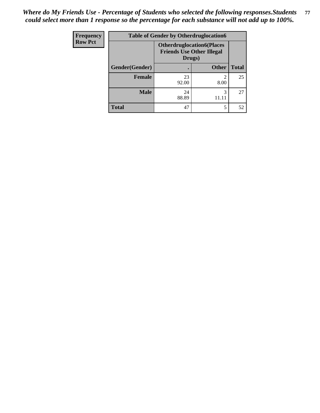| <b>Frequency</b> | <b>Table of Gender by Otherdruglocation6</b> |             |                                                                      |              |
|------------------|----------------------------------------------|-------------|----------------------------------------------------------------------|--------------|
| <b>Row Pct</b>   |                                              | Drugs)      | <b>Otherdruglocation6(Places</b><br><b>Friends Use Other Illegal</b> |              |
|                  | Gender(Gender)                               |             | <b>Other</b>                                                         | <b>Total</b> |
|                  | Female                                       | 23<br>92.00 | ∍<br>8.00                                                            | 25           |
|                  | <b>Male</b>                                  | 24<br>88.89 | 3                                                                    | 27           |
|                  | <b>Total</b>                                 | 47          | 5                                                                    | 52           |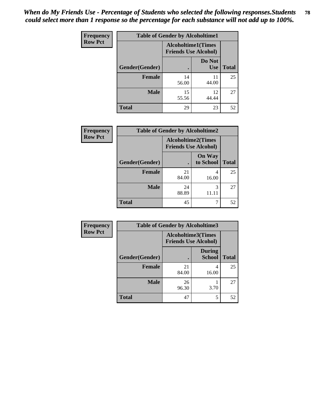| <b>Frequency</b> | <b>Table of Gender by Alcoholtime1</b> |                                                          |                      |              |
|------------------|----------------------------------------|----------------------------------------------------------|----------------------|--------------|
| <b>Row Pct</b>   |                                        | <b>Alcoholtime1(Times</b><br><b>Friends Use Alcohol)</b> |                      |              |
|                  | Gender(Gender)                         | $\bullet$                                                | Do Not<br><b>Use</b> | <b>Total</b> |
|                  | <b>Female</b>                          | 14<br>56.00                                              | 11<br>44.00          | 25           |
|                  | <b>Male</b>                            | 15<br>55.56                                              | 12<br>44.44          | 27           |
|                  | <b>Total</b>                           | 29                                                       | 23                   | 52           |

| Frequency      | <b>Table of Gender by Alcoholtime2</b> |                                                          |                            |              |
|----------------|----------------------------------------|----------------------------------------------------------|----------------------------|--------------|
| <b>Row Pct</b> |                                        | <b>Alcoholtime2(Times</b><br><b>Friends Use Alcohol)</b> |                            |              |
|                | Gender(Gender)                         |                                                          | <b>On Way</b><br>to School | <b>Total</b> |
|                | <b>Female</b>                          | 21<br>84.00                                              | 4<br>16.00                 | 25           |
|                | <b>Male</b>                            | 24<br>88.89                                              | 3<br>11.11                 | 27           |
|                | <b>Total</b>                           | 45                                                       |                            | 52           |

| <b>Frequency</b> | <b>Table of Gender by Alcoholtime3</b> |                                                          |                                |              |
|------------------|----------------------------------------|----------------------------------------------------------|--------------------------------|--------------|
| <b>Row Pct</b>   |                                        | <b>Alcoholtime3(Times</b><br><b>Friends Use Alcohol)</b> |                                |              |
|                  | Gender(Gender)                         |                                                          | <b>During</b><br><b>School</b> | <b>Total</b> |
|                  | <b>Female</b>                          | 21<br>84.00                                              | 4<br>16.00                     | 25           |
|                  | <b>Male</b>                            | 26<br>96.30                                              | 3.70                           | 27           |
|                  | <b>Total</b>                           | 47                                                       | 5                              | 52           |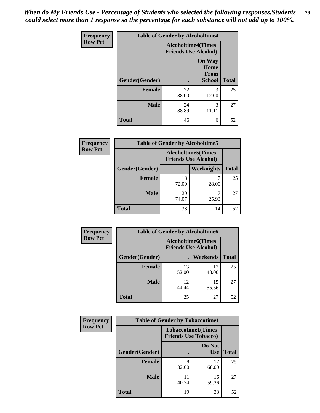*When do My Friends Use - Percentage of Students who selected the following responses.Students could select more than 1 response so the percentage for each substance will not add up to 100%.* **79**

| <b>Frequency</b> |                | <b>Table of Gender by Alcoholtime4</b>                   |                                                |              |
|------------------|----------------|----------------------------------------------------------|------------------------------------------------|--------------|
| <b>Row Pct</b>   |                | <b>Alcoholtime4(Times</b><br><b>Friends Use Alcohol)</b> |                                                |              |
|                  | Gender(Gender) | $\bullet$                                                | <b>On Way</b><br>Home<br>From<br><b>School</b> | <b>Total</b> |
|                  | <b>Female</b>  | 22<br>88.00                                              | 3<br>12.00                                     | 25           |
|                  | <b>Male</b>    | 24<br>88.89                                              | 3<br>11.11                                     | 27           |
|                  | <b>Total</b>   | 46                                                       | 6                                              | 52           |

| <b>Frequency</b> | <b>Table of Gender by Alcoholtime5</b> |                                                   |                   |              |
|------------------|----------------------------------------|---------------------------------------------------|-------------------|--------------|
| <b>Row Pct</b>   |                                        | Alcoholtime5(Times<br><b>Friends Use Alcohol)</b> |                   |              |
|                  | Gender(Gender)                         |                                                   | <b>Weeknights</b> | <b>Total</b> |
|                  | <b>Female</b>                          | 18<br>72.00                                       | 28.00             | 25           |
|                  | <b>Male</b>                            | 20<br>74.07                                       | 25.93             | 27           |
|                  | Total                                  | 38                                                | 14                | 52           |

| Frequency      | <b>Table of Gender by Alcoholtime6</b> |                                                          |                 |              |  |
|----------------|----------------------------------------|----------------------------------------------------------|-----------------|--------------|--|
| <b>Row Pct</b> |                                        | <b>Alcoholtime6(Times</b><br><b>Friends Use Alcohol)</b> |                 |              |  |
|                | Gender(Gender)                         |                                                          | <b>Weekends</b> | <b>Total</b> |  |
|                | Female                                 | 13<br>52.00                                              | 12<br>48.00     | 25           |  |
|                | <b>Male</b>                            | 12<br>44.44                                              | 15<br>55.56     | 27           |  |
|                | <b>Total</b>                           | 25                                                       | 27              | 52           |  |

| Frequency      | <b>Table of Gender by Tobaccotime1</b> |                                                          |                      |              |
|----------------|----------------------------------------|----------------------------------------------------------|----------------------|--------------|
| <b>Row Pct</b> |                                        | <b>Tobaccotime1(Times</b><br><b>Friends Use Tobacco)</b> |                      |              |
|                | Gender(Gender)                         |                                                          | Do Not<br><b>Use</b> | <b>Total</b> |
|                | Female                                 | 8<br>32.00                                               | 17<br>68.00          | 25           |
|                | <b>Male</b>                            | 11<br>40.74                                              | 16<br>59.26          | 27           |
|                | <b>Total</b>                           | 19                                                       | 33                   | 52           |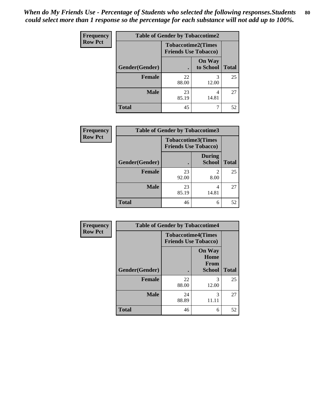| <b>Frequency</b> | <b>Table of Gender by Tobaccotime2</b> |                                                          |                            |              |
|------------------|----------------------------------------|----------------------------------------------------------|----------------------------|--------------|
| <b>Row Pct</b>   |                                        | <b>Tobaccotime2(Times</b><br><b>Friends Use Tobacco)</b> |                            |              |
|                  | Gender(Gender)                         | $\bullet$                                                | <b>On Way</b><br>to School | <b>Total</b> |
|                  | Female                                 | 22<br>88.00                                              | 3<br>12.00                 | 25           |
|                  | <b>Male</b>                            | 23<br>85.19                                              | 4<br>14.81                 | 27           |
|                  | <b>Total</b>                           | 45                                                       |                            | 52           |

| <b>Frequency</b> | <b>Table of Gender by Tobaccotime3</b> |                                                          |                                |              |
|------------------|----------------------------------------|----------------------------------------------------------|--------------------------------|--------------|
| <b>Row Pct</b>   |                                        | <b>Tobaccotime3(Times</b><br><b>Friends Use Tobacco)</b> |                                |              |
|                  | Gender(Gender)                         |                                                          | <b>During</b><br><b>School</b> | <b>Total</b> |
|                  | <b>Female</b>                          | 23<br>92.00                                              | 2<br>8.00                      | 25           |
|                  | <b>Male</b>                            | 23<br>85.19                                              | 4<br>14.81                     | 27           |
|                  | <b>Total</b>                           | 46                                                       | 6                              | 52           |

| <b>Frequency</b> | <b>Table of Gender by Tobaccotime4</b> |                                                          |                                                |              |
|------------------|----------------------------------------|----------------------------------------------------------|------------------------------------------------|--------------|
| <b>Row Pct</b>   |                                        | <b>Tobaccotime4(Times</b><br><b>Friends Use Tobacco)</b> |                                                |              |
|                  | Gender(Gender)                         |                                                          | <b>On Way</b><br>Home<br>From<br><b>School</b> | <b>Total</b> |
|                  | <b>Female</b>                          | 22<br>88.00                                              | 3<br>12.00                                     | 25           |
|                  | <b>Male</b>                            | 24<br>88.89                                              | 3                                              | 27           |
|                  | <b>Total</b>                           | 46                                                       | 6                                              | 52           |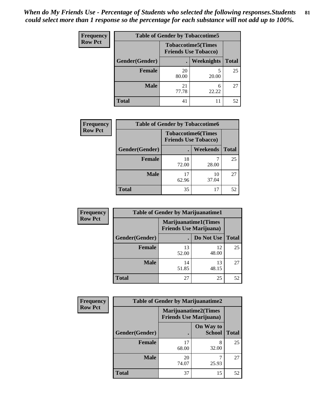*When do My Friends Use - Percentage of Students who selected the following responses.Students could select more than 1 response so the percentage for each substance will not add up to 100%.* **81**

| <b>Frequency</b> | <b>Table of Gender by Tobaccotime5</b> |             |                                                           |              |  |
|------------------|----------------------------------------|-------------|-----------------------------------------------------------|--------------|--|
| <b>Row Pct</b>   |                                        |             | <b>Tobaccotime5</b> (Times<br><b>Friends Use Tobacco)</b> |              |  |
|                  | Gender(Gender)                         |             | Weeknights                                                | <b>Total</b> |  |
|                  | <b>Female</b>                          | 20<br>80.00 | 5<br>20.00                                                | 25           |  |
|                  | <b>Male</b>                            | 21<br>77.78 | 6<br>22.22                                                | 27           |  |
|                  | <b>Total</b>                           | 41          | 11                                                        | 52           |  |

| <b>Frequency</b> | <b>Table of Gender by Tobaccotime6</b> |                                                          |             |              |
|------------------|----------------------------------------|----------------------------------------------------------|-------------|--------------|
| <b>Row Pct</b>   |                                        | <b>Tobaccotime6(Times</b><br><b>Friends Use Tobacco)</b> |             |              |
|                  | Gender(Gender)                         |                                                          | Weekends    | <b>Total</b> |
|                  | Female                                 | 18<br>72.00                                              | 28.00       | 25           |
|                  | <b>Male</b>                            | 17<br>62.96                                              | 10<br>37.04 | 27           |
|                  | <b>Total</b>                           | 35                                                       | 17          | 52           |

| <b>Frequency</b> | <b>Table of Gender by Marijuanatime1</b> |                                                               |             |              |
|------------------|------------------------------------------|---------------------------------------------------------------|-------------|--------------|
| <b>Row Pct</b>   |                                          | <b>Marijuanatime1(Times</b><br><b>Friends Use Marijuana</b> ) |             |              |
|                  | Gender(Gender)                           |                                                               | Do Not Use  | <b>Total</b> |
|                  | <b>Female</b>                            | 13<br>52.00                                                   | 12<br>48.00 | 25           |
|                  | <b>Male</b>                              | 14<br>51.85                                                   | 13<br>48.15 | 27           |
|                  | <b>Total</b>                             | 27                                                            | 25          | 52           |

| Frequency      | <b>Table of Gender by Marijuanatime2</b> |                                                        |                            |              |
|----------------|------------------------------------------|--------------------------------------------------------|----------------------------|--------------|
| <b>Row Pct</b> |                                          | Marijuanatime2(Times<br><b>Friends Use Marijuana</b> ) |                            |              |
|                | Gender(Gender)                           |                                                        | On Way to<br><b>School</b> | <b>Total</b> |
|                | <b>Female</b>                            | 17<br>68.00                                            | 8<br>32.00                 | 25           |
|                | <b>Male</b>                              | 20<br>74.07                                            | 25.93                      | 27           |
|                | <b>Total</b>                             | 37                                                     | 15                         | 52           |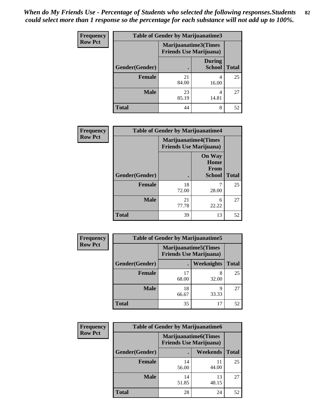| Frequency      | <b>Table of Gender by Marijuanatime3</b> |                                                        |                                |              |
|----------------|------------------------------------------|--------------------------------------------------------|--------------------------------|--------------|
| <b>Row Pct</b> |                                          | Marijuanatime3(Times<br><b>Friends Use Marijuana</b> ) |                                |              |
|                | Gender(Gender)                           |                                                        | <b>During</b><br><b>School</b> | <b>Total</b> |
|                | <b>Female</b>                            | 21<br>84.00                                            | 4<br>16.00                     | 25           |
|                | <b>Male</b>                              | 23<br>85.19                                            | 4<br>14.81                     | 27           |
|                | <b>Total</b>                             | 44                                                     | 8                              | 52           |

| <b>Frequency</b> | <b>Table of Gender by Marijuanatime4</b> |                                                               |                                                       |              |
|------------------|------------------------------------------|---------------------------------------------------------------|-------------------------------------------------------|--------------|
| <b>Row Pct</b>   |                                          | <b>Marijuanatime4(Times</b><br><b>Friends Use Marijuana</b> ) |                                                       |              |
|                  | Gender(Gender)                           |                                                               | <b>On Way</b><br>Home<br><b>From</b><br><b>School</b> | <b>Total</b> |
|                  | <b>Female</b>                            | 18<br>72.00                                                   | 28.00                                                 | 25           |
|                  | <b>Male</b>                              | 21<br>77.78                                                   | 6<br>22.22                                            | 27           |
|                  | <b>Total</b>                             | 39                                                            | 13                                                    | 52           |

| <b>Frequency</b> | <b>Table of Gender by Marijuanatime5</b> |             |                                                                |              |
|------------------|------------------------------------------|-------------|----------------------------------------------------------------|--------------|
| <b>Row Pct</b>   |                                          |             | <b>Marijuanatime5</b> (Times<br><b>Friends Use Marijuana</b> ) |              |
|                  | Gender(Gender)                           | ٠           | <b>Weeknights</b>                                              | <b>Total</b> |
|                  | <b>Female</b>                            | 17<br>68.00 | 8<br>32.00                                                     | 25           |
|                  | <b>Male</b>                              | 18<br>66.67 | 9<br>33.33                                                     | 27           |
|                  | <b>Total</b>                             | 35          | 17                                                             | 52           |

| Frequency      | <b>Table of Gender by Marijuanatime6</b> |                                                               |                 |              |  |
|----------------|------------------------------------------|---------------------------------------------------------------|-----------------|--------------|--|
| <b>Row Pct</b> |                                          | <b>Marijuanatime6(Times</b><br><b>Friends Use Marijuana</b> ) |                 |              |  |
|                | Gender(Gender)                           |                                                               | <b>Weekends</b> | <b>Total</b> |  |
|                | <b>Female</b>                            | 14<br>56.00                                                   | 11<br>44.00     | 25           |  |
|                | <b>Male</b>                              | 14<br>51.85                                                   | 13<br>48.15     | 27           |  |
|                | <b>Total</b>                             | 28                                                            | 24              | 52           |  |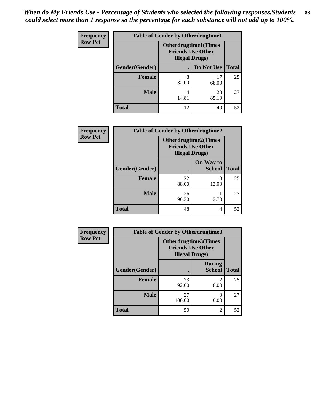| <b>Frequency</b> | <b>Table of Gender by Otherdrugtime1</b> |                        |                                                         |    |
|------------------|------------------------------------------|------------------------|---------------------------------------------------------|----|
| <b>Row Pct</b>   |                                          | <b>Illegal Drugs</b> ) | <b>Otherdrugtime1(Times</b><br><b>Friends Use Other</b> |    |
|                  | Gender(Gender)                           |                        | Do Not Use   Total                                      |    |
|                  | <b>Female</b>                            | 8<br>32.00             | 17<br>68.00                                             | 25 |
|                  | <b>Male</b>                              | 4<br>14.81             | 23<br>85.19                                             | 27 |
|                  | <b>Total</b>                             | 12                     | 40                                                      | 52 |

| Frequency      | <b>Table of Gender by Otherdrugtime2</b> |                                                                                   |                            |              |
|----------------|------------------------------------------|-----------------------------------------------------------------------------------|----------------------------|--------------|
| <b>Row Pct</b> |                                          | <b>Otherdrugtime2(Times</b><br><b>Friends Use Other</b><br><b>Illegal Drugs</b> ) |                            |              |
|                | Gender(Gender)                           |                                                                                   | On Way to<br><b>School</b> | <b>Total</b> |
|                | <b>Female</b>                            | 22<br>88.00                                                                       | 3<br>12.00                 | 25           |
|                | <b>Male</b>                              | 26<br>96.30                                                                       | 3.70                       | 27           |
|                | <b>Total</b>                             | 48                                                                                | 4                          | 52           |

| <b>Frequency</b> | Table of Gender by Otherdrugtime3 |                                                                                   |                                |              |
|------------------|-----------------------------------|-----------------------------------------------------------------------------------|--------------------------------|--------------|
| <b>Row Pct</b>   |                                   | <b>Otherdrugtime3(Times</b><br><b>Friends Use Other</b><br><b>Illegal Drugs</b> ) |                                |              |
|                  | Gender(Gender)                    | $\bullet$                                                                         | <b>During</b><br><b>School</b> | <b>Total</b> |
|                  | <b>Female</b>                     | 23<br>92.00                                                                       | $\mathfrak{D}$<br>8.00         | 25           |
|                  | <b>Male</b>                       | 27<br>100.00                                                                      | 0<br>0.00                      | 27           |
|                  | <b>Total</b>                      | 50                                                                                | $\overline{2}$                 | 52           |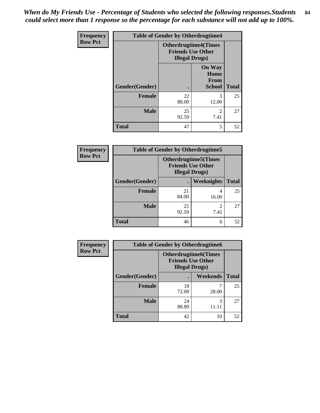*When do My Friends Use - Percentage of Students who selected the following responses.Students could select more than 1 response so the percentage for each substance will not add up to 100%.* **84**

| <b>Frequency</b> | <b>Table of Gender by Otherdrugtime4</b> |                                                                                   |                                                |              |  |
|------------------|------------------------------------------|-----------------------------------------------------------------------------------|------------------------------------------------|--------------|--|
| <b>Row Pct</b>   |                                          | <b>Otherdrugtime4(Times</b><br><b>Friends Use Other</b><br><b>Illegal Drugs</b> ) |                                                |              |  |
|                  | Gender(Gender)                           |                                                                                   | <b>On Way</b><br>Home<br>From<br><b>School</b> | <b>Total</b> |  |
|                  | <b>Female</b>                            | 22<br>88.00                                                                       | 3<br>12.00                                     | 25           |  |
|                  | <b>Male</b>                              | 25<br>92.59                                                                       | $\mathfrak{D}$<br>7.41                         | 27           |  |
|                  | <b>Total</b>                             | 47                                                                                | 5                                              | 52           |  |

| <b>Frequency</b> | <b>Table of Gender by Otherdrugtime5</b> |                                                                                    |                   |              |
|------------------|------------------------------------------|------------------------------------------------------------------------------------|-------------------|--------------|
| <b>Row Pct</b>   |                                          | <b>Otherdrugtime5</b> (Times<br><b>Friends Use Other</b><br><b>Illegal Drugs</b> ) |                   |              |
|                  | Gender(Gender)                           |                                                                                    | <b>Weeknights</b> | <b>Total</b> |
|                  | <b>Female</b>                            | 21<br>84.00                                                                        | 16.00             | 25           |
|                  | <b>Male</b>                              | 25<br>92.59                                                                        | ↑<br>7.41         | 27           |
|                  | <b>Total</b>                             | 46                                                                                 | 6                 | 52           |

| <b>Frequency</b> | <b>Table of Gender by Otherdrugtime6</b> |                                                                                   |            |              |
|------------------|------------------------------------------|-----------------------------------------------------------------------------------|------------|--------------|
| <b>Row Pct</b>   |                                          | <b>Otherdrugtime6(Times</b><br><b>Friends Use Other</b><br><b>Illegal Drugs</b> ) |            |              |
|                  | Gender(Gender)                           |                                                                                   | Weekends   | <b>Total</b> |
|                  | <b>Female</b>                            | 18<br>72.00                                                                       | 28.00      | 25           |
|                  | <b>Male</b>                              | 24<br>88.89                                                                       | 3<br>11.11 | 27           |
|                  | <b>Total</b>                             | 42                                                                                | 10         | 52           |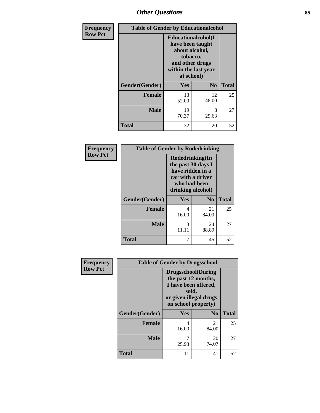## *Other Questions* **85**

| Frequency      |                | <b>Table of Gender by Educationalcohol</b>                                                                                    |                |              |  |
|----------------|----------------|-------------------------------------------------------------------------------------------------------------------------------|----------------|--------------|--|
| <b>Row Pct</b> |                | Educationalcohol(I<br>have been taught<br>about alcohol,<br>tobacco,<br>and other drugs<br>within the last year<br>at school) |                |              |  |
|                | Gender(Gender) | Yes                                                                                                                           | N <sub>0</sub> | <b>Total</b> |  |
|                | <b>Female</b>  | 13<br>52.00                                                                                                                   | 12<br>48.00    | 25           |  |
|                | <b>Male</b>    | 19<br>70.37                                                                                                                   | 8<br>29.63     | 27           |  |
|                | <b>Total</b>   | 32                                                                                                                            | 20             | 52           |  |

| Frequency      | <b>Table of Gender by Rodedrinking</b> |                                                                                                                     |                |              |
|----------------|----------------------------------------|---------------------------------------------------------------------------------------------------------------------|----------------|--------------|
| <b>Row Pct</b> |                                        | Rodedrinking(In<br>the past 30 days I<br>have ridden in a<br>car with a driver<br>who had been<br>drinking alcohol) |                |              |
|                | Gender(Gender)                         | Yes                                                                                                                 | N <sub>0</sub> | <b>Total</b> |
|                | <b>Female</b>                          | 4<br>16.00                                                                                                          | 21<br>84.00    | 25           |
|                | <b>Male</b>                            | 3<br>11.11                                                                                                          | 24<br>88.89    | 27           |
|                | <b>Total</b>                           |                                                                                                                     | 45             | 52           |

| Frequency      |                | <b>Table of Gender by Drugsschool</b>                                                                                               |                |              |  |
|----------------|----------------|-------------------------------------------------------------------------------------------------------------------------------------|----------------|--------------|--|
| <b>Row Pct</b> |                | <b>Drugsschool</b> (During<br>the past 12 months,<br>I have been offered,<br>sold,<br>or given illegal drugs<br>on school property) |                |              |  |
|                | Gender(Gender) | <b>Yes</b>                                                                                                                          | N <sub>0</sub> | <b>Total</b> |  |
|                | <b>Female</b>  | 4<br>16.00                                                                                                                          | 21<br>84.00    | 25           |  |
|                | <b>Male</b>    | 7<br>25.93                                                                                                                          | 20<br>74.07    | 27           |  |
|                | <b>Total</b>   | 11                                                                                                                                  | 41             | 52           |  |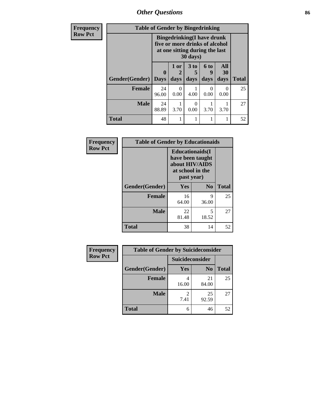*Other Questions* **86**

| <b>Frequency</b> | <b>Table of Gender by Bingedrinking</b> |                                                                                                                            |                           |                      |             |                  |              |
|------------------|-----------------------------------------|----------------------------------------------------------------------------------------------------------------------------|---------------------------|----------------------|-------------|------------------|--------------|
| <b>Row Pct</b>   |                                         | <b>Bingedrinking(I have drunk</b><br>five or more drinks of alcohol<br>at one sitting during the last<br>$30 \text{ days}$ |                           |                      |             |                  |              |
|                  |                                         | $\mathbf 0$                                                                                                                | 1 or<br>2                 | 3 <sub>to</sub><br>5 | <b>6 to</b> | All<br><b>30</b> |              |
|                  | <b>Gender</b> (Gender)                  | <b>Days</b>                                                                                                                | days                      | days                 | days        | days             | <b>Total</b> |
|                  | Female                                  | 24<br>96.00                                                                                                                | $\mathbf{\Omega}$<br>0.00 | 4.00                 | 0.00        | $\theta$<br>0.00 | 25           |
|                  | <b>Male</b>                             | 24<br>88.89                                                                                                                | 3.70                      | $\Omega$<br>0.00     | 3.70        | 3.70             | 27           |
|                  | <b>Total</b>                            | 48                                                                                                                         | 1                         | 1                    |             | 1                | 52           |

| Frequency      | <b>Table of Gender by Educationaids</b> |                                                                                                 |            |              |
|----------------|-----------------------------------------|-------------------------------------------------------------------------------------------------|------------|--------------|
| <b>Row Pct</b> |                                         | <b>Educationaids</b> (I<br>have been taught<br>about HIV/AIDS<br>at school in the<br>past year) |            |              |
|                | Gender(Gender)                          | Yes                                                                                             | $\bf N_0$  | <b>Total</b> |
|                | <b>Female</b>                           | 16<br>64.00                                                                                     | 9<br>36.00 | 25           |
|                | <b>Male</b>                             | 22<br>81.48                                                                                     | 5<br>18.52 | 27           |
|                | <b>Total</b>                            | 38                                                                                              | 14         | 52           |

| <b>Frequency</b> | <b>Table of Gender by Suicideconsider</b> |                        |                |              |
|------------------|-------------------------------------------|------------------------|----------------|--------------|
| <b>Row Pct</b>   |                                           | Suicideconsider        |                |              |
|                  | Gender(Gender)                            | Yes                    | N <sub>0</sub> | <b>Total</b> |
|                  | <b>Female</b>                             | 16.00                  | 21<br>84.00    | 25           |
|                  | <b>Male</b>                               | $\mathfrak{D}$<br>7.41 | 25<br>92.59    | 27           |
|                  | <b>Total</b>                              | 6                      | 46             | 52           |